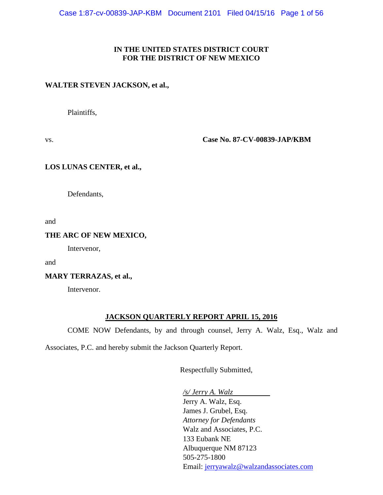#### **IN THE UNITED STATES DISTRICT COURT FOR THE DISTRICT OF NEW MEXICO**

#### **WALTER STEVEN JACKSON, et al.,**

Plaintiffs,

vs. **Case No. 87-CV-00839-JAP/KBM**

#### **LOS LUNAS CENTER, et al.,**

Defendants,

and

#### **THE ARC OF NEW MEXICO,**

Intervenor,

and

#### **MARY TERRAZAS, et al.,**

Intervenor.

#### **JACKSON QUARTERLY REPORT APRIL 15, 2016**

COME NOW Defendants, by and through counsel, Jerry A. Walz, Esq., Walz and

Associates, P.C. and hereby submit the Jackson Quarterly Report.

Respectfully Submitted,

*/s/ Jerry A. Walz*

Jerry A. Walz, Esq. James J. Grubel, Esq. *Attorney for Defendants* Walz and Associates, P.C. 133 Eubank NE Albuquerque NM 87123 505-275-1800 Email: [jerryawalz@walzandassociates.com](mailto:jerryawalz@walzandassociates.com)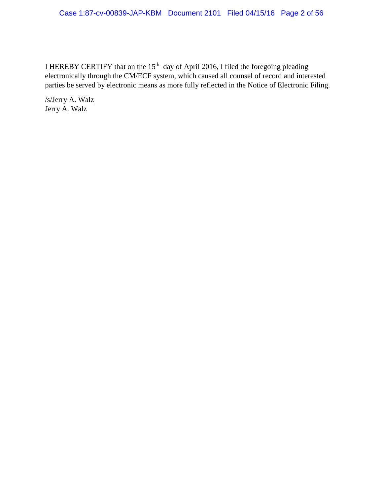#### Case 1:87-cv-00839-JAP-KBM Document 2101 Filed 04/15/16 Page 2 of 56

I HEREBY CERTIFY that on the  $15<sup>th</sup>$  day of April 2016, I filed the foregoing pleading electronically through the CM/ECF system, which caused all counsel of record and interested parties be served by electronic means as more fully reflected in the Notice of Electronic Filing.

/s/Jerry A. Walz Jerry A. Walz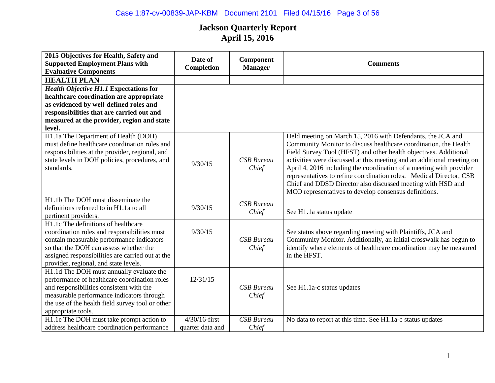| 2015 Objectives for Health, Safety and<br><b>Supported Employment Plans with</b><br><b>Evaluative Components</b>                                                                                                                                                        | Date of<br>Completion                           | Component<br><b>Manager</b> | <b>Comments</b>                                                                                                                                                                                                                                                                                                                                                                                                                                                                                                                                     |
|-------------------------------------------------------------------------------------------------------------------------------------------------------------------------------------------------------------------------------------------------------------------------|-------------------------------------------------|-----------------------------|-----------------------------------------------------------------------------------------------------------------------------------------------------------------------------------------------------------------------------------------------------------------------------------------------------------------------------------------------------------------------------------------------------------------------------------------------------------------------------------------------------------------------------------------------------|
| <b>HEALTH PLAN</b>                                                                                                                                                                                                                                                      |                                                 |                             |                                                                                                                                                                                                                                                                                                                                                                                                                                                                                                                                                     |
| <b>Health Objective H1.1 Expectations for</b><br>healthcare coordination are appropriate<br>as evidenced by well-defined roles and<br>responsibilities that are carried out and<br>measured at the provider, region and state<br>level.                                 |                                                 |                             |                                                                                                                                                                                                                                                                                                                                                                                                                                                                                                                                                     |
| H1.1a The Department of Health (DOH)<br>must define healthcare coordination roles and<br>responsibilities at the provider, regional, and<br>state levels in DOH policies, procedures, and<br>standards.                                                                 | 9/30/15                                         | <b>CSB</b> Bureau<br>Chief  | Held meeting on March 15, 2016 with Defendants, the JCA and<br>Community Monitor to discuss healthcare coordination, the Health<br>Field Survey Tool (HFST) and other health objectives. Additional<br>activities were discussed at this meeting and an additional meeting on<br>April 4, 2016 including the coordination of a meeting with provider<br>representatives to refine coordination roles. Medical Director, CSB<br>Chief and DDSD Director also discussed meeting with HSD and<br>MCO representatives to develop consensus definitions. |
| H1.1b The DOH must disseminate the<br>definitions referred to in H1.1a to all<br>pertinent providers.                                                                                                                                                                   | 9/30/15                                         | <b>CSB</b> Bureau<br>Chief  | See H1.1a status update                                                                                                                                                                                                                                                                                                                                                                                                                                                                                                                             |
| H1.1c The definitions of healthcare<br>coordination roles and responsibilities must<br>contain measurable performance indicators<br>so that the DOH can assess whether the<br>assigned responsibilities are carried out at the<br>provider, regional, and state levels. | 9/30/15                                         | <b>CSB</b> Bureau<br>Chief  | See status above regarding meeting with Plaintiffs, JCA and<br>Community Monitor. Additionally, an initial crosswalk has begun to<br>identify where elements of healthcare coordination may be measured<br>in the HFST.                                                                                                                                                                                                                                                                                                                             |
| H1.1d The DOH must annually evaluate the<br>performance of healthcare coordination roles<br>and responsibilities consistent with the<br>measurable performance indicators through<br>the use of the health field survey tool or other<br>appropriate tools.             | 12/31/15                                        | <b>CSB</b> Bureau<br>Chief  | See H1.1a-c status updates                                                                                                                                                                                                                                                                                                                                                                                                                                                                                                                          |
| H1.1e The DOH must take prompt action to<br>address healthcare coordination performance                                                                                                                                                                                 | $\overline{4/30/1}$ 6-first<br>quarter data and | <b>CSB</b> Bureau<br>Chief  | No data to report at this time. See H1.1a-c status updates                                                                                                                                                                                                                                                                                                                                                                                                                                                                                          |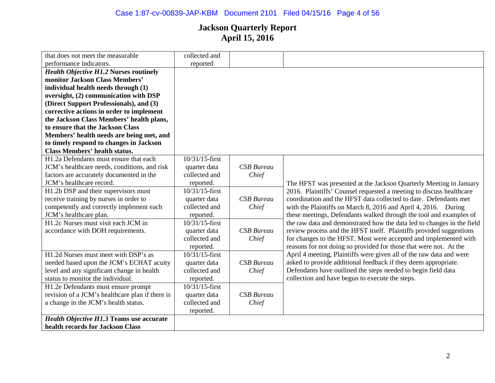# Case 1:87-cv-00839-JAP-KBM Document 2101 Filed 04/15/16 Page 4 of 56

| that does not meet the measurable               | collected and     |                   |                                                                        |
|-------------------------------------------------|-------------------|-------------------|------------------------------------------------------------------------|
| performance indicators.                         | reported          |                   |                                                                        |
| <b>Health Objective H1.2 Nurses routinely</b>   |                   |                   |                                                                        |
| monitor Jackson Class Members'                  |                   |                   |                                                                        |
| individual health needs through (1)             |                   |                   |                                                                        |
| oversight, (2) communication with DSP           |                   |                   |                                                                        |
| (Direct Support Professionals), and (3)         |                   |                   |                                                                        |
| corrective actions in order to implement        |                   |                   |                                                                        |
| the Jackson Class Members' health plans,        |                   |                   |                                                                        |
| to ensure that the Jackson Class                |                   |                   |                                                                        |
| Members' health needs are being met, and        |                   |                   |                                                                        |
| to timely respond to changes in Jackson         |                   |                   |                                                                        |
| <b>Class Members' health status.</b>            |                   |                   |                                                                        |
| H1.2a Defendants must ensure that each          | 10/31/15-first    |                   |                                                                        |
| JCM's healthcare needs, conditions, and risk    | quarter data      | <b>CSB</b> Bureau |                                                                        |
| factors are accurately documented in the        | collected and     | Chief             |                                                                        |
| JCM's healthcare record.                        | reported.         |                   | The HFST was presented at the Jackson Quarterly Meeting in January     |
| H1.2b DSP and their supervisors must            | 10/31/15-first    |                   | 2016. Plaintiffs' Counsel requested a meeting to discuss healthcare    |
| receive training by nurses in order to          | quarter data      | <b>CSB</b> Bureau | coordination and the HFST data collected to date. Defendants met       |
| competently and correctly implement each        | collected and     | Chief             | with the Plaintiffs on March 8, 2016 and April 4, 2016. During         |
| JCM's healthcare plan.                          | reported.         |                   | these meetings, Defendants walked through the tool and examples of     |
| H1.2c Nurses must visit each JCM in             | 10/31/15-first    |                   | the raw data and demonstrated how the data led to changes in the field |
| accordance with DOH requirements.               | quarter data      | <b>CSB</b> Bureau | review process and the HFST itself. Plaintiffs provided suggestions    |
|                                                 | collected and     | Chief             | for changes to the HFST. Most were accepted and implemented with       |
|                                                 | reported.         |                   | reasons for not doing so provided for those that were not. At the      |
| H1.2d Nurses must meet with DSP's as            | $10/31/15$ -first |                   | April 4 meeting, Plaintiffs were given all of the raw data and were    |
| needed based upon the JCM's ECHAT acuity        | quarter data      | <b>CSB</b> Bureau | asked to provide additional feedback if they deem appropriate.         |
| level and any significant change in health      | collected and     | Chief             | Defendants have outlined the steps needed to begin field data          |
| status to monitor the individual.               | reported.         |                   | collection and have begun to execute the steps.                        |
| H1.2e Defendants must ensure prompt             | 10/31/15-first    |                   |                                                                        |
| revision of a JCM's healthcare plan if there is | quarter data      | <b>CSB</b> Bureau |                                                                        |
| a change in the JCM's health status.            | collected and     | Chief             |                                                                        |
|                                                 | reported.         |                   |                                                                        |
| <b>Health Objective H1.3 Teams use accurate</b> |                   |                   |                                                                        |
| health records for Jackson Class                |                   |                   |                                                                        |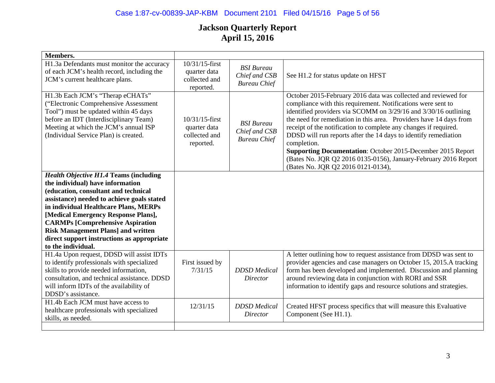### Case 1:87-cv-00839-JAP-KBM Document 2101 Filed 04/15/16 Page 5 of 56

| <b>Members.</b>                                                                                                                                                                                                                                                                                                                                                                                                     |                                                              |                                                           |                                                                                                                                                                                                                                                                                                                                                                                                                                                                                                                                                                                                              |
|---------------------------------------------------------------------------------------------------------------------------------------------------------------------------------------------------------------------------------------------------------------------------------------------------------------------------------------------------------------------------------------------------------------------|--------------------------------------------------------------|-----------------------------------------------------------|--------------------------------------------------------------------------------------------------------------------------------------------------------------------------------------------------------------------------------------------------------------------------------------------------------------------------------------------------------------------------------------------------------------------------------------------------------------------------------------------------------------------------------------------------------------------------------------------------------------|
| H1.3a Defendants must monitor the accuracy<br>of each JCM's health record, including the<br>JCM's current healthcare plans.                                                                                                                                                                                                                                                                                         | 10/31/15-first<br>quarter data<br>collected and<br>reported. | <b>BSI</b> Bureau<br>Chief and CSB<br><b>Bureau Chief</b> | See H1.2 for status update on HFST                                                                                                                                                                                                                                                                                                                                                                                                                                                                                                                                                                           |
| H1.3b Each JCM's "Therap eCHATs"<br>("Electronic Comprehensive Assessment<br>Tool") must be updated within 45 days<br>before an IDT (Interdisciplinary Team)<br>Meeting at which the JCM's annual ISP<br>(Individual Service Plan) is created.                                                                                                                                                                      | 10/31/15-first<br>quarter data<br>collected and<br>reported. | <b>BSI</b> Bureau<br>Chief and CSB<br><b>Bureau Chief</b> | October 2015-February 2016 data was collected and reviewed for<br>compliance with this requirement. Notifications were sent to<br>identified providers via SCOMM on 3/29/16 and 3/30/16 outlining<br>the need for remediation in this area. Providers have 14 days from<br>receipt of the notification to complete any changes if required.<br>DDSD will run reports after the 14 days to identify remediation<br>completion.<br><b>Supporting Documentation:</b> October 2015-December 2015 Report<br>(Bates No. JQR Q2 2016 0135-0156), January-February 2016 Report<br>(Bates No. JQR Q2 2016 0121-0134), |
| <b>Health Objective H1.4 Teams (including</b><br>the individual) have information<br>(education, consultant and technical<br>assistance) needed to achieve goals stated<br>in individual Healthcare Plans, MERPs<br>[Medical Emergency Response Plans],<br><b>CARMPs [Comprehensive Aspiration</b><br><b>Risk Management Plans] and written</b><br>direct support instructions as appropriate<br>to the individual. |                                                              |                                                           |                                                                                                                                                                                                                                                                                                                                                                                                                                                                                                                                                                                                              |
| H1.4a Upon request, DDSD will assist IDTs<br>to identify professionals with specialized<br>skills to provide needed information,<br>consultation, and technical assistance. DDSD<br>will inform IDTs of the availability of<br>DDSD's assistance.                                                                                                                                                                   | First issued by<br>7/31/15                                   | <b>DDSD</b> Medical<br>Director                           | A letter outlining how to request assistance from DDSD was sent to<br>provider agencies and case managers on October 15, 2015.A tracking<br>form has been developed and implemented. Discussion and planning<br>around reviewing data in conjunction with RORI and SSR<br>information to identify gaps and resource solutions and strategies.                                                                                                                                                                                                                                                                |
| H <sub>1.4</sub> b Each JCM must have access to<br>healthcare professionals with specialized<br>skills, as needed.                                                                                                                                                                                                                                                                                                  | 12/31/15                                                     | <b>DDSD</b> Medical<br><b>Director</b>                    | Created HFST process specifics that will measure this Evaluative<br>Component (See H1.1).                                                                                                                                                                                                                                                                                                                                                                                                                                                                                                                    |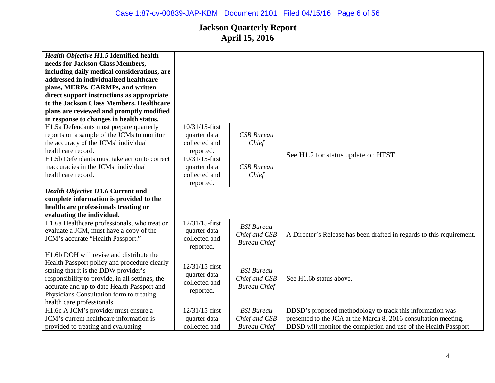| Health Objective H1.5 Identified health<br>needs for Jackson Class Members,<br>including daily medical considerations, are<br>addressed in individualized healthcare<br>plans, MERPs, CARMPs, and written<br>direct support instructions as appropriate<br>to the Jackson Class Members. Healthcare<br>plans are reviewed and promptly modified |                                                              |                                                           |                                                                                                                                                                                                 |
|-------------------------------------------------------------------------------------------------------------------------------------------------------------------------------------------------------------------------------------------------------------------------------------------------------------------------------------------------|--------------------------------------------------------------|-----------------------------------------------------------|-------------------------------------------------------------------------------------------------------------------------------------------------------------------------------------------------|
| in response to changes in health status.                                                                                                                                                                                                                                                                                                        |                                                              |                                                           |                                                                                                                                                                                                 |
| H1.5a Defendants must prepare quarterly<br>reports on a sample of the JCMs to monitor<br>the accuracy of the JCMs' individual<br>healthcare record.                                                                                                                                                                                             | 10/31/15-first<br>quarter data<br>collected and<br>reported. | <b>CSB</b> Bureau<br>Chief                                |                                                                                                                                                                                                 |
| H1.5b Defendants must take action to correct<br>inaccuracies in the JCMs' individual<br>healthcare record.                                                                                                                                                                                                                                      | 10/31/15-first<br>quarter data<br>collected and<br>reported. | <b>CSB</b> Bureau<br>Chief                                | See H1.2 for status update on HFST                                                                                                                                                              |
| <b>Health Objective H1.6 Current and</b><br>complete information is provided to the<br>healthcare professionals treating or<br>evaluating the individual.                                                                                                                                                                                       |                                                              |                                                           |                                                                                                                                                                                                 |
| H1.6a Healthcare professionals, who treat or<br>evaluate a JCM, must have a copy of the<br>JCM's accurate "Health Passport."                                                                                                                                                                                                                    | 12/31/15-first<br>quarter data<br>collected and<br>reported. | <b>BSI</b> Bureau<br>Chief and CSB<br><b>Bureau Chief</b> | A Director's Release has been drafted in regards to this requirement.                                                                                                                           |
| H1.6b DOH will revise and distribute the<br>Health Passport policy and procedure clearly<br>stating that it is the DDW provider's<br>responsibility to provide, in all settings, the<br>accurate and up to date Health Passport and<br>Physicians Consultation form to treating<br>health care professionals.                                   | 12/31/15-first<br>quarter data<br>collected and<br>reported. | <b>BSI</b> Bureau<br>Chief and CSB<br><b>Bureau Chief</b> | See H1.6b status above.                                                                                                                                                                         |
| H1.6c A JCM's provider must ensure a<br>JCM's current healthcare information is<br>provided to treating and evaluating                                                                                                                                                                                                                          | 12/31/15-first<br>quarter data<br>collected and              | <b>BSI</b> Bureau<br>Chief and CSB<br><b>Bureau Chief</b> | DDSD's proposed methodology to track this information was<br>presented to the JCA at the March 8, 2016 consultation meeting.<br>DDSD will monitor the completion and use of the Health Passport |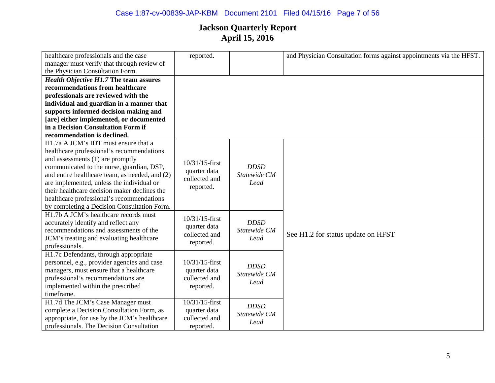### Case 1:87-cv-00839-JAP-KBM Document 2101 Filed 04/15/16 Page 7 of 56

| healthcare professionals and the case          | reported.         |                      | and Physician Consultation forms against appointments via the HFST. |
|------------------------------------------------|-------------------|----------------------|---------------------------------------------------------------------|
| manager must verify that through review of     |                   |                      |                                                                     |
| the Physician Consultation Form.               |                   |                      |                                                                     |
| <b>Health Objective H1.7 The team assures</b>  |                   |                      |                                                                     |
| recommendations from healthcare                |                   |                      |                                                                     |
| professionals are reviewed with the            |                   |                      |                                                                     |
| individual and guardian in a manner that       |                   |                      |                                                                     |
| supports informed decision making and          |                   |                      |                                                                     |
| [are] either implemented, or documented        |                   |                      |                                                                     |
| in a Decision Consultation Form if             |                   |                      |                                                                     |
| recommendation is declined.                    |                   |                      |                                                                     |
| H1.7a A JCM's IDT must ensure that a           |                   |                      |                                                                     |
| healthcare professional's recommendations      |                   |                      |                                                                     |
| and assessments (1) are promptly               | $10/31/15$ -first |                      |                                                                     |
| communicated to the nurse, guardian, DSP,      | quarter data      | <b>DDSD</b>          |                                                                     |
| and entire healthcare team, as needed, and (2) | collected and     | Statewide CM<br>Lead |                                                                     |
| are implemented, unless the individual or      | reported.         |                      |                                                                     |
| their healthcare decision maker declines the   |                   |                      |                                                                     |
| healthcare professional's recommendations      |                   |                      |                                                                     |
| by completing a Decision Consultation Form.    |                   |                      |                                                                     |
| H1.7b A JCM's healthcare records must          | $10/31/15$ -first |                      |                                                                     |
| accurately identify and reflect any            | quarter data      | <b>DDSD</b>          |                                                                     |
| recommendations and assessments of the         | collected and     | Statewide CM         | See H1.2 for status update on HFST                                  |
| JCM's treating and evaluating healthcare       | reported.         | Lead                 |                                                                     |
| professionals.                                 |                   |                      |                                                                     |
| H1.7c Defendants, through appropriate          |                   |                      |                                                                     |
| personnel, e.g., provider agencies and case    | $10/31/15$ -first | <b>DDSD</b>          |                                                                     |
| managers, must ensure that a healthcare        | quarter data      | Statewide CM         |                                                                     |
| professional's recommendations are             | collected and     | Lead                 |                                                                     |
| implemented within the prescribed              | reported.         |                      |                                                                     |
| timeframe.                                     |                   |                      |                                                                     |
| H1.7d The JCM's Case Manager must              | 10/31/15-first    | <b>DDSD</b>          |                                                                     |
| complete a Decision Consultation Form, as      | quarter data      | Statewide CM         |                                                                     |
| appropriate, for use by the JCM's healthcare   | collected and     | Lead                 |                                                                     |
| professionals. The Decision Consultation       | reported.         |                      |                                                                     |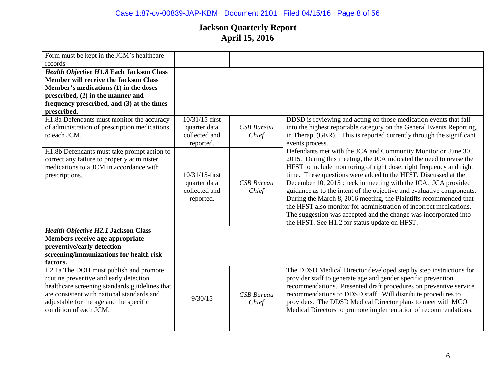### Case 1:87-cv-00839-JAP-KBM Document 2101 Filed 04/15/16 Page 8 of 56

| Form must be kept in the JCM's healthcare<br>records |                   |                   |                                                                       |
|------------------------------------------------------|-------------------|-------------------|-----------------------------------------------------------------------|
| Health Objective H1.8 Each Jackson Class             |                   |                   |                                                                       |
| <b>Member will receive the Jackson Class</b>         |                   |                   |                                                                       |
| Member's medications (1) in the doses                |                   |                   |                                                                       |
| prescribed, $(2)$ in the manner and                  |                   |                   |                                                                       |
| frequency prescribed, and (3) at the times           |                   |                   |                                                                       |
| prescribed.                                          |                   |                   |                                                                       |
| H1.8a Defendants must monitor the accuracy           | 10/31/15-first    |                   | DDSD is reviewing and acting on those medication events that fall     |
|                                                      |                   |                   |                                                                       |
| of administration of prescription medications        | quarter data      | <b>CSB</b> Bureau | into the highest reportable category on the General Events Reporting, |
| to each JCM.                                         | collected and     | Chief             | in Therap, (GER). This is reported currently through the significant  |
|                                                      | reported.         |                   | events process.                                                       |
| H1.8b Defendants must take prompt action to          |                   |                   | Defendants met with the JCA and Community Monitor on June 30,         |
| correct any failure to properly administer           |                   |                   | 2015. During this meeting, the JCA indicated the need to revise the   |
| medications to a JCM in accordance with              |                   |                   | HFST to include monitoring of right dose, right frequency and right   |
| prescriptions.                                       | $10/31/15$ -first |                   | time. These questions were added to the HFST. Discussed at the        |
|                                                      | quarter data      | <b>CSB</b> Bureau | December 10, 2015 check in meeting with the JCA. JCA provided         |
|                                                      | collected and     | Chief             | guidance as to the intent of the objective and evaluative components. |
|                                                      | reported.         |                   | During the March 8, 2016 meeting, the Plaintiffs recommended that     |
|                                                      |                   |                   | the HFST also monitor for administration of incorrect medications.    |
|                                                      |                   |                   | The suggestion was accepted and the change was incorporated into      |
|                                                      |                   |                   | the HFST. See H1.2 for status update on HFST.                         |
| <b>Health Objective H2.1 Jackson Class</b>           |                   |                   |                                                                       |
| Members receive age appropriate                      |                   |                   |                                                                       |
| preventive/early detection                           |                   |                   |                                                                       |
| screening/immunizations for health risk              |                   |                   |                                                                       |
| factors.                                             |                   |                   |                                                                       |
| H2.1a The DOH must publish and promote               |                   |                   | The DDSD Medical Director developed step by step instructions for     |
| routine preventive and early detection               |                   |                   | provider staff to generate age and gender specific prevention         |
| healthcare screening standards guidelines that       |                   |                   | recommendations. Presented draft procedures on preventive service     |
| are consistent with national standards and           |                   | <b>CSB</b> Bureau | recommendations to DDSD staff. Will distribute procedures to          |
| adjustable for the age and the specific              | 9/30/15           | Chief             | providers. The DDSD Medical Director plans to meet with MCO           |
| condition of each JCM.                               |                   |                   | Medical Directors to promote implementation of recommendations.       |
|                                                      |                   |                   |                                                                       |
|                                                      |                   |                   |                                                                       |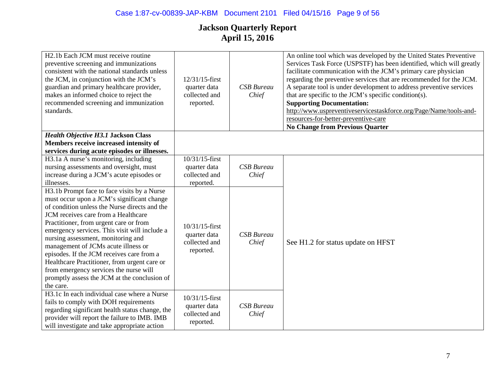| H <sub>2</sub> .1b Each JCM must receive routine<br>preventive screening and immunizations<br>consistent with the national standards unless<br>the JCM, in conjunction with the JCM's<br>guardian and primary healthcare provider,<br>makes an informed choice to reject the<br>recommended screening and immunization<br>standards.                                                                                                                                                                                                                          | 12/31/15-first<br>quarter data<br>collected and<br>reported. | <b>CSB</b> Bureau<br>Chief | An online tool which was developed by the United States Preventive<br>Services Task Force (USPSTF) has been identified, which will greatly<br>facilitate communication with the JCM's primary care physician<br>regarding the preventive services that are recommended for the JCM.<br>A separate tool is under development to address preventive services<br>that are specific to the JCM's specific condition(s).<br><b>Supporting Documentation:</b><br>http://www.uspreventiveservicestaskforce.org/Page/Name/tools-and-<br>resources-for-better-preventive-care<br><b>No Change from Previous Quarter</b> |
|---------------------------------------------------------------------------------------------------------------------------------------------------------------------------------------------------------------------------------------------------------------------------------------------------------------------------------------------------------------------------------------------------------------------------------------------------------------------------------------------------------------------------------------------------------------|--------------------------------------------------------------|----------------------------|----------------------------------------------------------------------------------------------------------------------------------------------------------------------------------------------------------------------------------------------------------------------------------------------------------------------------------------------------------------------------------------------------------------------------------------------------------------------------------------------------------------------------------------------------------------------------------------------------------------|
| <b>Health Objective H3.1 Jackson Class</b>                                                                                                                                                                                                                                                                                                                                                                                                                                                                                                                    |                                                              |                            |                                                                                                                                                                                                                                                                                                                                                                                                                                                                                                                                                                                                                |
| Members receive increased intensity of<br>services during acute episodes or illnesses.                                                                                                                                                                                                                                                                                                                                                                                                                                                                        |                                                              |                            |                                                                                                                                                                                                                                                                                                                                                                                                                                                                                                                                                                                                                |
| H3.1a A nurse's monitoring, including<br>nursing assessments and oversight, must<br>increase during a JCM's acute episodes or<br>illnesses.                                                                                                                                                                                                                                                                                                                                                                                                                   | 10/31/15-first<br>quarter data<br>collected and<br>reported. | <b>CSB</b> Bureau<br>Chief |                                                                                                                                                                                                                                                                                                                                                                                                                                                                                                                                                                                                                |
| H3.1b Prompt face to face visits by a Nurse<br>must occur upon a JCM's significant change<br>of condition unless the Nurse directs and the<br>JCM receives care from a Healthcare<br>Practitioner, from urgent care or from<br>emergency services. This visit will include a<br>nursing assessment, monitoring and<br>management of JCMs acute illness or<br>episodes. If the JCM receives care from a<br>Healthcare Practitioner, from urgent care or<br>from emergency services the nurse will<br>promptly assess the JCM at the conclusion of<br>the care. | 10/31/15-first<br>quarter data<br>collected and<br>reported. | <b>CSB</b> Bureau<br>Chief | See H1.2 for status update on HFST                                                                                                                                                                                                                                                                                                                                                                                                                                                                                                                                                                             |
| H3.1c In each individual case where a Nurse<br>fails to comply with DOH requirements<br>regarding significant health status change, the<br>provider will report the failure to IMB. IMB<br>will investigate and take appropriate action                                                                                                                                                                                                                                                                                                                       | 10/31/15-first<br>quarter data<br>collected and<br>reported. | <b>CSB</b> Bureau<br>Chief |                                                                                                                                                                                                                                                                                                                                                                                                                                                                                                                                                                                                                |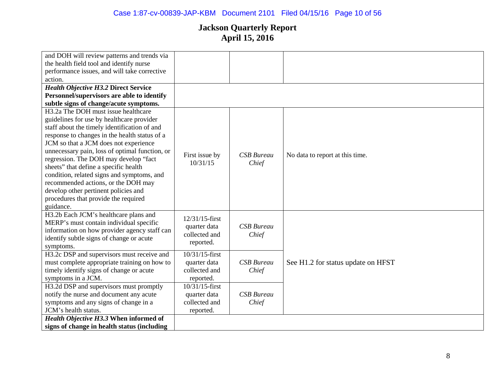# Case 1:87-cv-00839-JAP-KBM Document 2101 Filed 04/15/16 Page 10 of 56

| and DOH will review patterns and trends via      |                               |                   |                                    |
|--------------------------------------------------|-------------------------------|-------------------|------------------------------------|
| the health field tool and identify nurse         |                               |                   |                                    |
| performance issues, and will take corrective     |                               |                   |                                    |
| action.                                          |                               |                   |                                    |
| <b>Health Objective H3.2 Direct Service</b>      |                               |                   |                                    |
| Personnel/supervisors are able to identify       |                               |                   |                                    |
| subtle signs of change/acute symptoms.           |                               |                   |                                    |
| H <sub>3</sub> .2a The DOH must issue healthcare |                               |                   |                                    |
| guidelines for use by healthcare provider        |                               |                   |                                    |
| staff about the timely identification of and     |                               |                   |                                    |
| response to changes in the health status of a    |                               |                   |                                    |
| JCM so that a JCM does not experience            |                               |                   |                                    |
| unnecessary pain, loss of optimal function, or   |                               |                   |                                    |
| regression. The DOH may develop "fact            | First issue by                | <b>CSB</b> Bureau | No data to report at this time.    |
| sheets" that define a specific health            | 10/31/15                      | Chief             |                                    |
| condition, related signs and symptoms, and       |                               |                   |                                    |
| recommended actions, or the DOH may              |                               |                   |                                    |
| develop other pertinent policies and             |                               |                   |                                    |
| procedures that provide the required             |                               |                   |                                    |
| guidance.                                        |                               |                   |                                    |
| H3.2b Each JCM's healthcare plans and            | 12/31/15-first                |                   |                                    |
| MERP's must contain individual specific          |                               |                   |                                    |
| information on how provider agency staff can     | quarter data<br>collected and | <b>CSB</b> Bureau |                                    |
| identify subtle signs of change or acute         |                               | Chief             |                                    |
| symptoms.                                        | reported.                     |                   |                                    |
| H3.2c DSP and supervisors must receive and       | $10/31/15$ -first             |                   |                                    |
| must complete appropriate training on how to     | quarter data                  | <b>CSB</b> Bureau | See H1.2 for status update on HFST |
| timely identify signs of change or acute         | collected and                 | Chief             |                                    |
| symptoms in a JCM.                               | reported.                     |                   |                                    |
| H3.2d DSP and supervisors must promptly          | 10/31/15-first                |                   |                                    |
| notify the nurse and document any acute          | quarter data                  | <b>CSB</b> Bureau |                                    |
| symptoms and any signs of change in a            | collected and                 | Chief             |                                    |
| JCM's health status.                             | reported.                     |                   |                                    |
| <b>Health Objective H3.3 When informed of</b>    |                               |                   |                                    |
| signs of change in health status (including      |                               |                   |                                    |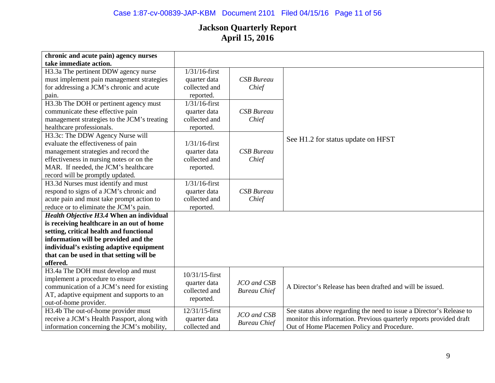# Case 1:87-cv-00839-JAP-KBM Document 2101 Filed 04/15/16 Page 11 of 56

| chronic and acute pain) agency nurses<br>take immediate action.                   |                                  |                     |                                                                      |
|-----------------------------------------------------------------------------------|----------------------------------|---------------------|----------------------------------------------------------------------|
| H3.3a The pertinent DDW agency nurse<br>must implement pain management strategies | $1/31/16$ -first<br>quarter data | <b>CSB</b> Bureau   |                                                                      |
| for addressing a JCM's chronic and acute                                          | collected and                    | Chief               |                                                                      |
| pain.                                                                             | reported.                        |                     |                                                                      |
| H3.3b The DOH or pertinent agency must                                            | $1/31/16$ -first                 |                     |                                                                      |
| communicate these effective pain                                                  | quarter data                     | <b>CSB</b> Bureau   |                                                                      |
| management strategies to the JCM's treating                                       | collected and                    | Chief               |                                                                      |
| healthcare professionals.                                                         | reported.                        |                     |                                                                      |
| H3.3c: The DDW Agency Nurse will                                                  |                                  |                     | See H1.2 for status update on HFST                                   |
| evaluate the effectiveness of pain                                                | $1/31/16$ -first                 |                     |                                                                      |
| management strategies and record the                                              | quarter data                     | <b>CSB</b> Bureau   |                                                                      |
| effectiveness in nursing notes or on the                                          | collected and                    | Chief               |                                                                      |
| MAR. If needed, the JCM's healthcare                                              | reported.                        |                     |                                                                      |
| record will be promptly updated.                                                  |                                  |                     |                                                                      |
| H3.3d Nurses must identify and must                                               | $1/31/16$ -first                 |                     |                                                                      |
| respond to signs of a JCM's chronic and                                           | quarter data                     | <b>CSB</b> Bureau   |                                                                      |
| acute pain and must take prompt action to                                         | collected and                    | Chief               |                                                                      |
| reduce or to eliminate the JCM's pain.                                            | reported.                        |                     |                                                                      |
| Health Objective H3.4 When an individual                                          |                                  |                     |                                                                      |
| is receiving healthcare in an out of home                                         |                                  |                     |                                                                      |
| setting, critical health and functional                                           |                                  |                     |                                                                      |
| information will be provided and the                                              |                                  |                     |                                                                      |
| individual's existing adaptive equipment                                          |                                  |                     |                                                                      |
| that can be used in that setting will be                                          |                                  |                     |                                                                      |
| offered.                                                                          |                                  |                     |                                                                      |
| H3.4a The DOH must develop and must                                               |                                  |                     |                                                                      |
| implement a procedure to ensure                                                   | 10/31/15-first                   |                     |                                                                      |
| communication of a JCM's need for existing                                        | quarter data                     | JCO and CSB         | A Director's Release has been drafted and will be issued.            |
| AT, adaptive equipment and supports to an                                         | collected and                    | <b>Bureau Chief</b> |                                                                      |
| out-of-home provider.                                                             | reported.                        |                     |                                                                      |
| H3.4b The out-of-home provider must                                               | 12/31/15-first                   |                     | See status above regarding the need to issue a Director's Release to |
| receive a JCM's Health Passport, along with                                       | quarter data                     | JCO and CSB         | monitor this information. Previous quarterly reports provided draft  |
| information concerning the JCM's mobility,                                        | collected and                    | <b>Bureau Chief</b> | Out of Home Placemen Policy and Procedure.                           |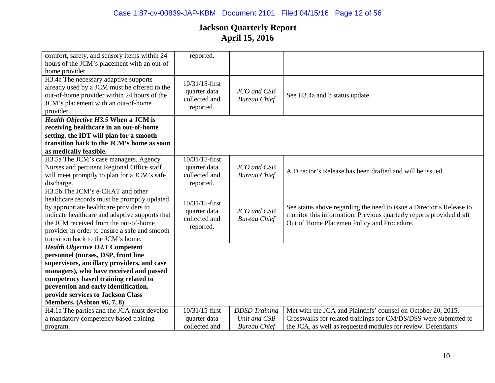| comfort, safety, and sensory items within 24   | reported.         |                      |                                                                      |
|------------------------------------------------|-------------------|----------------------|----------------------------------------------------------------------|
| hours of the JCM's placement with an out-of    |                   |                      |                                                                      |
| home provider.                                 |                   |                      |                                                                      |
| H3.4c The necessary adaptive supports          | 10/31/15-first    |                      |                                                                      |
| already used by a JCM must be offered to the   | quarter data      | JCO and CSB          |                                                                      |
| out-of-home provider within 24 hours of the    | collected and     | <b>Bureau Chief</b>  | See H3.4a and b status update.                                       |
| JCM's placement with an out-of-home            | reported.         |                      |                                                                      |
| provider.                                      |                   |                      |                                                                      |
| Health Objective H3.5 When a JCM is            |                   |                      |                                                                      |
| receiving healthcare in an out-of-home         |                   |                      |                                                                      |
| setting, the IDT will plan for a smooth        |                   |                      |                                                                      |
| transition back to the JCM's home as soon      |                   |                      |                                                                      |
| as medically feasible.                         |                   |                      |                                                                      |
| H3.5a The JCM's case managers, Agency          | 10/31/15-first    |                      |                                                                      |
| Nurses and pertinent Regional Office staff     | quarter data      | JCO and CSB          | A Director's Release has been drafted and will be issued.            |
| will meet promptly to plan for a JCM's safe    | collected and     | <b>Bureau Chief</b>  |                                                                      |
| discharge.                                     | reported.         |                      |                                                                      |
| H3.5b The JCM's e-CHAT and other               |                   |                      |                                                                      |
| healthcare records must be promptly updated    | $10/31/15$ -first |                      |                                                                      |
| by appropriate healthcare providers to         | quarter data      | JCO and CSB          | See status above regarding the need to issue a Director's Release to |
| indicate healthcare and adaptive supports that | collected and     | <b>Bureau Chief</b>  | monitor this information. Previous quarterly reports provided draft  |
| the JCM received from the out-of-home          | reported.         |                      | Out of Home Placemen Policy and Procedure.                           |
| provider in order to ensure a safe and smooth  |                   |                      |                                                                      |
| transition back to the JCM's home.             |                   |                      |                                                                      |
| <b>Health Objective H4.1 Competent</b>         |                   |                      |                                                                      |
| personnel (nurses, DSP, front line             |                   |                      |                                                                      |
| supervisors, ancillary providers, and case     |                   |                      |                                                                      |
| managers), who have received and passed        |                   |                      |                                                                      |
| competency based training related to           |                   |                      |                                                                      |
| prevention and early identification,           |                   |                      |                                                                      |
| provide services to Jackson Class              |                   |                      |                                                                      |
| Members. (Ashton #6, 7, 8)                     |                   |                      |                                                                      |
| H4.1a The parties and the JCA must develop     | 10/31/15-first    | <b>DDSD</b> Training | Met with the JCA and Plaintiffs' counsel on October 20, 2015.        |
| a mandatory competency based training          | quarter data      | Unit and CSB         | Crosswalks for related trainings for CM/DS/DSS were submitted to     |
| program.                                       | collected and     | <b>Bureau Chief</b>  | the JCA, as well as requested modules for review. Defendants         |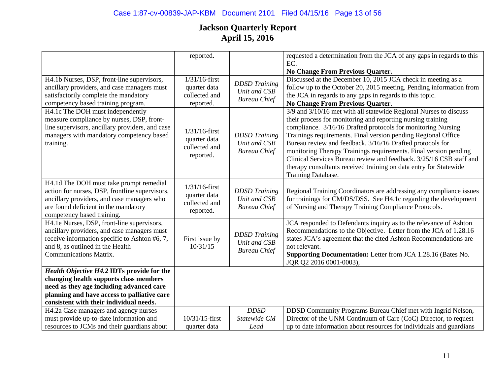|                                                 | reported.                  |                      | requested a determination from the JCA of any gaps in regards to this             |
|-------------------------------------------------|----------------------------|----------------------|-----------------------------------------------------------------------------------|
|                                                 |                            |                      | EC.                                                                               |
|                                                 |                            |                      |                                                                                   |
|                                                 |                            |                      | No Change From Previous Quarter.                                                  |
| H4.1b Nurses, DSP, front-line supervisors,      | $1/31/16$ -first           | <b>DDSD</b> Training | Discussed at the December 10, 2015 JCA check in meeting as a                      |
| ancillary providers, and case managers must     | quarter data               | Unit and CSB         | follow up to the October 20, 2015 meeting. Pending information from               |
| satisfactorily complete the mandatory           | collected and              | <b>Bureau Chief</b>  | the JCA in regards to any gaps in regards to this topic.                          |
| competency based training program.              | reported.                  |                      | No Change From Previous Quarter.                                                  |
| H4.1c The DOH must independently                |                            |                      | 3/9 and 3/10/16 met with all statewide Regional Nurses to discuss                 |
| measure compliance by nurses, DSP, front-       |                            |                      | their process for monitoring and reporting nursing training                       |
| line supervisors, ancillary providers, and case |                            |                      | compliance. 3/16/16 Drafted protocols for monitoring Nursing                      |
| managers with mandatory competency based        | $1/31/16$ -first           | <b>DDSD</b> Training | Trainings requirements. Final version pending Regional Office                     |
| training.                                       | quarter data               | Unit and CSB         | Bureau review and feedback. 3/16/16 Drafted protocols for                         |
|                                                 | collected and              | <b>Bureau Chief</b>  | monitoring Therapy Trainings requirements. Final version pending                  |
|                                                 | reported.                  |                      | Clinical Services Bureau review and feedback. 3/25/16 CSB staff and               |
|                                                 |                            |                      | therapy consultants received training on data entry for Statewide                 |
|                                                 |                            |                      | Training Database.                                                                |
| H4.1d The DOH must take prompt remedial         |                            |                      |                                                                                   |
| action for nurses, DSP, frontline supervisors,  | $1/31/16$ -first           | <b>DDSD</b> Training | Regional Training Coordinators are addressing any compliance issues               |
| ancillary providers, and case managers who      | quarter data               | Unit and CSB         | for trainings for CM/DS/DSS. See H4.1c regarding the development                  |
| are found deficient in the mandatory            | collected and              | <b>Bureau Chief</b>  | of Nursing and Therapy Training Compliance Protocols.                             |
| competency based training.                      | reported.                  |                      |                                                                                   |
| H4.1e Nurses, DSP, front-line supervisors,      |                            |                      | JCA responded to Defendants inquiry as to the relevance of Ashton                 |
| ancillary providers, and case managers must     |                            |                      | Recommendations to the Objective. Letter from the JCA of 1.28.16                  |
|                                                 |                            | <b>DDSD</b> Training |                                                                                   |
| receive information specific to Ashton #6, 7,   | First issue by<br>10/31/15 | Unit and CSB         | states JCA's agreement that the cited Ashton Recommendations are<br>not relevant. |
| and 8, as outlined in the Health                |                            | <b>Bureau Chief</b>  |                                                                                   |
| <b>Communications Matrix.</b>                   |                            |                      | Supporting Documentation: Letter from JCA 1.28.16 (Bates No.                      |
|                                                 |                            |                      | JQR Q2 2016 0001-0003),                                                           |
| Health Objective H4.2 IDTs provide for the      |                            |                      |                                                                                   |
| changing health supports class members          |                            |                      |                                                                                   |
| need as they age including advanced care        |                            |                      |                                                                                   |
| planning and have access to palliative care     |                            |                      |                                                                                   |
| consistent with their individual needs.         |                            |                      |                                                                                   |
| H4.2a Case managers and agency nurses           |                            | <b>DDSD</b>          | DDSD Community Programs Bureau Chief met with Ingrid Nelson,                      |
| must provide up-to-date information and         | 10/31/15-first             | Statewide CM         | Director of the UNM Continuum of Care (CoC) Director, to request                  |
| resources to JCMs and their guardians about     | quarter data               | Lead                 | up to date information about resources for individuals and guardians              |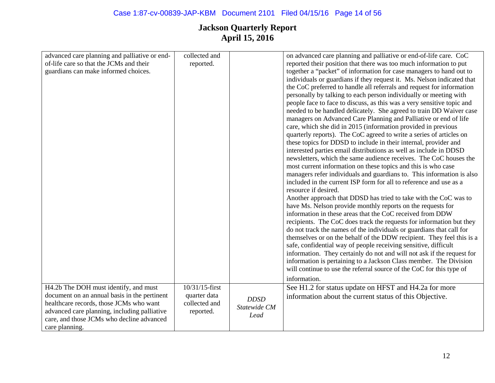| advanced care planning and palliative or end- | collected and  |              | on advanced care planning and palliative or end-of-life care. CoC      |
|-----------------------------------------------|----------------|--------------|------------------------------------------------------------------------|
| of-life care so that the JCMs and their       | reported.      |              | reported their position that there was too much information to put     |
| guardians can make informed choices.          |                |              | together a "packet" of information for case managers to hand out to    |
|                                               |                |              | individuals or guardians if they request it. Ms. Nelson indicated that |
|                                               |                |              | the CoC preferred to handle all referrals and request for information  |
|                                               |                |              | personally by talking to each person individually or meeting with      |
|                                               |                |              | people face to face to discuss, as this was a very sensitive topic and |
|                                               |                |              | needed to be handled delicately. She agreed to train DD Waiver case    |
|                                               |                |              | managers on Advanced Care Planning and Palliative or end of life       |
|                                               |                |              | care, which she did in 2015 (information provided in previous          |
|                                               |                |              | quarterly reports). The CoC agreed to write a series of articles on    |
|                                               |                |              | these topics for DDSD to include in their internal, provider and       |
|                                               |                |              | interested parties email distributions as well as include in DDSD      |
|                                               |                |              | newsletters, which the same audience receives. The CoC houses the      |
|                                               |                |              | most current information on these topics and this is who case          |
|                                               |                |              | managers refer individuals and guardians to. This information is also  |
|                                               |                |              | included in the current ISP form for all to reference and use as a     |
|                                               |                |              | resource if desired.                                                   |
|                                               |                |              | Another approach that DDSD has tried to take with the CoC was to       |
|                                               |                |              | have Ms. Nelson provide monthly reports on the requests for            |
|                                               |                |              | information in these areas that the CoC received from DDW              |
|                                               |                |              | recipients. The CoC does track the requests for information but they   |
|                                               |                |              | do not track the names of the individuals or guardians that call for   |
|                                               |                |              | themselves or on the behalf of the DDW recipient. They feel this is a  |
|                                               |                |              | safe, confidential way of people receiving sensitive, difficult        |
|                                               |                |              | information. They certainly do not and will not ask if the request for |
|                                               |                |              | information is pertaining to a Jackson Class member. The Division      |
|                                               |                |              | will continue to use the referral source of the CoC for this type of   |
|                                               |                |              | information.                                                           |
| H4.2b The DOH must identify, and must         | 10/31/15-first |              | See H1.2 for status update on HFST and H4.2a for more                  |
| document on an annual basis in the pertinent  | quarter data   |              | information about the current status of this Objective.                |
| healthcare records, those JCMs who want       | collected and  | <b>DDSD</b>  |                                                                        |
| advanced care planning, including palliative  | reported.      | Statewide CM |                                                                        |
| care, and those JCMs who decline advanced     |                | Lead         |                                                                        |
| care planning.                                |                |              |                                                                        |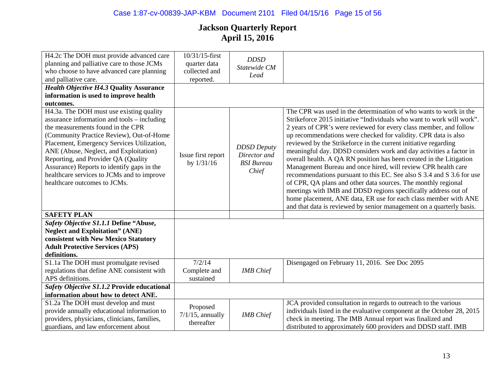| H4.2c The DOH must provide advanced care<br>planning and palliative care to those JCMs<br>who choose to have advanced care planning<br>and palliative care.                                                                                                                                                                                                                                                                         | 10/31/15-first<br>quarter data<br>collected and<br>reported. | <b>DDSD</b><br>Statewide CM<br>Lead                              |                                                                                                                                                                                                                                                                                                                                                                                                                                                                                                                                                                                                                                                                                                                                                                                                                                                                                                                           |
|-------------------------------------------------------------------------------------------------------------------------------------------------------------------------------------------------------------------------------------------------------------------------------------------------------------------------------------------------------------------------------------------------------------------------------------|--------------------------------------------------------------|------------------------------------------------------------------|---------------------------------------------------------------------------------------------------------------------------------------------------------------------------------------------------------------------------------------------------------------------------------------------------------------------------------------------------------------------------------------------------------------------------------------------------------------------------------------------------------------------------------------------------------------------------------------------------------------------------------------------------------------------------------------------------------------------------------------------------------------------------------------------------------------------------------------------------------------------------------------------------------------------------|
| <b>Health Objective H4.3 Quality Assurance</b>                                                                                                                                                                                                                                                                                                                                                                                      |                                                              |                                                                  |                                                                                                                                                                                                                                                                                                                                                                                                                                                                                                                                                                                                                                                                                                                                                                                                                                                                                                                           |
| information is used to improve health                                                                                                                                                                                                                                                                                                                                                                                               |                                                              |                                                                  |                                                                                                                                                                                                                                                                                                                                                                                                                                                                                                                                                                                                                                                                                                                                                                                                                                                                                                                           |
| outcomes.                                                                                                                                                                                                                                                                                                                                                                                                                           |                                                              |                                                                  |                                                                                                                                                                                                                                                                                                                                                                                                                                                                                                                                                                                                                                                                                                                                                                                                                                                                                                                           |
| H4.3a. The DOH must use existing quality<br>assurance information and tools – including<br>the measurements found in the CPR<br>(Community Practice Review), Out-of-Home<br>Placement, Emergency Services Utilization,<br>ANE (Abuse, Neglect, and Exploitation)<br>Reporting, and Provider QA (Quality<br>Assurance) Reports to identify gaps in the<br>healthcare services to JCMs and to improve<br>healthcare outcomes to JCMs. | Issue first report<br>by 1/31/16                             | <b>DDSD</b> Deputy<br>Director and<br><b>BSI</b> Bureau<br>Chief | The CPR was used in the determination of who wants to work in the<br>Strikeforce 2015 initiative "Individuals who want to work will work".<br>2 years of CPR's were reviewed for every class member, and follow<br>up recommendations were checked for validity. CPR data is also<br>reviewed by the Strikeforce in the current initiative regarding<br>meaningful day. DDSD considers work and day activities a factor in<br>overall health. A QA RN position has been created in the Litigation<br>Management Bureau and once hired, will review CPR health care<br>recommendations pursuant to this EC. See also S 3.4 and S 3.6 for use<br>of CPR, QA plans and other data sources. The monthly regional<br>meetings with IMB and DDSD regions specifically address out of<br>home placement, ANE data, ER use for each class member with ANE<br>and that data is reviewed by senior management on a quarterly basis. |
| <b>SAFETY PLAN</b>                                                                                                                                                                                                                                                                                                                                                                                                                  |                                                              |                                                                  |                                                                                                                                                                                                                                                                                                                                                                                                                                                                                                                                                                                                                                                                                                                                                                                                                                                                                                                           |
| Safety Objective S1.1.1 Define "Abuse,                                                                                                                                                                                                                                                                                                                                                                                              |                                                              |                                                                  |                                                                                                                                                                                                                                                                                                                                                                                                                                                                                                                                                                                                                                                                                                                                                                                                                                                                                                                           |
| <b>Neglect and Exploitation" (ANE)</b>                                                                                                                                                                                                                                                                                                                                                                                              |                                                              |                                                                  |                                                                                                                                                                                                                                                                                                                                                                                                                                                                                                                                                                                                                                                                                                                                                                                                                                                                                                                           |
| consistent with New Mexico Statutory                                                                                                                                                                                                                                                                                                                                                                                                |                                                              |                                                                  |                                                                                                                                                                                                                                                                                                                                                                                                                                                                                                                                                                                                                                                                                                                                                                                                                                                                                                                           |
| <b>Adult Protective Services (APS)</b>                                                                                                                                                                                                                                                                                                                                                                                              |                                                              |                                                                  |                                                                                                                                                                                                                                                                                                                                                                                                                                                                                                                                                                                                                                                                                                                                                                                                                                                                                                                           |
| definitions.                                                                                                                                                                                                                                                                                                                                                                                                                        |                                                              |                                                                  |                                                                                                                                                                                                                                                                                                                                                                                                                                                                                                                                                                                                                                                                                                                                                                                                                                                                                                                           |
| S1.1a The DOH must promulgate revised                                                                                                                                                                                                                                                                                                                                                                                               | 7/2/14                                                       |                                                                  | Disengaged on February 11, 2016. See Doc 2095                                                                                                                                                                                                                                                                                                                                                                                                                                                                                                                                                                                                                                                                                                                                                                                                                                                                             |
| regulations that define ANE consistent with                                                                                                                                                                                                                                                                                                                                                                                         | Complete and                                                 | <b>IMB</b> Chief                                                 |                                                                                                                                                                                                                                                                                                                                                                                                                                                                                                                                                                                                                                                                                                                                                                                                                                                                                                                           |
| APS definitions.                                                                                                                                                                                                                                                                                                                                                                                                                    | sustained                                                    |                                                                  |                                                                                                                                                                                                                                                                                                                                                                                                                                                                                                                                                                                                                                                                                                                                                                                                                                                                                                                           |
| Safety Objective S1.1.2 Provide educational                                                                                                                                                                                                                                                                                                                                                                                         |                                                              |                                                                  |                                                                                                                                                                                                                                                                                                                                                                                                                                                                                                                                                                                                                                                                                                                                                                                                                                                                                                                           |
| information about how to detect ANE.                                                                                                                                                                                                                                                                                                                                                                                                |                                                              |                                                                  |                                                                                                                                                                                                                                                                                                                                                                                                                                                                                                                                                                                                                                                                                                                                                                                                                                                                                                                           |
| S1.2a The DOH must develop and must<br>provide annually educational information to<br>providers, physicians, clinicians, families,<br>guardians, and law enforcement about                                                                                                                                                                                                                                                          | Proposed<br>$7/1/15$ , annually<br>thereafter                | <b>IMB</b> Chief                                                 | JCA provided consultation in regards to outreach to the various<br>individuals listed in the evaluative component at the October 28, 2015<br>check in meeting. The IMB Annual report was finalized and<br>distributed to approximately 600 providers and DDSD staff. IMB                                                                                                                                                                                                                                                                                                                                                                                                                                                                                                                                                                                                                                                  |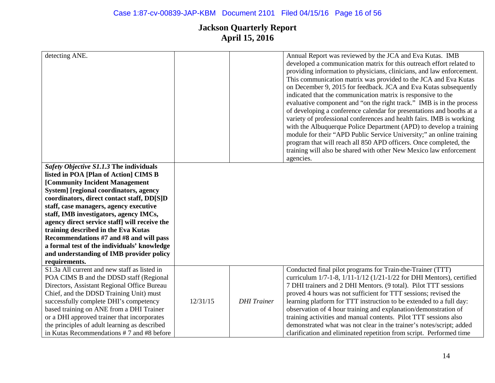| detecting ANE.                                |          |                    | Annual Report was reviewed by the JCA and Eva Kutas. IMB<br>developed a communication matrix for this outreach effort related to<br>providing information to physicians, clinicians, and law enforcement.<br>This communication matrix was provided to the JCA and Eva Kutas<br>on December 9, 2015 for feedback. JCA and Eva Kutas subsequently<br>indicated that the communication matrix is responsive to the<br>evaluative component and "on the right track." IMB is in the process<br>of developing a conference calendar for presentations and booths at a<br>variety of professional conferences and health fairs. IMB is working<br>with the Albuquerque Police Department (APD) to develop a training<br>module for their "APD Public Service University;" an online training<br>program that will reach all 850 APD officers. Once completed, the<br>training will also be shared with other New Mexico law enforcement<br>agencies. |
|-----------------------------------------------|----------|--------------------|-------------------------------------------------------------------------------------------------------------------------------------------------------------------------------------------------------------------------------------------------------------------------------------------------------------------------------------------------------------------------------------------------------------------------------------------------------------------------------------------------------------------------------------------------------------------------------------------------------------------------------------------------------------------------------------------------------------------------------------------------------------------------------------------------------------------------------------------------------------------------------------------------------------------------------------------------|
| Safety Objective S1.1.3 The individuals       |          |                    |                                                                                                                                                                                                                                                                                                                                                                                                                                                                                                                                                                                                                                                                                                                                                                                                                                                                                                                                                 |
| listed in POA [Plan of Action] CIMS B         |          |                    |                                                                                                                                                                                                                                                                                                                                                                                                                                                                                                                                                                                                                                                                                                                                                                                                                                                                                                                                                 |
| [Community Incident Management                |          |                    |                                                                                                                                                                                                                                                                                                                                                                                                                                                                                                                                                                                                                                                                                                                                                                                                                                                                                                                                                 |
| System] [regional coordinators, agency        |          |                    |                                                                                                                                                                                                                                                                                                                                                                                                                                                                                                                                                                                                                                                                                                                                                                                                                                                                                                                                                 |
| coordinators, direct contact staff, DD[S]D    |          |                    |                                                                                                                                                                                                                                                                                                                                                                                                                                                                                                                                                                                                                                                                                                                                                                                                                                                                                                                                                 |
| staff, case managers, agency executive        |          |                    |                                                                                                                                                                                                                                                                                                                                                                                                                                                                                                                                                                                                                                                                                                                                                                                                                                                                                                                                                 |
| staff, IMB investigators, agency IMCs,        |          |                    |                                                                                                                                                                                                                                                                                                                                                                                                                                                                                                                                                                                                                                                                                                                                                                                                                                                                                                                                                 |
| agency direct service staff] will receive the |          |                    |                                                                                                                                                                                                                                                                                                                                                                                                                                                                                                                                                                                                                                                                                                                                                                                                                                                                                                                                                 |
| training described in the Eva Kutas           |          |                    |                                                                                                                                                                                                                                                                                                                                                                                                                                                                                                                                                                                                                                                                                                                                                                                                                                                                                                                                                 |
| Recommendations #7 and #8 and will pass       |          |                    |                                                                                                                                                                                                                                                                                                                                                                                                                                                                                                                                                                                                                                                                                                                                                                                                                                                                                                                                                 |
| a formal test of the individuals' knowledge   |          |                    |                                                                                                                                                                                                                                                                                                                                                                                                                                                                                                                                                                                                                                                                                                                                                                                                                                                                                                                                                 |
| and understanding of IMB provider policy      |          |                    |                                                                                                                                                                                                                                                                                                                                                                                                                                                                                                                                                                                                                                                                                                                                                                                                                                                                                                                                                 |
| requirements.                                 |          |                    |                                                                                                                                                                                                                                                                                                                                                                                                                                                                                                                                                                                                                                                                                                                                                                                                                                                                                                                                                 |
| S1.3a All current and new staff as listed in  |          |                    | Conducted final pilot programs for Train-the-Trainer (TTT)                                                                                                                                                                                                                                                                                                                                                                                                                                                                                                                                                                                                                                                                                                                                                                                                                                                                                      |
| POA CIMS B and the DDSD staff (Regional       |          |                    | curriculum 1/7-1-8, 1/11-1/12 (1/21-1/22 for DHI Mentors), certified                                                                                                                                                                                                                                                                                                                                                                                                                                                                                                                                                                                                                                                                                                                                                                                                                                                                            |
| Directors, Assistant Regional Office Bureau   |          |                    | 7 DHI trainers and 2 DHI Mentors. (9 total). Pilot TTT sessions                                                                                                                                                                                                                                                                                                                                                                                                                                                                                                                                                                                                                                                                                                                                                                                                                                                                                 |
| Chief, and the DDSD Training Unit) must       |          |                    | proved 4 hours was not sufficient for TTT sessions; revised the                                                                                                                                                                                                                                                                                                                                                                                                                                                                                                                                                                                                                                                                                                                                                                                                                                                                                 |
| successfully complete DHI's competency        | 12/31/15 | <b>DHI</b> Trainer | learning platform for TTT instruction to be extended to a full day:                                                                                                                                                                                                                                                                                                                                                                                                                                                                                                                                                                                                                                                                                                                                                                                                                                                                             |
| based training on ANE from a DHI Trainer      |          |                    | observation of 4 hour training and explanation/demonstration of                                                                                                                                                                                                                                                                                                                                                                                                                                                                                                                                                                                                                                                                                                                                                                                                                                                                                 |
| or a DHI approved trainer that incorporates   |          |                    | training activities and manual contents. Pilot TTT sessions also                                                                                                                                                                                                                                                                                                                                                                                                                                                                                                                                                                                                                                                                                                                                                                                                                                                                                |
| the principles of adult learning as described |          |                    | demonstrated what was not clear in the trainer's notes/script; added                                                                                                                                                                                                                                                                                                                                                                                                                                                                                                                                                                                                                                                                                                                                                                                                                                                                            |
| in Kutas Recommendations #7 and #8 before     |          |                    | clarification and eliminated repetition from script. Performed time                                                                                                                                                                                                                                                                                                                                                                                                                                                                                                                                                                                                                                                                                                                                                                                                                                                                             |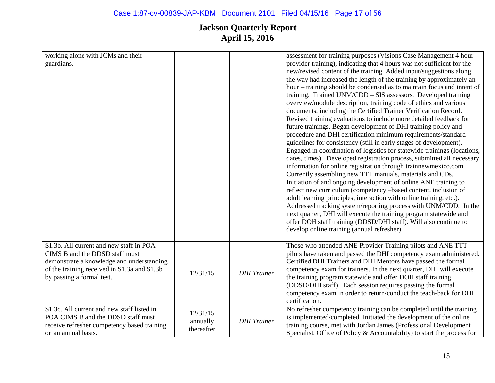| working alone with JCMs and their<br>guardians.                                                                                                                                                    |                                    |                    | assessment for training purposes (Visions Case Management 4 hour<br>provider training), indicating that 4 hours was not sufficient for the<br>new/revised content of the training. Added input/suggestions along<br>the way had increased the length of the training by approximately an<br>hour – training should be condensed as to maintain focus and intent of<br>training. Trained UNM/CDD - SIS assessors. Developed training<br>overview/module description, training code of ethics and various<br>documents, including the Certified Trainer Verification Record.<br>Revised training evaluations to include more detailed feedback for<br>future trainings. Began development of DHI training policy and<br>procedure and DHI certification minimum requirements/standard<br>guidelines for consistency (still in early stages of development).<br>Engaged in coordination of logistics for statewide trainings (locations,<br>dates, times). Developed registration process, submitted all necessary<br>information for online registration through trainnewmexico.com.<br>Currently assembling new TTT manuals, materials and CDs.<br>Initiation of and ongoing development of online ANE training to<br>reflect new curriculum (competency -based content, inclusion of<br>adult learning principles, interaction with online training, etc.).<br>Addressed tracking system/reporting process with UNM/CDD. In the<br>next quarter, DHI will execute the training program statewide and<br>offer DOH staff training (DDSD/DHI staff). Will also continue to<br>develop online training (annual refresher). |
|----------------------------------------------------------------------------------------------------------------------------------------------------------------------------------------------------|------------------------------------|--------------------|-------------------------------------------------------------------------------------------------------------------------------------------------------------------------------------------------------------------------------------------------------------------------------------------------------------------------------------------------------------------------------------------------------------------------------------------------------------------------------------------------------------------------------------------------------------------------------------------------------------------------------------------------------------------------------------------------------------------------------------------------------------------------------------------------------------------------------------------------------------------------------------------------------------------------------------------------------------------------------------------------------------------------------------------------------------------------------------------------------------------------------------------------------------------------------------------------------------------------------------------------------------------------------------------------------------------------------------------------------------------------------------------------------------------------------------------------------------------------------------------------------------------------------------------------------------------------------------------------------------------------|
| S1.3b. All current and new staff in POA<br>CIMS B and the DDSD staff must<br>demonstrate a knowledge and understanding<br>of the training received in S1.3a and S1.3b<br>by passing a formal test. | 12/31/15                           | <b>DHI</b> Trainer | Those who attended ANE Provider Training pilots and ANE TTT<br>pilots have taken and passed the DHI competency exam administered.<br>Certified DHI Trainers and DHI Mentors have passed the formal<br>competency exam for trainers. In the next quarter, DHI will execute<br>the training program statewide and offer DOH staff training<br>(DDSD/DHI staff). Each session requires passing the formal<br>competency exam in order to return/conduct the teach-back for DHI<br>certification.                                                                                                                                                                                                                                                                                                                                                                                                                                                                                                                                                                                                                                                                                                                                                                                                                                                                                                                                                                                                                                                                                                                           |
| S1.3c. All current and new staff listed in<br>POA CIMS B and the DDSD staff must<br>receive refresher competency based training<br>on an annual basis.                                             | 12/31/15<br>annually<br>thereafter | <b>DHI</b> Trainer | No refresher competency training can be completed until the training<br>is implemented/completed. Initiated the development of the online<br>training course, met with Jordan James (Professional Development<br>Specialist, Office of Policy $\&$ Accountability) to start the process for                                                                                                                                                                                                                                                                                                                                                                                                                                                                                                                                                                                                                                                                                                                                                                                                                                                                                                                                                                                                                                                                                                                                                                                                                                                                                                                             |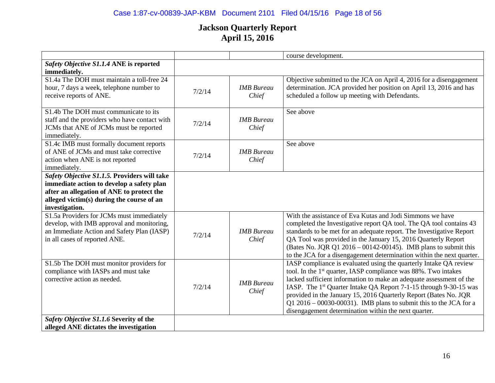# Case 1:87-cv-00839-JAP-KBM Document 2101 Filed 04/15/16 Page 18 of 56

|                                                                                          |        |                   | course development.                                                                                                                         |
|------------------------------------------------------------------------------------------|--------|-------------------|---------------------------------------------------------------------------------------------------------------------------------------------|
| Safety Objective S1.1.4 ANE is reported                                                  |        |                   |                                                                                                                                             |
| immediately.                                                                             |        |                   |                                                                                                                                             |
| S1.4a The DOH must maintain a toll-free 24                                               |        |                   | Objective submitted to the JCA on April 4, 2016 for a disengagement                                                                         |
| hour, 7 days a week, telephone number to                                                 | 7/2/14 | <b>IMB</b> Bureau | determination. JCA provided her position on April 13, 2016 and has                                                                          |
| receive reports of ANE.                                                                  |        | Chief             | scheduled a follow up meeting with Defendants.                                                                                              |
| S1.4b The DOH must communicate to its                                                    |        |                   | See above                                                                                                                                   |
| staff and the providers who have contact with                                            | 7/2/14 | <b>IMB</b> Bureau |                                                                                                                                             |
| JCMs that ANE of JCMs must be reported                                                   |        | Chief             |                                                                                                                                             |
| immediately.                                                                             |        |                   |                                                                                                                                             |
| S1.4c IMB must formally document reports                                                 |        |                   | See above                                                                                                                                   |
| of ANE of JCMs and must take corrective                                                  | 7/2/14 | <b>IMB</b> Bureau |                                                                                                                                             |
| action when ANE is not reported                                                          |        | Chief             |                                                                                                                                             |
| immediately.                                                                             |        |                   |                                                                                                                                             |
| Safety Objective S1.1.5. Providers will take                                             |        |                   |                                                                                                                                             |
| immediate action to develop a safety plan                                                |        |                   |                                                                                                                                             |
| after an allegation of ANE to protect the                                                |        |                   |                                                                                                                                             |
| alleged victim(s) during the course of an                                                |        |                   |                                                                                                                                             |
| investigation.                                                                           |        |                   |                                                                                                                                             |
| S1.5a Providers for JCMs must immediately                                                |        |                   | With the assistance of Eva Kutas and Jodi Simmons we have                                                                                   |
| develop, with IMB approval and monitoring,<br>an Immediate Action and Safety Plan (IASP) |        | <b>IMB</b> Bureau | completed the Investigative report QA tool. The QA tool contains 43<br>standards to be met for an adequate report. The Investigative Report |
| in all cases of reported ANE.                                                            | 7/2/14 | Chief             | QA Tool was provided in the January 15, 2016 Quarterly Report                                                                               |
|                                                                                          |        |                   | (Bates No. JQR Q1 $2016 - 00142 - 00145$ ). IMB plans to submit this                                                                        |
|                                                                                          |        |                   | to the JCA for a disengagement determination within the next quarter.                                                                       |
| S1.5b The DOH must monitor providers for                                                 |        |                   | IASP compliance is evaluated using the quarterly Intake QA review                                                                           |
| compliance with IASPs and must take                                                      |        |                   | tool. In the 1 <sup>st</sup> quarter, IASP compliance was 88%. Two intakes                                                                  |
| corrective action as needed.                                                             |        |                   | lacked sufficient information to make an adequate assessment of the                                                                         |
|                                                                                          | 7/2/14 | <b>IMB</b> Bureau | IASP. The 1 <sup>st</sup> Quarter Intake QA Report 7-1-15 through 9-30-15 was                                                               |
|                                                                                          |        | Chief             | provided in the January 15, 2016 Quarterly Report (Bates No. JQR                                                                            |
|                                                                                          |        |                   | Q1 2016 – 00030-00031). IMB plans to submit this to the JCA for a                                                                           |
|                                                                                          |        |                   | disengagement determination within the next quarter.                                                                                        |
| Safety Objective S1.1.6 Severity of the                                                  |        |                   |                                                                                                                                             |
| alleged ANE dictates the investigation                                                   |        |                   |                                                                                                                                             |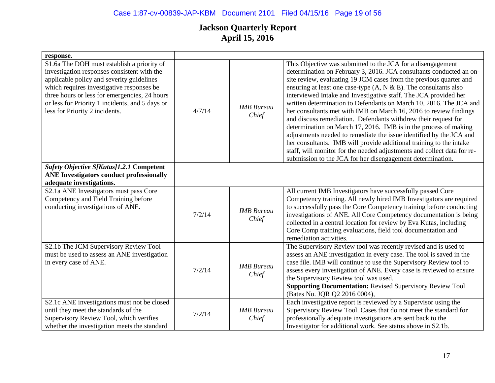| response.                                                                                                                                                                                                                                                                                                                 |        |                            |                                                                                                                                                                                                                                                                                                                                                                                                                                                                                                                                                                                                                                                                                                                                                                                                                                                                                                                             |
|---------------------------------------------------------------------------------------------------------------------------------------------------------------------------------------------------------------------------------------------------------------------------------------------------------------------------|--------|----------------------------|-----------------------------------------------------------------------------------------------------------------------------------------------------------------------------------------------------------------------------------------------------------------------------------------------------------------------------------------------------------------------------------------------------------------------------------------------------------------------------------------------------------------------------------------------------------------------------------------------------------------------------------------------------------------------------------------------------------------------------------------------------------------------------------------------------------------------------------------------------------------------------------------------------------------------------|
| S1.6a The DOH must establish a priority of<br>investigation responses consistent with the<br>applicable policy and severity guidelines<br>which requires investigative responses be<br>three hours or less for emergencies, 24 hours<br>or less for Priority 1 incidents, and 5 days or<br>less for Priority 2 incidents. | 4/7/14 | <b>IMB</b> Bureau<br>Chief | This Objective was submitted to the JCA for a disengagement<br>determination on February 3, 2016. JCA consultants conducted an on-<br>site review, evaluating 19 JCM cases from the previous quarter and<br>ensuring at least one case-type $(A, N & E)$ . The consultants also<br>interviewed Intake and Investigative staff. The JCA provided her<br>written determination to Defendants on March 10, 2016. The JCA and<br>her consultants met with IMB on March 16, 2016 to review findings<br>and discuss remediation. Defendants withdrew their request for<br>determination on March 17, 2016. IMB is in the process of making<br>adjustments needed to remediate the issue identified by the JCA and<br>her consultants. IMB will provide additional training to the intake<br>staff, will monitor for the needed adjustments and collect data for re-<br>submission to the JCA for her disengagement determination. |
| Safety Objective S[Kutas]1.2.1 Competent                                                                                                                                                                                                                                                                                  |        |                            |                                                                                                                                                                                                                                                                                                                                                                                                                                                                                                                                                                                                                                                                                                                                                                                                                                                                                                                             |
| <b>ANE Investigators conduct professionally</b>                                                                                                                                                                                                                                                                           |        |                            |                                                                                                                                                                                                                                                                                                                                                                                                                                                                                                                                                                                                                                                                                                                                                                                                                                                                                                                             |
| adequate investigations.                                                                                                                                                                                                                                                                                                  |        |                            |                                                                                                                                                                                                                                                                                                                                                                                                                                                                                                                                                                                                                                                                                                                                                                                                                                                                                                                             |
| S2.1a ANE Investigators must pass Core<br>Competency and Field Training before<br>conducting investigations of ANE.                                                                                                                                                                                                       | 7/2/14 | <b>IMB</b> Bureau<br>Chief | All current IMB Investigators have successfully passed Core<br>Competency training. All newly hired IMB Investigators are required<br>to successfully pass the Core Competency training before conducting<br>investigations of ANE. All Core Competency documentation is being<br>collected in a central location for review by Eva Kutas, including<br>Core Comp training evaluations, field tool documentation and<br>remediation activities.                                                                                                                                                                                                                                                                                                                                                                                                                                                                             |
| S2.1b The JCM Supervisory Review Tool<br>must be used to assess an ANE investigation<br>in every case of ANE.                                                                                                                                                                                                             | 7/2/14 | <b>IMB</b> Bureau<br>Chief | The Supervisory Review tool was recently revised and is used to<br>assess an ANE investigation in every case. The tool is saved in the<br>case file. IMB will continue to use the Supervisory Review tool to<br>assess every investigation of ANE. Every case is reviewed to ensure<br>the Supervisory Review tool was used.<br><b>Supporting Documentation: Revised Supervisory Review Tool</b><br>(Bates No. JQR Q2 2016 0004),                                                                                                                                                                                                                                                                                                                                                                                                                                                                                           |
| S2.1c ANE investigations must not be closed<br>until they meet the standards of the<br>Supervisory Review Tool, which verifies<br>whether the investigation meets the standard                                                                                                                                            | 7/2/14 | <b>IMB</b> Bureau<br>Chief | Each investigative report is reviewed by a Supervisor using the<br>Supervisory Review Tool. Cases that do not meet the standard for<br>professionally adequate investigations are sent back to the<br>Investigator for additional work. See status above in S2.1b.                                                                                                                                                                                                                                                                                                                                                                                                                                                                                                                                                                                                                                                          |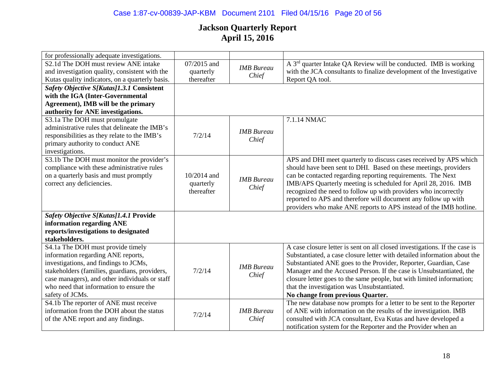# Case 1:87-cv-00839-JAP-KBM Document 2101 Filed 04/15/16 Page 20 of 56

| for professionally adequate investigations.     |             |                   |                                                                              |
|-------------------------------------------------|-------------|-------------------|------------------------------------------------------------------------------|
| S2.1d The DOH must review ANE intake            | 07/2015 and | <b>IMB</b> Bureau | A 3 <sup>rd</sup> quarter Intake QA Review will be conducted. IMB is working |
| and investigation quality, consistent with the  | quarterly   | Chief             | with the JCA consultants to finalize development of the Investigative        |
| Kutas quality indicators, on a quarterly basis. | thereafter  |                   | Report QA tool.                                                              |
| Safety Objective S[Kutas]1.3.1 Consistent       |             |                   |                                                                              |
| with the IGA (Inter-Governmental                |             |                   |                                                                              |
| Agreement), IMB will be the primary             |             |                   |                                                                              |
| authority for ANE investigations.               |             |                   |                                                                              |
| S3.1a The DOH must promulgate                   |             |                   | 7.1.14 NMAC                                                                  |
| administrative rules that delineate the IMB's   |             | <b>IMB</b> Bureau |                                                                              |
| responsibilities as they relate to the IMB's    | 7/2/14      | Chief             |                                                                              |
| primary authority to conduct ANE                |             |                   |                                                                              |
| investigations.                                 |             |                   |                                                                              |
| S3.1b The DOH must monitor the provider's       |             |                   | APS and DHI meet quarterly to discuss cases received by APS which            |
| compliance with these administrative rules      |             |                   | should have been sent to DHI. Based on these meetings, providers             |
| on a quarterly basis and must promptly          | 10/2014 and | <b>IMB</b> Bureau | can be contacted regarding reporting requirements. The Next                  |
| correct any deficiencies.                       | quarterly   | Chief             | IMB/APS Quarterly meeting is scheduled for April 28, 2016. IMB               |
|                                                 | thereafter  |                   | recognized the need to follow up with providers who incorrectly              |
|                                                 |             |                   | reported to APS and therefore will document any follow up with               |
|                                                 |             |                   | providers who make ANE reports to APS instead of the IMB hotline.            |
| Safety Objective S[Kutas]1.4.1 Provide          |             |                   |                                                                              |
| information regarding ANE                       |             |                   |                                                                              |
| reports/investigations to designated            |             |                   |                                                                              |
| stakeholders.                                   |             |                   |                                                                              |
| S4.1a The DOH must provide timely               |             |                   | A case closure letter is sent on all closed investigations. If the case is   |
| information regarding ANE reports,              |             |                   | Substantiated, a case closure letter with detailed information about the     |
| investigations, and findings to JCMs,           |             | <b>IMB</b> Bureau | Substantiated ANE goes to the Provider, Reporter, Guardian, Case             |
| stakeholders (families, guardians, providers,   | 7/2/14      | Chief             | Manager and the Accused Person. If the case is Unsubstantiated, the          |
| case managers), and other individuals or staff  |             |                   | closure letter goes to the same people, but with limited information;        |
| who need that information to ensure the         |             |                   | that the investigation was Unsubstantiated.                                  |
| safety of JCMs.                                 |             |                   | No change from previous Quarter.                                             |
| S4.1b The reporter of ANE must receive          |             |                   | The new database now prompts for a letter to be sent to the Reporter         |
| information from the DOH about the status       | 7/2/14      | <b>IMB</b> Bureau | of ANE with information on the results of the investigation. IMB             |
| of the ANE report and any findings.             |             | Chief             | consulted with JCA consultant, Eva Kutas and have developed a                |
|                                                 |             |                   | notification system for the Reporter and the Provider when an                |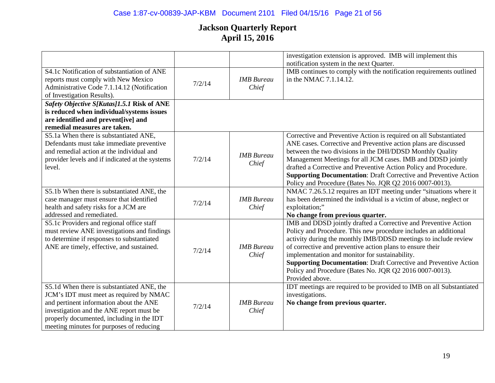|                                                                                                                                                                                                                                                                       |        |                            | investigation extension is approved. IMB will implement this<br>notification system in the next Quarter.                                                                                                                                                                                                                                                                                                                                                                      |
|-----------------------------------------------------------------------------------------------------------------------------------------------------------------------------------------------------------------------------------------------------------------------|--------|----------------------------|-------------------------------------------------------------------------------------------------------------------------------------------------------------------------------------------------------------------------------------------------------------------------------------------------------------------------------------------------------------------------------------------------------------------------------------------------------------------------------|
| S4.1c Notification of substantiation of ANE<br>reports must comply with New Mexico<br>Administrative Code 7.1.14.12 (Notification<br>of Investigation Results).                                                                                                       | 7/2/14 | <b>IMB</b> Bureau<br>Chief | IMB continues to comply with the notification requirements outlined<br>in the NMAC 7.1.14.12.                                                                                                                                                                                                                                                                                                                                                                                 |
| Safety Objective S[Kutas]1.5.1 Risk of ANE<br>is reduced when individual/systems issues<br>are identified and prevent[ive] and<br>remedial measures are taken.                                                                                                        |        |                            |                                                                                                                                                                                                                                                                                                                                                                                                                                                                               |
| S5.1a When there is substantiated ANE,<br>Defendants must take immediate preventive<br>and remedial action at the individual and<br>provider levels and if indicated at the systems<br>level.                                                                         | 7/2/14 | <b>IMB</b> Bureau<br>Chief | Corrective and Preventive Action is required on all Substantiated<br>ANE cases. Corrective and Preventive action plans are discussed<br>between the two divisions in the DHI/DDSD Monthly Quality<br>Management Meetings for all JCM cases. IMB and DDSD jointly<br>drafted a Corrective and Preventive Action Policy and Procedure.<br><b>Supporting Documentation: Draft Corrective and Preventive Action</b><br>Policy and Procedure (Bates No. JQR Q2 2016 0007-0013).    |
| S5.1b When there is substantiated ANE, the<br>case manager must ensure that identified<br>health and safety risks for a JCM are<br>addressed and remediated.                                                                                                          | 7/2/14 | <b>IMB</b> Bureau<br>Chief | NMAC 7.26.5.12 requires an IDT meeting under "situations where it<br>has been determined the individual is a victim of abuse, neglect or<br>exploitation;"<br>No change from previous quarter.                                                                                                                                                                                                                                                                                |
| S5.1c Providers and regional office staff<br>must review ANE investigations and findings<br>to determine if responses to substantiated<br>ANE are timely, effective, and sustained.                                                                                   | 7/2/14 | <b>IMB</b> Bureau<br>Chief | IMB and DDSD jointly drafted a Corrective and Preventive Action<br>Policy and Procedure. This new procedure includes an additional<br>activity during the monthly IMB/DDSD meetings to include review<br>of corrective and preventive action plans to ensure their<br>implementation and monitor for sustainability.<br><b>Supporting Documentation: Draft Corrective and Preventive Action</b><br>Policy and Procedure (Bates No. JQR Q2 2016 0007-0013).<br>Provided above. |
| S5.1d When there is substantiated ANE, the<br>JCM's IDT must meet as required by NMAC<br>and pertinent information about the ANE<br>investigation and the ANE report must be<br>properly documented, including in the IDT<br>meeting minutes for purposes of reducing | 7/2/14 | <b>IMB</b> Bureau<br>Chief | IDT meetings are required to be provided to IMB on all Substantiated<br>investigations.<br>No change from previous quarter.                                                                                                                                                                                                                                                                                                                                                   |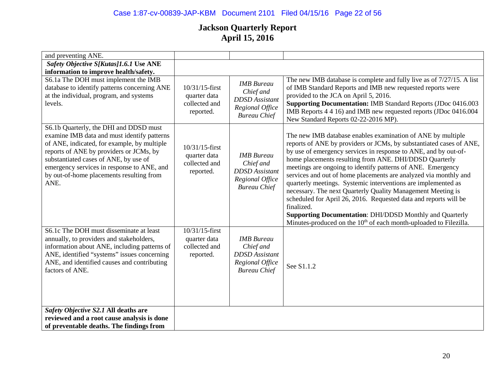# Case 1:87-cv-00839-JAP-KBM Document 2101 Filed 04/15/16 Page 22 of 56

| and preventing ANE.                          |                   |                       |                                                                               |
|----------------------------------------------|-------------------|-----------------------|-------------------------------------------------------------------------------|
|                                              |                   |                       |                                                                               |
| Safety Objective S[Kutas]1.6.1 Use ANE       |                   |                       |                                                                               |
| information to improve health/safety.        |                   |                       |                                                                               |
| S6.1a The DOH must implement the IMB         |                   | <b>IMB</b> Bureau     | The new IMB database is complete and fully live as of 7/27/15. A list         |
| database to identify patterns concerning ANE | 10/31/15-first    | Chief and             | of IMB Standard Reports and IMB new requested reports were                    |
| at the individual, program, and systems      | quarter data      | <b>DDSD</b> Assistant | provided to the JCA on April 5, 2016.                                         |
| levels.                                      | collected and     | Regional Office       | <b>Supporting Documentation: IMB Standard Reports (JDoc 0416.003</b>          |
|                                              | reported.         | <b>Bureau Chief</b>   | IMB Reports 4 4 16) and IMB new requested reports (JDoc 0416.004              |
|                                              |                   |                       | New Standard Reports 02-22-2016 MP).                                          |
| S6.1b Quarterly, the DHI and DDSD must       |                   |                       |                                                                               |
| examine IMB data and must identify patterns  |                   |                       | The new IMB database enables examination of ANE by multiple                   |
| of ANE, indicated, for example, by multiple  | $10/31/15$ -first |                       | reports of ANE by providers or JCMs, by substantiated cases of ANE,           |
| reports of ANE by providers or JCMs, by      | quarter data      | <b>IMB</b> Bureau     | by use of emergency services in response to ANE, and by out-of-               |
| substantiated cases of ANE, by use of        | collected and     | Chief and             | home placements resulting from ANE. DHI/DDSD Quarterly                        |
| emergency services in response to ANE, and   | reported.         | <b>DDSD</b> Assistant | meetings are ongoing to identify patterns of ANE. Emergency                   |
| by out-of-home placements resulting from     |                   | Regional Office       | services and out of home placements are analyzed via monthly and              |
| ANE.                                         |                   | <b>Bureau Chief</b>   | quarterly meetings. Systemic interventions are implemented as                 |
|                                              |                   |                       | necessary. The next Quarterly Quality Management Meeting is                   |
|                                              |                   |                       | scheduled for April 26, 2016. Requested data and reports will be              |
|                                              |                   |                       | finalized.                                                                    |
|                                              |                   |                       | <b>Supporting Documentation: DHI/DDSD Monthly and Quarterly</b>               |
|                                              |                   |                       | Minutes-produced on the 10 <sup>th</sup> of each month-uploaded to Filezilla. |
| S6.1c The DOH must disseminate at least      | 10/31/15-first    |                       |                                                                               |
| annually, to providers and stakeholders,     | quarter data      | <b>IMB</b> Bureau     |                                                                               |
| information about ANE, including patterns of | collected and     | Chief and             |                                                                               |
| ANE, identified "systems" issues concerning  | reported.         | <b>DDSD</b> Assistant |                                                                               |
| ANE, and identified causes and contributing  |                   | Regional Office       | See S1.1.2                                                                    |
| factors of ANE.                              |                   | <b>Bureau Chief</b>   |                                                                               |
|                                              |                   |                       |                                                                               |
|                                              |                   |                       |                                                                               |
|                                              |                   |                       |                                                                               |
|                                              |                   |                       |                                                                               |
| Safety Objective S2.1 All deaths are         |                   |                       |                                                                               |
| reviewed and a root cause analysis is done   |                   |                       |                                                                               |
| of preventable deaths. The findings from     |                   |                       |                                                                               |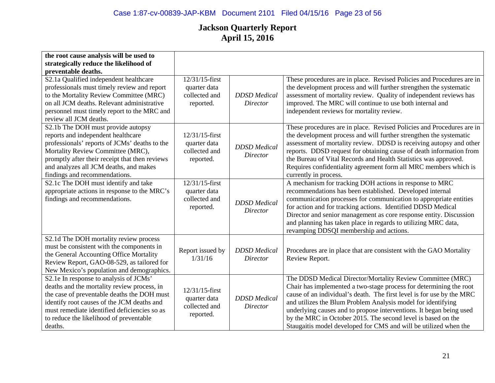| the root cause analysis will be used to                                                                                                                                                                                                                                                     |                                                              |                                        |                                                                                                                                                                                                                                                                                                                                                                                                                                                                                      |
|---------------------------------------------------------------------------------------------------------------------------------------------------------------------------------------------------------------------------------------------------------------------------------------------|--------------------------------------------------------------|----------------------------------------|--------------------------------------------------------------------------------------------------------------------------------------------------------------------------------------------------------------------------------------------------------------------------------------------------------------------------------------------------------------------------------------------------------------------------------------------------------------------------------------|
| strategically reduce the likelihood of                                                                                                                                                                                                                                                      |                                                              |                                        |                                                                                                                                                                                                                                                                                                                                                                                                                                                                                      |
| preventable deaths.                                                                                                                                                                                                                                                                         |                                                              |                                        |                                                                                                                                                                                                                                                                                                                                                                                                                                                                                      |
| S2.1a Qualified independent healthcare<br>professionals must timely review and report<br>to the Mortality Review Committee (MRC)<br>on all JCM deaths. Relevant administrative<br>personnel must timely report to the MRC and<br>review all JCM deaths.                                     | 12/31/15-first<br>quarter data<br>collected and<br>reported. | <b>DDSD</b> Medical<br><b>Director</b> | These procedures are in place. Revised Policies and Procedures are in<br>the development process and will further strengthen the systematic<br>assessment of mortality review. Quality of independent reviews has<br>improved. The MRC will continue to use both internal and<br>independent reviews for mortality review.                                                                                                                                                           |
| S2.1b The DOH must provide autopsy<br>reports and independent healthcare<br>professionals' reports of JCMs' deaths to the<br>Mortality Review Committee (MRC),<br>promptly after their receipt that then reviews<br>and analyzes all JCM deaths, and makes<br>findings and recommendations. | 12/31/15-first<br>quarter data<br>collected and<br>reported. | <b>DDSD</b> Medical<br>Director        | These procedures are in place. Revised Policies and Procedures are in<br>the development process and will further strengthen the systematic<br>assessment of mortality review. DDSD is receiving autopsy and other<br>reports. DDSD request for obtaining cause of death information from<br>the Bureau of Vital Records and Health Statistics was approved.<br>Requires confidentiality agreement form all MRC members which is<br>currently in process.                            |
| S2.1c The DOH must identify and take<br>appropriate actions in response to the MRC's<br>findings and recommendations.                                                                                                                                                                       | 12/31/15-first<br>quarter data<br>collected and<br>reported. | <b>DDSD</b> Medical<br>Director        | A mechanism for tracking DOH actions in response to MRC<br>recommendations has been established. Developed internal<br>communication processes for communication to appropriate entities<br>for action and for tracking actions. Identified DDSD Medical<br>Director and senior management as core response entity. Discussion<br>and planning has taken place in regards to utilizing MRC data,<br>revamping DDSQI membership and actions.                                          |
| S2.1d The DOH mortality review process<br>must be consistent with the components in<br>the General Accounting Office Mortality<br>Review Report, GAO-08-529, as tailored for<br>New Mexico's population and demographics.                                                                   | Report issued by<br>1/31/16                                  | <b>DDSD</b> Medical<br><b>Director</b> | Procedures are in place that are consistent with the GAO Mortality<br>Review Report.                                                                                                                                                                                                                                                                                                                                                                                                 |
| S2.1e In response to analysis of JCMs'<br>deaths and the mortality review process, in<br>the case of preventable deaths the DOH must<br>identify root causes of the JCM deaths and<br>must remediate identified deficiencies so as<br>to reduce the likelihood of preventable<br>deaths.    | 12/31/15-first<br>quarter data<br>collected and<br>reported. | <b>DDSD</b> Medical<br><b>Director</b> | The DDSD Medical Director/Mortality Review Committee (MRC)<br>Chair has implemented a two-stage process for determining the root<br>cause of an individual's death. The first level is for use by the MRC<br>and utilizes the Blum Problem Analysis model for identifying<br>underlying causes and to propose interventions. It began being used<br>by the MRC in October 2015. The second level is based on the<br>Staugaitis model developed for CMS and will be utilized when the |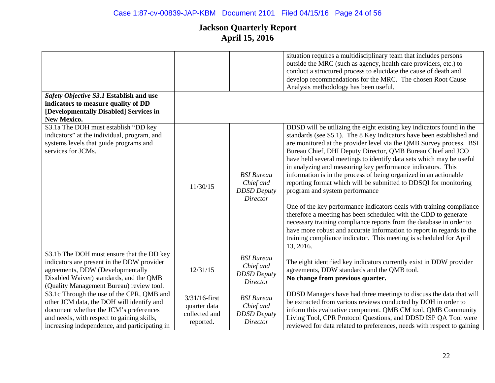|                                                                                                                                                                                                                                 |                                                                |                                                                         | situation requires a multidisciplinary team that includes persons<br>outside the MRC (such as agency, health care providers, etc.) to<br>conduct a structured process to elucidate the cause of death and<br>develop recommendations for the MRC. The chosen Root Cause<br>Analysis methodology has been useful.                                                                                                                                                                                                                                                                                                                                                                                                                                                                                                                                                                                                                                                                    |
|---------------------------------------------------------------------------------------------------------------------------------------------------------------------------------------------------------------------------------|----------------------------------------------------------------|-------------------------------------------------------------------------|-------------------------------------------------------------------------------------------------------------------------------------------------------------------------------------------------------------------------------------------------------------------------------------------------------------------------------------------------------------------------------------------------------------------------------------------------------------------------------------------------------------------------------------------------------------------------------------------------------------------------------------------------------------------------------------------------------------------------------------------------------------------------------------------------------------------------------------------------------------------------------------------------------------------------------------------------------------------------------------|
| Safety Objective S3.1 Establish and use<br>indicators to measure quality of DD<br>[Developmentally Disabled] Services in<br><b>New Mexico.</b>                                                                                  |                                                                |                                                                         |                                                                                                                                                                                                                                                                                                                                                                                                                                                                                                                                                                                                                                                                                                                                                                                                                                                                                                                                                                                     |
| S3.1a The DOH must establish "DD key<br>indicators" at the individual, program, and<br>systems levels that guide programs and<br>services for JCMs.                                                                             | 11/30/15                                                       | <b>BSI</b> Bureau<br>Chief and<br><b>DDSD</b> Deputy<br><b>Director</b> | DDSD will be utilizing the eight existing key indicators found in the<br>standards (see S5.1). The 8 Key Indicators have been established and<br>are monitored at the provider level via the QMB Survey process. BSI<br>Bureau Chief, DHI Deputy Director, QMB Bureau Chief and JCO<br>have held several meetings to identify data sets which may be useful<br>in analyzing and measuring key performance indicators. This<br>information is in the process of being organized in an actionable<br>reporting format which will be submitted to DDSQI for monitoring<br>program and system performance<br>One of the key performance indicators deals with training compliance<br>therefore a meeting has been scheduled with the CDD to generate<br>necessary training compliance reports from the database in order to<br>have more robust and accurate information to report in regards to the<br>training compliance indicator. This meeting is scheduled for April<br>13, 2016. |
| S3.1b The DOH must ensure that the DD key<br>indicators are present in the DDW provider<br>agreements, DDW (Developmentally<br>Disabled Waiver) standards, and the QMB<br>(Quality Management Bureau) review tool.              | 12/31/15                                                       | <b>BSI</b> Bureau<br>Chief and<br><b>DDSD</b> Deputy<br><b>Director</b> | The eight identified key indicators currently exist in DDW provider<br>agreements, DDW standards and the QMB tool.<br>No change from previous quarter.                                                                                                                                                                                                                                                                                                                                                                                                                                                                                                                                                                                                                                                                                                                                                                                                                              |
| S3.1c Through the use of the CPR, QMB and<br>other JCM data, the DOH will identify and<br>document whether the JCM's preferences<br>and needs, with respect to gaining skills,<br>increasing independence, and participating in | $3/31/16$ -first<br>quarter data<br>collected and<br>reported. | <b>BSI</b> Bureau<br>Chief and<br><b>DDSD</b> Deputy<br><b>Director</b> | DDSD Managers have had three meetings to discuss the data that will<br>be extracted from various reviews conducted by DOH in order to<br>inform this evaluative component. QMB CM tool, QMB Community<br>Living Tool, CPR Protocol Questions, and DDSD ISP QA Tool were<br>reviewed for data related to preferences, needs with respect to gaining                                                                                                                                                                                                                                                                                                                                                                                                                                                                                                                                                                                                                                  |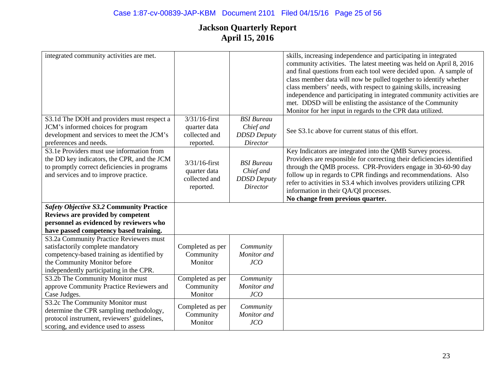| integrated community activities are met.                                                                                                                                                              |                                                                           |                                                                         | skills, increasing independence and participating in integrated<br>community activities. The latest meeting was held on April 8, 2016<br>and final questions from each tool were decided upon. A sample of<br>class member data will now be pulled together to identify whether<br>class members' needs, with respect to gaining skills, increasing<br>independence and participating in integrated community activities are<br>met. DDSD will be enlisting the assistance of the Community<br>Monitor for her input in regards to the CPR data utilized. |
|-------------------------------------------------------------------------------------------------------------------------------------------------------------------------------------------------------|---------------------------------------------------------------------------|-------------------------------------------------------------------------|-----------------------------------------------------------------------------------------------------------------------------------------------------------------------------------------------------------------------------------------------------------------------------------------------------------------------------------------------------------------------------------------------------------------------------------------------------------------------------------------------------------------------------------------------------------|
| S3.1d The DOH and providers must respect a<br>JCM's informed choices for program<br>development and services to meet the JCM's<br>preferences and needs.                                              | $\overline{3}/31/16$ -first<br>quarter data<br>collected and<br>reported. | <b>BSI</b> Bureau<br>Chief and<br><b>DDSD</b> Deputy<br>Director        | See S3.1c above for current status of this effort.                                                                                                                                                                                                                                                                                                                                                                                                                                                                                                        |
| S3.1e Providers must use information from<br>the DD key indicators, the CPR, and the JCM<br>to promptly correct deficiencies in programs<br>and services and to improve practice.                     | $3/31/16$ -first<br>quarter data<br>collected and<br>reported.            | <b>BSI</b> Bureau<br>Chief and<br><b>DDSD</b> Deputy<br><b>Director</b> | Key Indicators are integrated into the QMB Survey process.<br>Providers are responsible for correcting their deficiencies identified<br>through the QMB process. CPR-Providers engage in 30-60-90 day<br>follow up in regards to CPR findings and recommendations. Also<br>refer to activities in S3.4 which involves providers utilizing CPR<br>information in their QA/QI processes.<br>No change from previous quarter.                                                                                                                                |
| <b>Safety Objective S3.2 Community Practice</b><br>Reviews are provided by competent<br>personnel as evidenced by reviewers who<br>have passed competency based training.                             |                                                                           |                                                                         |                                                                                                                                                                                                                                                                                                                                                                                                                                                                                                                                                           |
| S3.2a Community Practice Reviewers must<br>satisfactorily complete mandatory<br>competency-based training as identified by<br>the Community Monitor before<br>independently participating in the CPR. | Completed as per<br>Community<br>Monitor                                  | Community<br>Monitor and<br>JCO                                         |                                                                                                                                                                                                                                                                                                                                                                                                                                                                                                                                                           |
| S3.2b The Community Monitor must<br>approve Community Practice Reviewers and<br>Case Judges.                                                                                                          | Completed as per<br>Community<br>Monitor                                  | Community<br>Monitor and<br>JCO                                         |                                                                                                                                                                                                                                                                                                                                                                                                                                                                                                                                                           |
| S3.2c The Community Monitor must<br>determine the CPR sampling methodology,<br>protocol instrument, reviewers' guidelines,<br>scoring, and evidence used to assess                                    | Completed as per<br>Community<br>Monitor                                  | Community<br>Monitor and<br>JCO                                         |                                                                                                                                                                                                                                                                                                                                                                                                                                                                                                                                                           |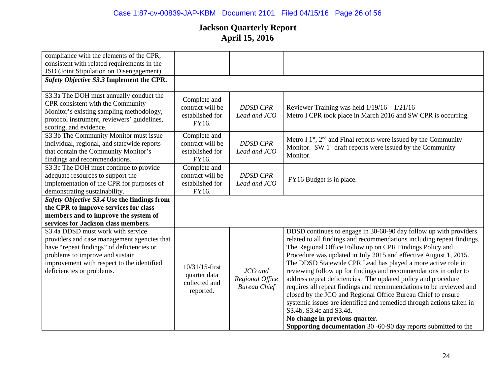| compliance with the elements of the CPR,    |                  |                     |                                                                        |
|---------------------------------------------|------------------|---------------------|------------------------------------------------------------------------|
| consistent with related requirements in the |                  |                     |                                                                        |
| JSD (Joint Stipulation on Disengagement)    |                  |                     |                                                                        |
| Safety Objective S3.3 Implement the CPR.    |                  |                     |                                                                        |
|                                             |                  |                     |                                                                        |
| S3.3a The DOH must annually conduct the     |                  |                     |                                                                        |
| CPR consistent with the Community           | Complete and     |                     |                                                                        |
| Monitor's existing sampling methodology,    | contract will be | <b>DDSD CPR</b>     | Reviewer Training was held $1/19/16 - 1/21/16$                         |
| protocol instrument, reviewers' guidelines, | established for  | Lead and JCO        | Metro I CPR took place in March 2016 and SW CPR is occurring.          |
| scoring, and evidence.                      | FY16.            |                     |                                                                        |
| S3.3b The Community Monitor must issue      | Complete and     |                     |                                                                        |
| individual, regional, and statewide reports | contract will be | <b>DDSD CPR</b>     | Metro I $1st$ , $2nd$ and Final reports were issued by the Community   |
|                                             |                  |                     | Monitor. SW 1 <sup>st</sup> draft reports were issued by the Community |
| that contain the Community Monitor's        | established for  | Lead and JCO        | Monitor.                                                               |
| findings and recommendations.               | FY16.            |                     |                                                                        |
| S3.3c The DOH must continue to provide      | Complete and     |                     |                                                                        |
| adequate resources to support the           | contract will be | <b>DDSD CPR</b>     | FY16 Budget is in place.                                               |
| implementation of the CPR for purposes of   | established for  | Lead and JCO        |                                                                        |
| demonstrating sustainability.               | FY16.            |                     |                                                                        |
| Safety Objective S3.4 Use the findings from |                  |                     |                                                                        |
| the CPR to improve services for class       |                  |                     |                                                                        |
| members and to improve the system of        |                  |                     |                                                                        |
| services for Jackson class members.         |                  |                     |                                                                        |
| S3.4a DDSD must work with service           |                  |                     | DDSD continues to engage in 30-60-90 day follow up with providers      |
| providers and case management agencies that |                  |                     | related to all findings and recommendations including repeat findings. |
| have "repeat findings" of deficiencies or   |                  |                     | The Regional Office Follow up on CPR Findings Policy and               |
| problems to improve and sustain             |                  |                     | Procedure was updated in July 2015 and effective August 1, 2015.       |
|                                             |                  |                     |                                                                        |
| improvement with respect to the identified  | 10/31/15-first   |                     | The DDSD Statewide CPR Lead has played a more active role in           |
| deficiencies or problems.                   | quarter data     | JCO and             | reviewing follow up for findings and recommendations in order to       |
|                                             | collected and    | Regional Office     | address repeat deficiencies. The updated policy and procedure          |
|                                             | reported.        | <b>Bureau Chief</b> | requires all repeat findings and recommendations to be reviewed and    |
|                                             |                  |                     | closed by the JCO and Regional Office Bureau Chief to ensure           |
|                                             |                  |                     | systemic issues are identified and remedied through actions taken in   |
|                                             |                  |                     | S3.4b, S3.4c and S3.4d.                                                |
|                                             |                  |                     | No change in previous quarter.                                         |
|                                             |                  |                     | <b>Supporting documentation</b> 30 -60-90 day reports submitted to the |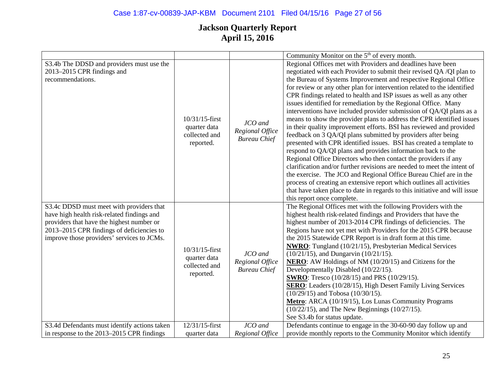# Case 1:87-cv-00839-JAP-KBM Document 2101 Filed 04/15/16 Page 27 of 56

|                                                                                                                                                                                                                                |                                                                 |                                                   | Community Monitor on the 5 <sup>th</sup> of every month.                                                                                                                                                                                                                                                                                                                                                                                                                                                                                                                                                                                                                                                                                                                                                                                                                                                                                                                                                                                                                                                                                                                                                                                                        |
|--------------------------------------------------------------------------------------------------------------------------------------------------------------------------------------------------------------------------------|-----------------------------------------------------------------|---------------------------------------------------|-----------------------------------------------------------------------------------------------------------------------------------------------------------------------------------------------------------------------------------------------------------------------------------------------------------------------------------------------------------------------------------------------------------------------------------------------------------------------------------------------------------------------------------------------------------------------------------------------------------------------------------------------------------------------------------------------------------------------------------------------------------------------------------------------------------------------------------------------------------------------------------------------------------------------------------------------------------------------------------------------------------------------------------------------------------------------------------------------------------------------------------------------------------------------------------------------------------------------------------------------------------------|
| S3.4b The DDSD and providers must use the<br>2013-2015 CPR findings and<br>recommendations.                                                                                                                                    | $10/31/15$ -first<br>quarter data<br>collected and<br>reported. | JCO and<br>Regional Office<br><b>Bureau Chief</b> | Regional Offices met with Providers and deadlines have been<br>negotiated with each Provider to submit their revised QA /QI plan to<br>the Bureau of Systems Improvement and respective Regional Office<br>for review or any other plan for intervention related to the identified<br>CPR findings related to health and ISP issues as well as any other<br>issues identified for remediation by the Regional Office. Many<br>interventions have included provider submission of QA/QI plans as a<br>means to show the provider plans to address the CPR identified issues<br>in their quality improvement efforts. BSI has reviewed and provided<br>feedback on 3 QA/QI plans submitted by providers after being<br>presented with CPR identified issues. BSI has created a template to<br>respond to QA/QI plans and provides information back to the<br>Regional Office Directors who then contact the providers if any<br>clarification and/or further revisions are needed to meet the intent of<br>the exercise. The JCO and Regional Office Bureau Chief are in the<br>process of creating an extensive report which outlines all activities<br>that have taken place to date in regards to this initiative and will issue<br>this report once complete. |
| S3.4c DDSD must meet with providers that<br>have high health risk-related findings and<br>providers that have the highest number or<br>2013-2015 CPR findings of deficiencies to<br>improve those providers' services to JCMs. | 10/31/15-first<br>quarter data<br>collected and<br>reported.    | JCO and<br>Regional Office<br><b>Bureau Chief</b> | The Regional Offices met with the following Providers with the<br>highest health risk-related findings and Providers that have the<br>highest number of 2013-2014 CPR findings of deficiencies. The<br>Regions have not yet met with Providers for the 2015 CPR because<br>the 2015 Statewide CPR Report is in draft form at this time.<br><b>NWRO</b> : Tungland (10/21/15), Presbyterian Medical Services<br>$(10/21/15)$ , and Dungarvin $(10/21/15)$ .<br><b>NERO:</b> AW Holdings of NM (10/20/15) and Citizens for the<br>Developmentally Disabled (10/22/15).<br><b>SWRO</b> : Tresco (10/28/15) and PRS (10/29/15).<br><b>SERO</b> : Leaders (10/28/15), High Desert Family Living Services<br>$(10/29/15)$ and Tobosa $(10/30/15)$ .<br>Metro: ARCA (10/19/15), Los Lunas Community Programs<br>$(10/22/15)$ , and The New Beginnings $(10/27/15)$ .<br>See S3.4b for status update.                                                                                                                                                                                                                                                                                                                                                                   |
| S3.4d Defendants must identify actions taken                                                                                                                                                                                   | 12/31/15-first                                                  | JCO and                                           | Defendants continue to engage in the 30-60-90 day follow up and                                                                                                                                                                                                                                                                                                                                                                                                                                                                                                                                                                                                                                                                                                                                                                                                                                                                                                                                                                                                                                                                                                                                                                                                 |
| in response to the 2013–2015 CPR findings                                                                                                                                                                                      | quarter data                                                    | Regional Office                                   | provide monthly reports to the Community Monitor which identify                                                                                                                                                                                                                                                                                                                                                                                                                                                                                                                                                                                                                                                                                                                                                                                                                                                                                                                                                                                                                                                                                                                                                                                                 |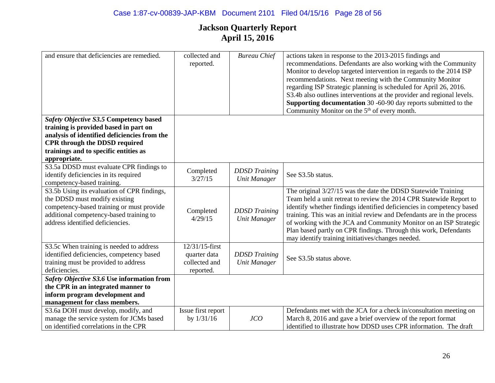| and ensure that deficiencies are remedied.                                                                                                                                                               | collected and<br>reported.                 | <b>Bureau Chief</b>                         | actions taken in response to the 2013-2015 findings and<br>recommendations. Defendants are also working with the Community<br>Monitor to develop targeted intervention in regards to the 2014 ISP<br>recommendations. Next meeting with the Community Monitor<br>regarding ISP Strategic planning is scheduled for April 26, 2016.<br>S3.4b also outlines interventions at the provider and regional levels.<br><b>Supporting documentation</b> 30 -60-90 day reports submitted to the<br>Community Monitor on the 5 <sup>th</sup> of every month. |
|----------------------------------------------------------------------------------------------------------------------------------------------------------------------------------------------------------|--------------------------------------------|---------------------------------------------|----------------------------------------------------------------------------------------------------------------------------------------------------------------------------------------------------------------------------------------------------------------------------------------------------------------------------------------------------------------------------------------------------------------------------------------------------------------------------------------------------------------------------------------------------|
| Safety Objective S3.5 Competency based                                                                                                                                                                   |                                            |                                             |                                                                                                                                                                                                                                                                                                                                                                                                                                                                                                                                                    |
| training is provided based in part on                                                                                                                                                                    |                                            |                                             |                                                                                                                                                                                                                                                                                                                                                                                                                                                                                                                                                    |
| analysis of identified deficiencies from the                                                                                                                                                             |                                            |                                             |                                                                                                                                                                                                                                                                                                                                                                                                                                                                                                                                                    |
| <b>CPR</b> through the DDSD required                                                                                                                                                                     |                                            |                                             |                                                                                                                                                                                                                                                                                                                                                                                                                                                                                                                                                    |
| trainings and to specific entities as                                                                                                                                                                    |                                            |                                             |                                                                                                                                                                                                                                                                                                                                                                                                                                                                                                                                                    |
| appropriate.                                                                                                                                                                                             |                                            |                                             |                                                                                                                                                                                                                                                                                                                                                                                                                                                                                                                                                    |
| S3.5a DDSD must evaluate CPR findings to<br>identify deficiencies in its required                                                                                                                        | Completed<br>3/27/15                       | <b>DDSD</b> Training<br><b>Unit Manager</b> | See S3.5b status.                                                                                                                                                                                                                                                                                                                                                                                                                                                                                                                                  |
| competency-based training.                                                                                                                                                                               |                                            |                                             |                                                                                                                                                                                                                                                                                                                                                                                                                                                                                                                                                    |
| S3.5b Using its evaluation of CPR findings,<br>the DDSD must modify existing<br>competency-based training or must provide<br>additional competency-based training to<br>address identified deficiencies. | Completed<br>4/29/15                       | <b>DDSD</b> Training<br><b>Unit Manager</b> | The original 3/27/15 was the date the DDSD Statewide Training<br>Team held a unit retreat to review the 2014 CPR Statewide Report to<br>identify whether findings identified deficiencies in competency based<br>training. This was an initial review and Defendants are in the process<br>of working with the JCA and Community Monitor on an ISP Strategic<br>Plan based partly on CPR findings. Through this work, Defendants<br>may identify training initiatives/changes needed.                                                              |
| S3.5c When training is needed to address                                                                                                                                                                 | 12/31/15-first                             |                                             |                                                                                                                                                                                                                                                                                                                                                                                                                                                                                                                                                    |
| identified deficiencies, competency based<br>training must be provided to address<br>deficiencies.                                                                                                       | quarter data<br>collected and<br>reported. | <b>DDSD</b> Training<br><b>Unit Manager</b> | See S3.5b status above.                                                                                                                                                                                                                                                                                                                                                                                                                                                                                                                            |
| Safety Objective S3.6 Use information from                                                                                                                                                               |                                            |                                             |                                                                                                                                                                                                                                                                                                                                                                                                                                                                                                                                                    |
| the CPR in an integrated manner to                                                                                                                                                                       |                                            |                                             |                                                                                                                                                                                                                                                                                                                                                                                                                                                                                                                                                    |
| inform program development and                                                                                                                                                                           |                                            |                                             |                                                                                                                                                                                                                                                                                                                                                                                                                                                                                                                                                    |
| management for class members.                                                                                                                                                                            |                                            |                                             |                                                                                                                                                                                                                                                                                                                                                                                                                                                                                                                                                    |
| S3.6a DOH must develop, modify, and                                                                                                                                                                      | Issue first report                         |                                             | Defendants met with the JCA for a check in/consultation meeting on                                                                                                                                                                                                                                                                                                                                                                                                                                                                                 |
| manage the service system for JCMs based                                                                                                                                                                 | by $1/31/16$                               | JCO                                         | March 8, 2016 and gave a brief overview of the report format                                                                                                                                                                                                                                                                                                                                                                                                                                                                                       |
| on identified correlations in the CPR                                                                                                                                                                    |                                            |                                             | identified to illustrate how DDSD uses CPR information. The draft                                                                                                                                                                                                                                                                                                                                                                                                                                                                                  |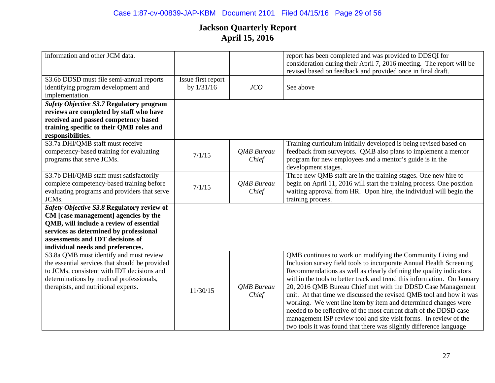| information and other JCM data.                                                                                                                                                                                                                  |                                    |                            | report has been completed and was provided to DDSQI for<br>consideration during their April 7, 2016 meeting. The report will be<br>revised based on feedback and provided once in final draft.                                                                                                                                                                                                                                                                                                                                                                                                                                                                                                               |
|--------------------------------------------------------------------------------------------------------------------------------------------------------------------------------------------------------------------------------------------------|------------------------------------|----------------------------|--------------------------------------------------------------------------------------------------------------------------------------------------------------------------------------------------------------------------------------------------------------------------------------------------------------------------------------------------------------------------------------------------------------------------------------------------------------------------------------------------------------------------------------------------------------------------------------------------------------------------------------------------------------------------------------------------------------|
| S3.6b DDSD must file semi-annual reports<br>identifying program development and<br>implementation.                                                                                                                                               | Issue first report<br>by $1/31/16$ | JCO                        | See above                                                                                                                                                                                                                                                                                                                                                                                                                                                                                                                                                                                                                                                                                                    |
| Safety Objective S3.7 Regulatory program<br>reviews are completed by staff who have<br>received and passed competency based<br>training specific to their QMB roles and<br>responsibilities.                                                     |                                    |                            |                                                                                                                                                                                                                                                                                                                                                                                                                                                                                                                                                                                                                                                                                                              |
| S3.7a DHI/QMB staff must receive<br>competency-based training for evaluating<br>programs that serve JCMs.                                                                                                                                        | 7/1/15                             | <b>QMB</b> Bureau<br>Chief | Training curriculum initially developed is being revised based on<br>feedback from surveyors. QMB also plans to implement a mentor<br>program for new employees and a mentor's guide is in the<br>development stages.                                                                                                                                                                                                                                                                                                                                                                                                                                                                                        |
| S3.7b DHI/QMB staff must satisfactorily<br>complete competency-based training before<br>evaluating programs and providers that serve<br>JCMs.                                                                                                    | 7/1/15                             | <b>OMB</b> Bureau<br>Chief | Three new QMB staff are in the training stages. One new hire to<br>begin on April 11, 2016 will start the training process. One position<br>waiting approval from HR. Upon hire, the individual will begin the<br>training process.                                                                                                                                                                                                                                                                                                                                                                                                                                                                          |
| Safety Objective S3.8 Regulatory review of<br>CM [case management] agencies by the<br>QMB, will include a review of essential<br>services as determined by professional<br>assessments and IDT decisions of<br>individual needs and preferences. |                                    |                            |                                                                                                                                                                                                                                                                                                                                                                                                                                                                                                                                                                                                                                                                                                              |
| S3.8a QMB must identify and must review<br>the essential services that should be provided<br>to JCMs, consistent with IDT decisions and<br>determinations by medical professionals,<br>therapists, and nutritional experts.                      | 11/30/15                           | <b>OMB</b> Bureau<br>Chief | QMB continues to work on modifying the Community Living and<br>Inclusion survey field tools to incorporate Annual Health Screening<br>Recommendations as well as clearly defining the quality indicators<br>within the tools to better track and trend this information. On January<br>20, 2016 QMB Bureau Chief met with the DDSD Case Management<br>unit. At that time we discussed the revised QMB tool and how it was<br>working. We went line item by item and determined changes were<br>needed to be reflective of the most current draft of the DDSD case<br>management ISP review tool and site visit forms. In review of the<br>two tools it was found that there was slightly difference language |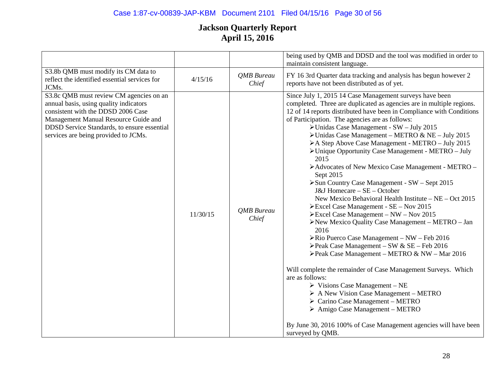# Case 1:87-cv-00839-JAP-KBM Document 2101 Filed 04/15/16 Page 30 of 56

|                                                                                                                                                                                                                                                        |          |                            | being used by QMB and DDSD and the tool was modified in order to<br>maintain consistent language.                                                                                                                                                                                                                                                                                                                                                                                                                                                                                                                                                                                                                                                                                                                                                                                                                                                                                                                                                                                                                                                                                                                                                                                                                                                                                                                                                           |
|--------------------------------------------------------------------------------------------------------------------------------------------------------------------------------------------------------------------------------------------------------|----------|----------------------------|-------------------------------------------------------------------------------------------------------------------------------------------------------------------------------------------------------------------------------------------------------------------------------------------------------------------------------------------------------------------------------------------------------------------------------------------------------------------------------------------------------------------------------------------------------------------------------------------------------------------------------------------------------------------------------------------------------------------------------------------------------------------------------------------------------------------------------------------------------------------------------------------------------------------------------------------------------------------------------------------------------------------------------------------------------------------------------------------------------------------------------------------------------------------------------------------------------------------------------------------------------------------------------------------------------------------------------------------------------------------------------------------------------------------------------------------------------------|
| S3.8b QMB must modify its CM data to<br>reflect the identified essential services for<br>JCMs.                                                                                                                                                         | 4/15/16  | <b>OMB</b> Bureau<br>Chief | FY 16 3rd Quarter data tracking and analysis has begun however 2<br>reports have not been distributed as of yet.                                                                                                                                                                                                                                                                                                                                                                                                                                                                                                                                                                                                                                                                                                                                                                                                                                                                                                                                                                                                                                                                                                                                                                                                                                                                                                                                            |
| S3.8c QMB must review CM agencies on an<br>annual basis, using quality indicators<br>consistent with the DDSD 2006 Case<br>Management Manual Resource Guide and<br>DDSD Service Standards, to ensure essential<br>services are being provided to JCMs. | 11/30/15 | <b>OMB</b> Bureau<br>Chief | Since July 1, 2015 14 Case Management surveys have been<br>completed. Three are duplicated as agencies are in multiple regions.<br>12 of 14 reports distributed have been in Compliance with Conditions<br>of Participation. The agencies are as follows:<br>> Unidas Case Management - SW - July 2015<br>$\triangleright$ Unidas Case Management – METRO & NE – July 2015<br>>A Step Above Case Management - METRO - July 2015<br>> Unique Opportunity Case Management - METRO - July<br>2015<br>>Advocates of New Mexico Case Management - METRO -<br>Sept 2015<br>> Sun Country Case Management - SW - Sept 2015<br>J&J Homecare - SE - October<br>New Mexico Behavioral Health Institute – NE – Oct 2015<br>Excel Case Management - SE - Nov 2015<br>$\triangleright$ Excel Case Management – NW – Nov 2015<br>$\triangleright$ New Mexico Quality Case Management – METRO – Jan<br>2016<br>> Rio Puerco Case Management - NW - Feb 2016<br>>Peak Case Management - SW & SE - Feb 2016<br>$\blacktriangleright$ Peak Case Management – METRO & NW – Mar 2016<br>Will complete the remainder of Case Management Surveys. Which<br>are as follows:<br>$\triangleright$ Visions Case Management – NE<br>$\triangleright$ A New Vision Case Management – METRO<br>$\triangleright$ Carino Case Management – METRO<br>$\triangleright$ Amigo Case Management – METRO<br>By June 30, 2016 100% of Case Management agencies will have been<br>surveyed by QMB. |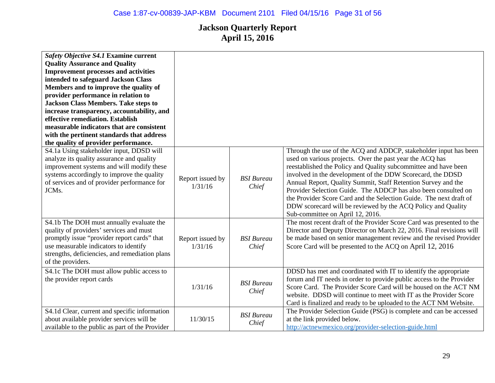| <b>Safety Objective S4.1 Examine current</b><br><b>Quality Assurance and Quality</b><br><b>Improvement processes and activities</b><br>intended to safeguard Jackson Class<br>Members and to improve the quality of<br>provider performance in relation to<br><b>Jackson Class Members. Take steps to</b><br>increase transparency, accountability, and<br>effective remediation. Establish<br>measurable indicators that are consistent<br>with the pertinent standards that address<br>the quality of provider performance. |                             |                            |                                                                                                                                                                                                                                                                                                                                                                                                                                                                                                                                                                            |
|-------------------------------------------------------------------------------------------------------------------------------------------------------------------------------------------------------------------------------------------------------------------------------------------------------------------------------------------------------------------------------------------------------------------------------------------------------------------------------------------------------------------------------|-----------------------------|----------------------------|----------------------------------------------------------------------------------------------------------------------------------------------------------------------------------------------------------------------------------------------------------------------------------------------------------------------------------------------------------------------------------------------------------------------------------------------------------------------------------------------------------------------------------------------------------------------------|
| S4.1a Using stakeholder input, DDSD will<br>analyze its quality assurance and quality<br>improvement systems and will modify these<br>systems accordingly to improve the quality<br>of services and of provider performance for<br>JCMs.                                                                                                                                                                                                                                                                                      | Report issued by<br>1/31/16 | <b>BSI</b> Bureau<br>Chief | Through the use of the ACQ and ADDCP, stakeholder input has been<br>used on various projects. Over the past year the ACQ has<br>reestablished the Policy and Quality subcommittee and have been<br>involved in the development of the DDW Scorecard, the DDSD<br>Annual Report, Quality Summit, Staff Retention Survey and the<br>Provider Selection Guide. The ADDCP has also been consulted on<br>the Provider Score Card and the Selection Guide. The next draft of<br>DDW scorecard will be reviewed by the ACQ Policy and Quality<br>Sub-committee on April 12, 2016. |
| S4.1b The DOH must annually evaluate the<br>quality of providers' services and must<br>promptly issue "provider report cards" that<br>use measurable indicators to identify<br>strengths, deficiencies, and remediation plans<br>of the providers.                                                                                                                                                                                                                                                                            | Report issued by<br>1/31/16 | <b>BSI</b> Bureau<br>Chief | The most recent draft of the Provider Score Card was presented to the<br>Director and Deputy Director on March 22, 2016. Final revisions will<br>be made based on senior management review and the revised Provider<br>Score Card will be presented to the ACQ on April 12, 2016                                                                                                                                                                                                                                                                                           |
| S4.1c The DOH must allow public access to<br>the provider report cards                                                                                                                                                                                                                                                                                                                                                                                                                                                        | 1/31/16                     | <b>BSI</b> Bureau<br>Chief | DDSD has met and coordinated with IT to identify the appropriate<br>forum and IT needs in order to provide public access to the Provider<br>Score Card. The Provider Score Card will be housed on the ACT NM<br>website. DDSD will continue to meet with IT as the Provider Score<br>Card is finalized and ready to be uploaded to the ACT NM Website.                                                                                                                                                                                                                     |
| S4.1d Clear, current and specific information<br>about available provider services will be<br>available to the public as part of the Provider                                                                                                                                                                                                                                                                                                                                                                                 | 11/30/15                    | <b>BSI</b> Bureau<br>Chief | The Provider Selection Guide (PSG) is complete and can be accessed<br>at the link provided below.<br>http://actnewmexico.org/provider-selection-guide.html                                                                                                                                                                                                                                                                                                                                                                                                                 |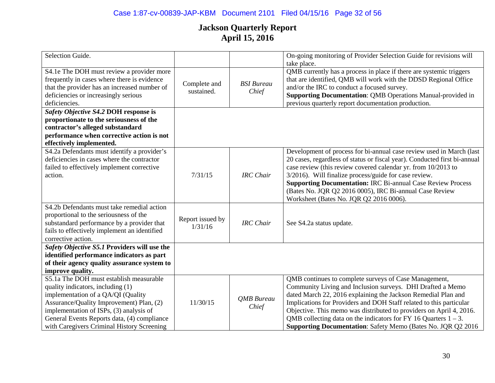| Selection Guide.                                                                           |                            |                   | On-going monitoring of Provider Selection Guide for revisions will        |
|--------------------------------------------------------------------------------------------|----------------------------|-------------------|---------------------------------------------------------------------------|
|                                                                                            |                            |                   | take place.                                                               |
| S4.1e The DOH must review a provider more                                                  |                            |                   | QMB currently has a process in place if there are systemic triggers       |
| frequently in cases where there is evidence                                                |                            |                   | that are identified, QMB will work with the DDSD Regional Office          |
| that the provider has an increased number of                                               | Complete and<br>sustained. | <b>BSI</b> Bureau | and/or the IRC to conduct a focused survey.                               |
| deficiencies or increasingly serious                                                       |                            | Chief             | <b>Supporting Documentation: QMB Operations Manual-provided in</b>        |
| deficiencies.                                                                              |                            |                   | previous quarterly report documentation production.                       |
| Safety Objective S4.2 DOH response is                                                      |                            |                   |                                                                           |
| proportionate to the seriousness of the                                                    |                            |                   |                                                                           |
| contractor's alleged substandard                                                           |                            |                   |                                                                           |
| performance when corrective action is not                                                  |                            |                   |                                                                           |
| effectively implemented.                                                                   |                            |                   |                                                                           |
| S4.2a Defendants must identify a provider's                                                |                            |                   | Development of process for bi-annual case review used in March (last      |
| deficiencies in cases where the contractor                                                 |                            |                   | 20 cases, regardless of status or fiscal year). Conducted first bi-annual |
| failed to effectively implement corrective                                                 |                            |                   | case review (this review covered calendar yr. from 10/2013 to             |
| action.                                                                                    | 7/31/15                    | <b>IRC</b> Chair  | 3/2016). Will finalize process/guide for case review.                     |
|                                                                                            |                            |                   | <b>Supporting Documentation: IRC Bi-annual Case Review Process</b>        |
|                                                                                            |                            |                   | (Bates No. JQR Q2 2016 0005), IRC Bi-annual Case Review                   |
|                                                                                            |                            |                   | Worksheet (Bates No. JQR Q2 2016 0006).                                   |
| S4.2b Defendants must take remedial action                                                 |                            |                   |                                                                           |
| proportional to the seriousness of the                                                     | Report issued by           | <b>IRC</b> Chair  |                                                                           |
| substandard performance by a provider that<br>fails to effectively implement an identified | 1/31/16                    |                   | See S4.2a status update.                                                  |
| corrective action.                                                                         |                            |                   |                                                                           |
| Safety Objective S5.1 Providers will use the                                               |                            |                   |                                                                           |
| identified performance indicators as part                                                  |                            |                   |                                                                           |
| of their agency quality assurance system to                                                |                            |                   |                                                                           |
| improve quality.                                                                           |                            |                   |                                                                           |
| S5.1a The DOH must establish measurable                                                    |                            |                   | QMB continues to complete surveys of Case Management,                     |
| quality indicators, including (1)                                                          |                            |                   | Community Living and Inclusion surveys. DHI Drafted a Memo                |
| implementation of a QA/QI (Quality                                                         |                            |                   | dated March 22, 2016 explaining the Jackson Remedial Plan and             |
| Assurance/Quality Improvement) Plan, (2)                                                   | 11/30/15                   | <b>OMB</b> Bureau | Implications for Providers and DOH Staff related to this particular       |
| implementation of ISPs, (3) analysis of                                                    |                            | Chief             | Objective. This memo was distributed to providers on April 4, 2016.       |
| General Events Reports data, (4) compliance                                                |                            |                   | QMB collecting data on the indicators for FY 16 Quarters $1 - 3$ .        |
| with Caregivers Criminal History Screening                                                 |                            |                   | <b>Supporting Documentation:</b> Safety Memo (Bates No. JQR Q2 2016)      |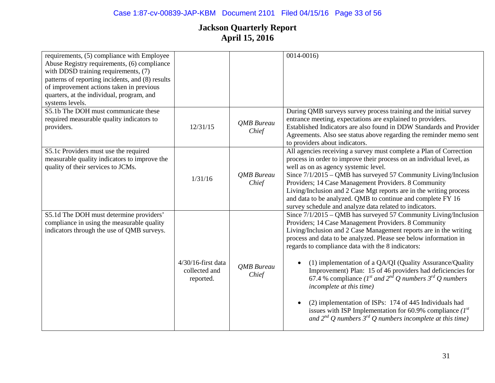| requirements, (5) compliance with Employee<br>Abuse Registry requirements, (6) compliance<br>with DDSD training requirements, (7)<br>patterns of reporting incidents, and (8) results<br>of improvement actions taken in previous<br>quarters, at the individual, program, and<br>systems levels. |                                                     |                            | $0014 - 0016$                                                                                                                                                                                                                                                                                                                                                                                                                                                                                                                                                                                                                                                                                                                                             |
|---------------------------------------------------------------------------------------------------------------------------------------------------------------------------------------------------------------------------------------------------------------------------------------------------|-----------------------------------------------------|----------------------------|-----------------------------------------------------------------------------------------------------------------------------------------------------------------------------------------------------------------------------------------------------------------------------------------------------------------------------------------------------------------------------------------------------------------------------------------------------------------------------------------------------------------------------------------------------------------------------------------------------------------------------------------------------------------------------------------------------------------------------------------------------------|
| S5.1b The DOH must communicate these<br>required measurable quality indicators to<br>providers.                                                                                                                                                                                                   | 12/31/15                                            | <b>OMB</b> Bureau<br>Chief | During QMB surveys survey process training and the initial survey<br>entrance meeting, expectations are explained to providers.<br>Established Indicators are also found in DDW Standards and Provider<br>Agreements. Also see status above regarding the reminder memo sent<br>to providers about indicators.                                                                                                                                                                                                                                                                                                                                                                                                                                            |
| S5.1c Providers must use the required<br>measurable quality indicators to improve the<br>quality of their services to JCMs.                                                                                                                                                                       | 1/31/16                                             | QMB Bureau<br>Chief        | All agencies receiving a survey must complete a Plan of Correction<br>process in order to improve their process on an individual level, as<br>well as on as agency systemic level.<br>Since $7/1/2015 - QMB$ has surveyed 57 Community Living/Inclusion<br>Providers; 14 Case Management Providers. 8 Community<br>Living/Inclusion and 2 Case Mgt reports are in the writing process<br>and data to be analyzed. QMB to continue and complete FY 16<br>survey schedule and analyze data related to indicators.                                                                                                                                                                                                                                           |
| S5.1d The DOH must determine providers'<br>compliance in using the measurable quality<br>indicators through the use of QMB surveys.                                                                                                                                                               | $4/30/16$ -first data<br>collected and<br>reported. | QMB Bureau<br>Chief        | Since $7/1/2015 - QMB$ has surveyed 57 Community Living/Inclusion<br>Providers; 14 Case Management Providers. 8 Community<br>Living/Inclusion and 2 Case Management reports are in the writing<br>process and data to be analyzed. Please see below information in<br>regards to compliance data with the 8 indicators:<br>(1) implementation of a QA/QI (Quality Assurance/Quality<br>Improvement) Plan: 15 of 46 providers had deficiencies for<br>67.4 % compliance ( $I^{st}$ and $2^{nd}$ Q numbers $3^{rd}$ Q numbers<br>incomplete at this time)<br>(2) implementation of ISPs: 174 of 445 Individuals had<br>issues with ISP Implementation for 60.9% compliance $(I^{st})$<br>and $2^{nd}$ Q numbers $3^{rd}$ Q numbers incomplete at this time) |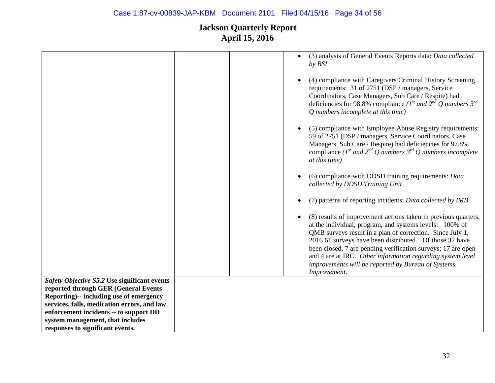|                                              | (3) analysis of General Events Reports data: Data collected<br>$\bullet$<br>by BSI                                                                                                                                                                                                                                                                                                                                                                                 |
|----------------------------------------------|--------------------------------------------------------------------------------------------------------------------------------------------------------------------------------------------------------------------------------------------------------------------------------------------------------------------------------------------------------------------------------------------------------------------------------------------------------------------|
|                                              | (4) compliance with Caregivers Criminal History Screening<br>$\bullet$<br>requirements: 31 of 2751 (DSP / managers, Service<br>Coordinators, Case Managers, Sub Care / Respite) had<br>deficiencies for 98.8% compliance ( $I^{st}$ and $2^{nd}$ Q numbers $3^{rd}$<br>Q numbers incomplete at this time)                                                                                                                                                          |
|                                              | (5) compliance with Employee Abuse Registry requirements:<br>59 of 2751 (DSP / managers, Service Coordinators, Case<br>Managers, Sub Care / Respite) had deficiencies for 97.8%<br>compliance (1 <sup>st</sup> and 2 <sup>nd</sup> Q numbers 3 <sup>rd</sup> Q numbers incomplete<br>at this time)                                                                                                                                                                 |
|                                              | (6) compliance with DDSD training requirements: Data<br>collected by DDSD Training Unit                                                                                                                                                                                                                                                                                                                                                                            |
|                                              | (7) patterns of reporting incidents: Data collected by IMB<br>$\bullet$                                                                                                                                                                                                                                                                                                                                                                                            |
|                                              | (8) results of improvement actions taken in previous quarters,<br>$\bullet$<br>at the individual, program, and systems levels: 100% of<br>QMB surveys result in a plan of correction. Since July 1,<br>2016 61 surveys have been distributed. Of those 32 have<br>been closed, 7 are pending verification surveys; 17 are open<br>and 4 are at IRC. Other information regarding system level<br>improvements will be reported by Bureau of Systems<br>Improvement. |
| Safety Objective S5.2 Use significant events |                                                                                                                                                                                                                                                                                                                                                                                                                                                                    |
| reported through GER (General Events         |                                                                                                                                                                                                                                                                                                                                                                                                                                                                    |
| Reporting)-- including use of emergency      |                                                                                                                                                                                                                                                                                                                                                                                                                                                                    |
| services, falls, medication errors, and law  |                                                                                                                                                                                                                                                                                                                                                                                                                                                                    |
| enforcement incidents -- to support DD       |                                                                                                                                                                                                                                                                                                                                                                                                                                                                    |
| system management, that includes             |                                                                                                                                                                                                                                                                                                                                                                                                                                                                    |
| responses to significant events.             |                                                                                                                                                                                                                                                                                                                                                                                                                                                                    |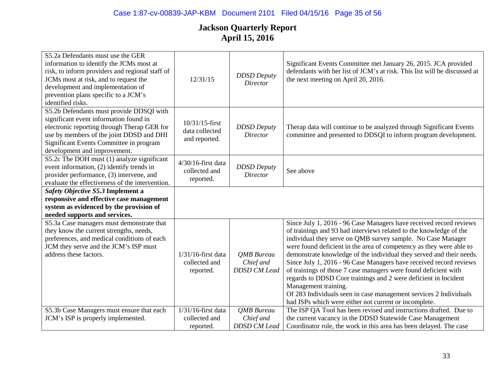| S5.2a Defendants must use the GER<br>information to identify the JCMs most at<br>risk, to inform providers and regional staff of<br>JCMs most at risk, and to request the<br>development and implementation of<br>prevention plans specific to a JCM's<br>identified risks. | 12/31/15                                            | <b>DDSD</b> Deputy<br><b>Director</b>                 | Significant Events Committee met January 26, 2015. JCA provided<br>defendants with her list of JCM's at risk. This list will be discussed at<br>the next meeting on April 20, 2016.                                                                                                                                                                                                                                                                                                                                                                                                                                                                                                                                      |
|-----------------------------------------------------------------------------------------------------------------------------------------------------------------------------------------------------------------------------------------------------------------------------|-----------------------------------------------------|-------------------------------------------------------|--------------------------------------------------------------------------------------------------------------------------------------------------------------------------------------------------------------------------------------------------------------------------------------------------------------------------------------------------------------------------------------------------------------------------------------------------------------------------------------------------------------------------------------------------------------------------------------------------------------------------------------------------------------------------------------------------------------------------|
| S5.2b Defendants must provide DDSQI with<br>significant event information found in<br>electronic reporting through Therap GER for<br>use by members of the joint DDSD and DHI<br>Significant Events Committee in program<br>development and improvement.                    | 10/31/15-first<br>data collected<br>and reported.   | <b>DDSD</b> Deputy<br><b>Director</b>                 | Therap data will continue to be analyzed through Significant Events<br>committee and presented to DDSQI to inform program development.                                                                                                                                                                                                                                                                                                                                                                                                                                                                                                                                                                                   |
| S5.2c The DOH must (1) analyze significant<br>event information, (2) identify trends in<br>provider performance, (3) intervene, and<br>evaluate the effectiveness of the intervention.                                                                                      | $4/30/16$ -first data<br>collected and<br>reported. | <b>DDSD</b> Deputy<br><b>Director</b>                 | See above                                                                                                                                                                                                                                                                                                                                                                                                                                                                                                                                                                                                                                                                                                                |
| Safety Objective S5.3 Implement a<br>responsive and effective case management<br>system as evidenced by the provision of<br>needed supports and services.                                                                                                                   |                                                     |                                                       |                                                                                                                                                                                                                                                                                                                                                                                                                                                                                                                                                                                                                                                                                                                          |
| S5.3a Case managers must demonstrate that<br>they know the current strengths, needs,<br>preferences, and medical conditions of each<br>JCM they serve and the JCM's ISP must<br>address these factors.                                                                      | $1/31/16$ -first data<br>collected and<br>reported. | <b>QMB</b> Bureau<br>Chief and<br><b>DDSD CM Lead</b> | Since July 1, 2016 - 96 Case Managers have received record reviews<br>of trainings and 93 had interviews related to the knowledge of the<br>individual they serve on QMB survey sample. No Case Manager<br>were found deficient in the area of competency as they were able to<br>demonstrate knowledge of the individual they served and their needs.<br>Since July 1, 2016 - 96 Case Managers have received record reviews<br>of trainings of those 7 case managers were found deficient with<br>regards to DDSD Core trainings and 2 were deficient in Incident<br>Management training.<br>Of 283 Individuals seen in case management services 2 Individuals<br>had ISPs which were either not current or incomplete. |
| S5.3b Case Managers must ensure that each<br>JCM's ISP is properly implemented.                                                                                                                                                                                             | $1/31/16$ -first data<br>collected and<br>reported. | <b>OMB</b> Bureau<br>Chief and<br><b>DDSD</b> CM Lead | The ISP QA Tool has been revised and instructions drafted. Due to<br>the current vacancy in the DDSD Statewide Case Management<br>Coordinator role, the work in this area has been delayed. The case                                                                                                                                                                                                                                                                                                                                                                                                                                                                                                                     |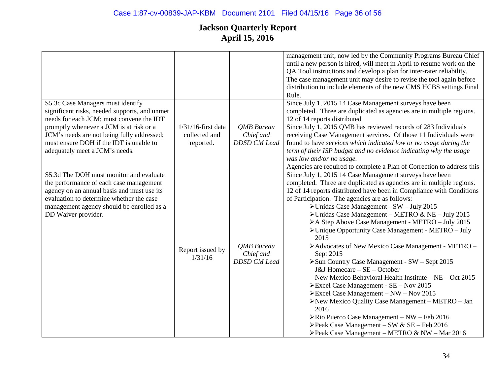|                                                                                                                                                                                                                                                                                                      |                                                     |                                                       | management unit, now led by the Community Programs Bureau Chief<br>until a new person is hired, will meet in April to resume work on the<br>QA Tool instructions and develop a plan for inter-rater reliability.<br>The case management unit may desire to revise the tool again before<br>distribution to include elements of the new CMS HCBS settings Final<br>Rule.                                                                                                                                                                                                                                                                                                                                                                                                                                                                                                                                                                                                                                                                                                              |
|------------------------------------------------------------------------------------------------------------------------------------------------------------------------------------------------------------------------------------------------------------------------------------------------------|-----------------------------------------------------|-------------------------------------------------------|--------------------------------------------------------------------------------------------------------------------------------------------------------------------------------------------------------------------------------------------------------------------------------------------------------------------------------------------------------------------------------------------------------------------------------------------------------------------------------------------------------------------------------------------------------------------------------------------------------------------------------------------------------------------------------------------------------------------------------------------------------------------------------------------------------------------------------------------------------------------------------------------------------------------------------------------------------------------------------------------------------------------------------------------------------------------------------------|
| S5.3c Case Managers must identify<br>significant risks, needed supports, and unmet<br>needs for each JCM; must convene the IDT<br>promptly whenever a JCM is at risk or a<br>JCM's needs are not being fully addressed;<br>must ensure DOH if the IDT is unable to<br>adequately meet a JCM's needs. | $1/31/16$ -first data<br>collected and<br>reported. | <b>OMB</b> Bureau<br>Chief and<br><b>DDSD CM Lead</b> | Since July 1, 2015 14 Case Management surveys have been<br>completed. Three are duplicated as agencies are in multiple regions.<br>12 of 14 reports distributed<br>Since July 1, 2015 QMB has reviewed records of 283 Individuals<br>receiving Case Management services. Of those 11 Individuals were<br>found to have services which indicated low or no usage during the<br>term of their ISP budget and no evidence indicating why the usage<br>was low and/or no usage.<br>Agencies are required to complete a Plan of Correction to address this                                                                                                                                                                                                                                                                                                                                                                                                                                                                                                                                |
| S5.3d The DOH must monitor and evaluate<br>the performance of each case management<br>agency on an annual basis and must use its<br>evaluation to determine whether the case<br>management agency should be enrolled as a<br>DD Waiver provider.                                                     | Report issued by<br>1/31/16                         | <b>QMB</b> Bureau<br>Chief and<br><b>DDSD CM Lead</b> | Since July 1, 2015 14 Case Management surveys have been<br>completed. Three are duplicated as agencies are in multiple regions.<br>12 of 14 reports distributed have been in Compliance with Conditions<br>of Participation. The agencies are as follows:<br>> Unidas Case Management - SW - July 2015<br>$\triangleright$ Unidas Case Management – METRO & NE – July 2015<br>>A Step Above Case Management - METRO - July 2015<br>> Unique Opportunity Case Management - METRO - July<br>2015<br>>Advocates of New Mexico Case Management - METRO -<br>Sept 2015<br>> Sun Country Case Management - SW - Sept 2015<br>J&J Homecare - SE - October<br>New Mexico Behavioral Health Institute $-$ NE $-$ Oct 2015<br>$\triangleright$ Excel Case Management - SE – Nov 2015<br>$\triangleright$ Excel Case Management – NW – Nov 2015<br>>New Mexico Quality Case Management - METRO - Jan<br>2016<br>$\triangleright$ Rio Puerco Case Management – NW – Feb 2016<br>$\blacktriangleright$ Peak Case Management – SW & SE – Feb 2016<br>≻Peak Case Management – METRO & NW – Mar 2016 |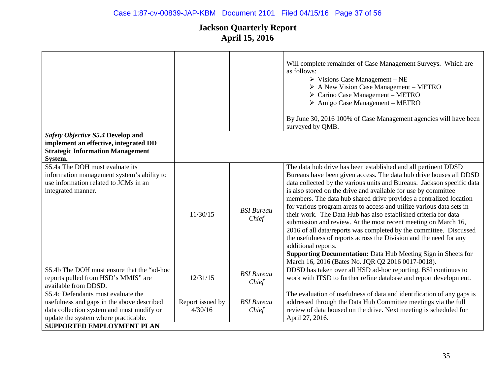|                                                                                                                                                                                                           |                             |                            | Will complete remainder of Case Management Surveys. Which are<br>as follows:<br>$\triangleright$ Visions Case Management – NE<br>$\triangleright$ A New Vision Case Management – METRO<br>$\triangleright$ Carino Case Management – METRO<br>$\triangleright$ Amigo Case Management – METRO<br>By June 30, 2016 100% of Case Management agencies will have been<br>surveyed by QMB.                                                                                                                                                                                                                                                                                                                                                                                                                                                                                 |
|-----------------------------------------------------------------------------------------------------------------------------------------------------------------------------------------------------------|-----------------------------|----------------------------|---------------------------------------------------------------------------------------------------------------------------------------------------------------------------------------------------------------------------------------------------------------------------------------------------------------------------------------------------------------------------------------------------------------------------------------------------------------------------------------------------------------------------------------------------------------------------------------------------------------------------------------------------------------------------------------------------------------------------------------------------------------------------------------------------------------------------------------------------------------------|
| Safety Objective S5.4 Develop and<br>implement an effective, integrated DD<br><b>Strategic Information Management</b><br>System.                                                                          |                             |                            |                                                                                                                                                                                                                                                                                                                                                                                                                                                                                                                                                                                                                                                                                                                                                                                                                                                                     |
| S5.4a The DOH must evaluate its<br>information management system's ability to<br>use information related to JCMs in an<br>integrated manner.                                                              | 11/30/15                    | <b>BSI</b> Bureau<br>Chief | The data hub drive has been established and all pertinent DDSD<br>Bureaus have been given access. The data hub drive houses all DDSD<br>data collected by the various units and Bureaus. Jackson specific data<br>is also stored on the drive and available for use by committee<br>members. The data hub shared drive provides a centralized location<br>for various program areas to access and utilize various data sets in<br>their work. The Data Hub has also established criteria for data<br>submission and review. At the most recent meeting on March 16,<br>2016 of all data/reports was completed by the committee. Discussed<br>the usefulness of reports across the Division and the need for any<br>additional reports.<br><b>Supporting Documentation:</b> Data Hub Meeting Sign in Sheets for<br>March 16, 2016 (Bates No. JQR Q2 2016 0017-0018). |
| S5.4b The DOH must ensure that the "ad-hoc<br>reports pulled from HSD's MMIS" are<br>available from DDSD.                                                                                                 | 12/31/15                    | <b>BSI</b> Bureau<br>Chief | DDSD has taken over all HSD ad-hoc reporting. BSI continues to<br>work with ITSD to further refine database and report development.                                                                                                                                                                                                                                                                                                                                                                                                                                                                                                                                                                                                                                                                                                                                 |
| S5.4c Defendants must evaluate the<br>usefulness and gaps in the above described<br>data collection system and must modify or<br>update the system where practicable.<br><b>SUPPORTED EMPLOYMENT PLAN</b> | Report issued by<br>4/30/16 | <b>BSI</b> Bureau<br>Chief | The evaluation of usefulness of data and identification of any gaps is<br>addressed through the Data Hub Committee meetings via the full<br>review of data housed on the drive. Next meeting is scheduled for<br>April 27, 2016.                                                                                                                                                                                                                                                                                                                                                                                                                                                                                                                                                                                                                                    |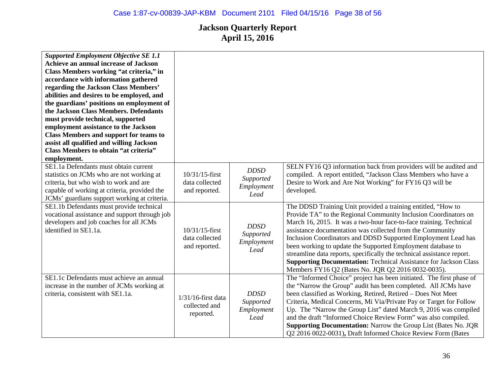| <b>Supported Employment Objective SE 1.1</b><br>Achieve an annual increase of Jackson<br>Class Members working "at criteria," in<br>accordance with information gathered<br>regarding the Jackson Class Members'<br>abilities and desires to be employed, and<br>the guardians' positions on employment of<br>the Jackson Class Members. Defendants<br>must provide technical, supported<br>employment assistance to the Jackson<br><b>Class Members and support for teams to</b><br>assist all qualified and willing Jackson<br>Class Members to obtain "at criteria"<br>employment. |                                                      |                                                |                                                                                                                                                                                                                                                                                                                                                                                                                                                                                                                                                                                                               |
|---------------------------------------------------------------------------------------------------------------------------------------------------------------------------------------------------------------------------------------------------------------------------------------------------------------------------------------------------------------------------------------------------------------------------------------------------------------------------------------------------------------------------------------------------------------------------------------|------------------------------------------------------|------------------------------------------------|---------------------------------------------------------------------------------------------------------------------------------------------------------------------------------------------------------------------------------------------------------------------------------------------------------------------------------------------------------------------------------------------------------------------------------------------------------------------------------------------------------------------------------------------------------------------------------------------------------------|
| SE1.1a Defendants must obtain current<br>statistics on JCMs who are not working at<br>criteria, but who wish to work and are<br>capable of working at criteria, provided the<br>JCMs' guardians support working at criteria.                                                                                                                                                                                                                                                                                                                                                          | $10/31/15$ -first<br>data collected<br>and reported. | <b>DDSD</b><br>Supported<br>Employment<br>Lead | SELN FY16 Q3 information back from providers will be audited and<br>compiled. A report entitled, "Jackson Class Members who have a<br>Desire to Work and Are Not Working" for FY16 Q3 will be<br>developed.                                                                                                                                                                                                                                                                                                                                                                                                   |
| SE1.1b Defendants must provide technical<br>vocational assistance and support through job<br>developers and job coaches for all JCMs<br>identified in SE1.1a.                                                                                                                                                                                                                                                                                                                                                                                                                         | $10/31/15$ -first<br>data collected<br>and reported. | <b>DDSD</b><br>Supported<br>Employment<br>Lead | The DDSD Training Unit provided a training entitled, "How to<br>Provide TA" to the Regional Community Inclusion Coordinators on<br>March 16, 2015. It was a two-hour face-to-face training. Technical<br>assistance documentation was collected from the Community<br>Inclusion Coordinators and DDSD Supported Employment Lead has<br>been working to update the Supported Employment database to<br>streamline data reports, specifically the technical assistance report.<br><b>Supporting Documentation: Technical Assistance for Jackson Class</b><br>Members FY16 Q2 (Bates No. JQR Q2 2016 0032-0035). |
| SE1.1c Defendants must achieve an annual<br>increase in the number of JCMs working at<br>criteria, consistent with SE1.1a.                                                                                                                                                                                                                                                                                                                                                                                                                                                            | $1/31/16$ -first data<br>collected and<br>reported.  | <b>DDSD</b><br>Supported<br>Employment<br>Lead | The "Informed Choice" project has been initiated. The first phase of<br>the "Narrow the Group" audit has been completed. All JCMs have<br>been classified as Working, Retired, Retired - Does Not Meet<br>Criteria, Medical Concerns, Mi Via/Private Pay or Target for Follow<br>Up. The "Narrow the Group List" dated March 9, 2016 was compiled<br>and the draft "Informed Choice Review Form" was also compiled.<br><b>Supporting Documentation:</b> Narrow the Group List (Bates No. JQR<br>Q2 2016 0022-0031), Draft Informed Choice Review Form (Bates                                                  |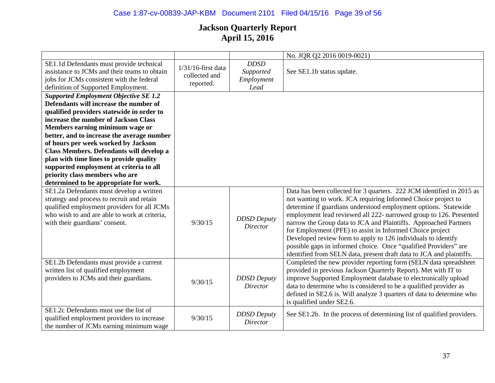|                                                                                                                                                                                                                                                                                                                                                                                                                                                                                                                   |                                                     |                                                | No. JQR Q2 2016 0019-0021)                                                                                                                                                                                                                                                                                                                                                                                                                                                                                                                                                                                                    |
|-------------------------------------------------------------------------------------------------------------------------------------------------------------------------------------------------------------------------------------------------------------------------------------------------------------------------------------------------------------------------------------------------------------------------------------------------------------------------------------------------------------------|-----------------------------------------------------|------------------------------------------------|-------------------------------------------------------------------------------------------------------------------------------------------------------------------------------------------------------------------------------------------------------------------------------------------------------------------------------------------------------------------------------------------------------------------------------------------------------------------------------------------------------------------------------------------------------------------------------------------------------------------------------|
| SE1.1d Defendants must provide technical<br>assistance to JCMs and their teams to obtain<br>jobs for JCMs consistent with the federal<br>definition of Supported Employment.                                                                                                                                                                                                                                                                                                                                      | $1/31/16$ -first data<br>collected and<br>reported. | <b>DDSD</b><br>Supported<br>Employment<br>Lead | See SE1.1b status update.                                                                                                                                                                                                                                                                                                                                                                                                                                                                                                                                                                                                     |
| <b>Supported Employment Objective SE 1.2</b><br>Defendants will increase the number of<br>qualified providers statewide in order to<br>increase the number of Jackson Class<br>Members earning minimum wage or<br>better, and to increase the average number<br>of hours per week worked by Jackson<br>Class Members. Defendants will develop a<br>plan with time lines to provide quality<br>supported employment at criteria to all<br>priority class members who are<br>determined to be appropriate for work. |                                                     |                                                |                                                                                                                                                                                                                                                                                                                                                                                                                                                                                                                                                                                                                               |
| SE1.2a Defendants must develop a written<br>strategy and process to recruit and retain<br>qualified employment providers for all JCMs<br>who wish to and are able to work at criteria,<br>with their guardians' consent.                                                                                                                                                                                                                                                                                          | 9/30/15                                             | <b>DDSD</b> Deputy<br><b>Director</b>          | Data has been collected for 3 quarters. 222 JCM identified in 2015 as<br>not wanting to work. JCA requiring Informed Choice project to<br>determine if guardians understood employment options. Statewide<br>employment lead reviewed all 222- narrowed group to 126. Presented<br>narrow the Group data to JCA and Plaintiffs. Approached Partners<br>for Employment (PFE) to assist in Informed Choice project<br>Developed review form to apply to 126 individuals to identify<br>possible gaps in informed choice. Once "qualified Providers" are<br>identified from SELN data, present draft data to JCA and plaintiffs. |
| SE1.2b Defendants must provide a current<br>written list of qualified employment<br>providers to JCMs and their guardians.                                                                                                                                                                                                                                                                                                                                                                                        | 9/30/15                                             | <b>DDSD</b> Deputy<br>Director                 | Completed the new provider reporting form (SELN data spreadsheet<br>provided in previous Jackson Quarterly Report). Met with IT to<br>improve Supported Employment database to electronically upload<br>data to determine who is considered to be a qualified provider as<br>defined in SE2.6 is. Will analyze 3 quarters of data to determine who<br>is qualified under SE2.6.                                                                                                                                                                                                                                               |
| SE1.2c Defendants must use the list of<br>qualified employment providers to increase<br>the number of JCMs earning minimum wage                                                                                                                                                                                                                                                                                                                                                                                   | 9/30/15                                             | <b>DDSD</b> Deputy<br><b>Director</b>          | See SE1.2b. In the process of determining list of qualified providers.                                                                                                                                                                                                                                                                                                                                                                                                                                                                                                                                                        |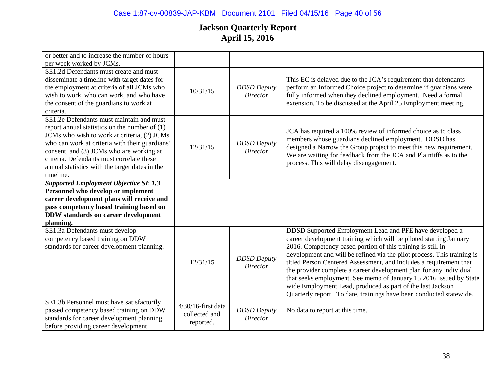# Case 1:87-cv-00839-JAP-KBM Document 2101 Filed 04/15/16 Page 40 of 56

| or better and to increase the number of hours                                                                                                                                                                                                                                                                                                        |                                                  |                                       |                                                                                                                                                                                                                                                                                                                                                                                                                                                                                                                                                                                                                                |
|------------------------------------------------------------------------------------------------------------------------------------------------------------------------------------------------------------------------------------------------------------------------------------------------------------------------------------------------------|--------------------------------------------------|---------------------------------------|--------------------------------------------------------------------------------------------------------------------------------------------------------------------------------------------------------------------------------------------------------------------------------------------------------------------------------------------------------------------------------------------------------------------------------------------------------------------------------------------------------------------------------------------------------------------------------------------------------------------------------|
| per week worked by JCMs.                                                                                                                                                                                                                                                                                                                             |                                                  |                                       |                                                                                                                                                                                                                                                                                                                                                                                                                                                                                                                                                                                                                                |
| SE1.2d Defendants must create and must<br>disseminate a timeline with target dates for<br>the employment at criteria of all JCMs who<br>wish to work, who can work, and who have<br>the consent of the guardians to work at<br>criteria.                                                                                                             | 10/31/15                                         | <b>DDSD</b> Deputy<br>Director        | This EC is delayed due to the JCA's requirement that defendants<br>perform an Informed Choice project to determine if guardians were<br>fully informed when they declined employment. Need a formal<br>extension. To be discussed at the April 25 Employment meeting.                                                                                                                                                                                                                                                                                                                                                          |
| SE1.2e Defendants must maintain and must<br>report annual statistics on the number of $(1)$<br>JCMs who wish to work at criteria, (2) JCMs<br>who can work at criteria with their guardians'<br>consent, and (3) JCMs who are working at<br>criteria. Defendants must correlate these<br>annual statistics with the target dates in the<br>timeline. | 12/31/15                                         | <b>DDSD</b> Deputy<br><b>Director</b> | JCA has required a 100% review of informed choice as to class<br>members whose guardians declined employment. DDSD has<br>designed a Narrow the Group project to meet this new requirement.<br>We are waiting for feedback from the JCA and Plaintiffs as to the<br>process. This will delay disengagement.                                                                                                                                                                                                                                                                                                                    |
| <b>Supported Employment Objective SE 1.3</b>                                                                                                                                                                                                                                                                                                         |                                                  |                                       |                                                                                                                                                                                                                                                                                                                                                                                                                                                                                                                                                                                                                                |
| Personnel who develop or implement                                                                                                                                                                                                                                                                                                                   |                                                  |                                       |                                                                                                                                                                                                                                                                                                                                                                                                                                                                                                                                                                                                                                |
| career development plans will receive and                                                                                                                                                                                                                                                                                                            |                                                  |                                       |                                                                                                                                                                                                                                                                                                                                                                                                                                                                                                                                                                                                                                |
| pass competency based training based on                                                                                                                                                                                                                                                                                                              |                                                  |                                       |                                                                                                                                                                                                                                                                                                                                                                                                                                                                                                                                                                                                                                |
| <b>DDW</b> standards on career development                                                                                                                                                                                                                                                                                                           |                                                  |                                       |                                                                                                                                                                                                                                                                                                                                                                                                                                                                                                                                                                                                                                |
| planning.                                                                                                                                                                                                                                                                                                                                            |                                                  |                                       |                                                                                                                                                                                                                                                                                                                                                                                                                                                                                                                                                                                                                                |
| SE1.3a Defendants must develop<br>competency based training on DDW<br>standards for career development planning.                                                                                                                                                                                                                                     | 12/31/15                                         | <b>DDSD</b> Deputy<br><b>Director</b> | DDSD Supported Employment Lead and PFE have developed a<br>career development training which will be piloted starting January<br>2016. Competency based portion of this training is still in<br>development and will be refined via the pilot process. This training is<br>titled Person Centered Assessment, and includes a requirement that<br>the provider complete a career development plan for any individual<br>that seeks employment. See memo of January 15 2016 issued by State<br>wide Employment Lead, produced as part of the last Jackson<br>Quarterly report. To date, trainings have been conducted statewide. |
| SE1.3b Personnel must have satisfactorily<br>passed competency based training on DDW<br>standards for career development planning<br>before providing career development                                                                                                                                                                             | 4/30/16-first data<br>collected and<br>reported. | <b>DDSD</b> Deputy<br><b>Director</b> | No data to report at this time.                                                                                                                                                                                                                                                                                                                                                                                                                                                                                                                                                                                                |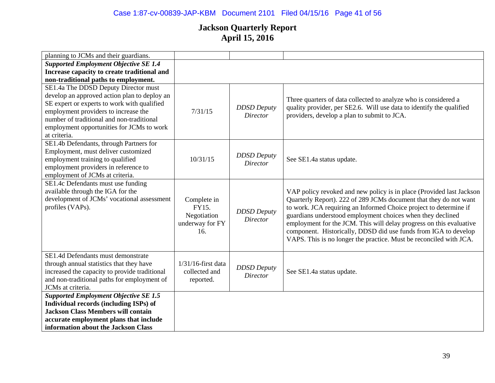# Case 1:87-cv-00839-JAP-KBM Document 2101 Filed 04/15/16 Page 41 of 56

| planning to JCMs and their guardians.                                                                                                                                                                                                                                                 |                                                               |                                       |                                                                                                                                                                                                                                                                                                                                                                                                                                                                                              |
|---------------------------------------------------------------------------------------------------------------------------------------------------------------------------------------------------------------------------------------------------------------------------------------|---------------------------------------------------------------|---------------------------------------|----------------------------------------------------------------------------------------------------------------------------------------------------------------------------------------------------------------------------------------------------------------------------------------------------------------------------------------------------------------------------------------------------------------------------------------------------------------------------------------------|
| <b>Supported Employment Objective SE 1.4</b>                                                                                                                                                                                                                                          |                                                               |                                       |                                                                                                                                                                                                                                                                                                                                                                                                                                                                                              |
| Increase capacity to create traditional and                                                                                                                                                                                                                                           |                                                               |                                       |                                                                                                                                                                                                                                                                                                                                                                                                                                                                                              |
| non-traditional paths to employment.                                                                                                                                                                                                                                                  |                                                               |                                       |                                                                                                                                                                                                                                                                                                                                                                                                                                                                                              |
| SE1.4a The DDSD Deputy Director must<br>develop an approved action plan to deploy an<br>SE expert or experts to work with qualified<br>employment providers to increase the<br>number of traditional and non-traditional<br>employment opportunities for JCMs to work<br>at criteria. | 7/31/15                                                       | <b>DDSD</b> Deputy<br><b>Director</b> | Three quarters of data collected to analyze who is considered a<br>quality provider, per SE2.6. Will use data to identify the qualified<br>providers, develop a plan to submit to JCA.                                                                                                                                                                                                                                                                                                       |
| SE1.4b Defendants, through Partners for<br>Employment, must deliver customized<br>employment training to qualified<br>employment providers in reference to<br>employment of JCMs at criteria.                                                                                         | 10/31/15                                                      | <b>DDSD</b> Deputy<br><b>Director</b> | See SE1.4a status update.                                                                                                                                                                                                                                                                                                                                                                                                                                                                    |
| SE1.4c Defendants must use funding<br>available through the IGA for the<br>development of JCMs' vocational assessment<br>profiles (VAPs).                                                                                                                                             | Complete in<br>FY15.<br>Negotiation<br>underway for FY<br>16. | <b>DDSD</b> Deputy<br><b>Director</b> | VAP policy revoked and new policy is in place (Provided last Jackson<br>Quarterly Report). 222 of 289 JCMs document that they do not want<br>to work. JCA requiring an Informed Choice project to determine if<br>guardians understood employment choices when they declined<br>employment for the JCM. This will delay progress on this evaluative<br>component. Historically, DDSD did use funds from IGA to develop<br>VAPS. This is no longer the practice. Must be reconciled with JCA. |
| SE1.4d Defendants must demonstrate<br>through annual statistics that they have<br>increased the capacity to provide traditional<br>and non-traditional paths for employment of<br>JCMs at criteria.                                                                                   | $1/31/16$ -first data<br>collected and<br>reported.           | <b>DDSD</b> Deputy<br><b>Director</b> | See SE1.4a status update.                                                                                                                                                                                                                                                                                                                                                                                                                                                                    |
| <b>Supported Employment Objective SE 1.5</b>                                                                                                                                                                                                                                          |                                                               |                                       |                                                                                                                                                                                                                                                                                                                                                                                                                                                                                              |
| Individual records (including ISPs) of                                                                                                                                                                                                                                                |                                                               |                                       |                                                                                                                                                                                                                                                                                                                                                                                                                                                                                              |
| <b>Jackson Class Members will contain</b>                                                                                                                                                                                                                                             |                                                               |                                       |                                                                                                                                                                                                                                                                                                                                                                                                                                                                                              |
| accurate employment plans that include                                                                                                                                                                                                                                                |                                                               |                                       |                                                                                                                                                                                                                                                                                                                                                                                                                                                                                              |
| information about the Jackson Class                                                                                                                                                                                                                                                   |                                                               |                                       |                                                                                                                                                                                                                                                                                                                                                                                                                                                                                              |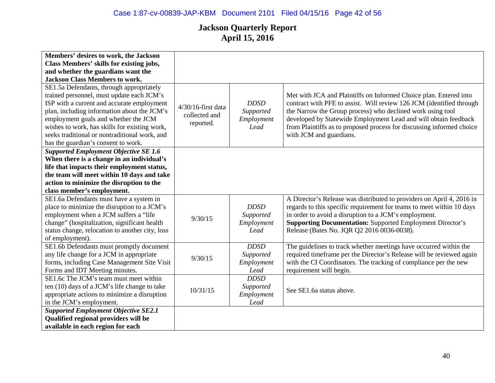| Members' desires to work, the Jackson           |                       |             |                                                                       |
|-------------------------------------------------|-----------------------|-------------|-----------------------------------------------------------------------|
| Class Members' skills for existing jobs,        |                       |             |                                                                       |
| and whether the guardians want the              |                       |             |                                                                       |
| <b>Jackson Class Members to work.</b>           |                       |             |                                                                       |
| SE1.5a Defendants, through appropriately        |                       |             |                                                                       |
| trained personnel, must update each JCM's       |                       |             | Met with JCA and Plaintiffs on Informed Choice plan. Entered into     |
| ISP with a current and accurate employment      | $4/30/16$ -first data | <b>DDSD</b> | contract with PFE to assist. Will review 126 JCM (identified through  |
| plan, including information about the JCM's     | collected and         | Supported   | the Narrow the Group process) who declined work using tool            |
| employment goals and whether the JCM            | reported.             | Employment  | developed by Statewide Employment Lead and will obtain feedback       |
| wishes to work, has skills for existing work,   |                       | Lead        | from Plaintiffs as to proposed process for discussing informed choice |
| seeks traditional or nontraditional work, and   |                       |             | with JCM and guardians.                                               |
| has the guardian's consent to work.             |                       |             |                                                                       |
| <b>Supported Employment Objective SE 1.6</b>    |                       |             |                                                                       |
| When there is a change in an individual's       |                       |             |                                                                       |
| life that impacts their employment status,      |                       |             |                                                                       |
| the team will meet within 10 days and take      |                       |             |                                                                       |
| action to minimize the disruption to the        |                       |             |                                                                       |
| class member's employment.                      |                       |             |                                                                       |
| SE1.6a Defendants must have a system in         |                       |             | A Director's Release was distributed to providers on April 4, 2016 in |
| place to minimize the disruption to a JCM's     |                       | <b>DDSD</b> | regards to this specific requirement for teams to meet within 10 days |
| employment when a JCM suffers a "life           | 9/30/15               | Supported   | in order to avoid a disruption to a JCM's employment.                 |
| change" (hospitalization, significant health    |                       | Employment  | <b>Supporting Documentation:</b> Supported Employment Director's      |
| status change, relocation to another city, loss |                       | Lead        | Release (Bates No. JQR Q2 2016 0036-0038).                            |
| of employment).                                 |                       |             |                                                                       |
| SE1.6b Defendants must promptly document        |                       | <b>DDSD</b> | The guidelines to track whether meetings have occurred within the     |
| any life change for a JCM in appropriate        | 9/30/15               | Supported   | required timeframe per the Director's Release will be reviewed again  |
| forms, including Case Management Site Visit     |                       | Employment  | with the CI Coordinators. The tracking of compliance per the new      |
| Forms and IDT Meeting minutes.                  |                       | Lead        | requirement will begin.                                               |
| SE1.6c The JCM's team must meet within          |                       | <b>DDSD</b> |                                                                       |
| ten (10) days of a JCM's life change to take    | 10/31/15              | Supported   | See SE1.6a status above.                                              |
| appropriate actions to minimize a disruption    |                       | Employment  |                                                                       |
| in the JCM's employment.                        |                       | Lead        |                                                                       |
| <b>Supported Employment Objective SE2.1</b>     |                       |             |                                                                       |
| Qualified regional providers will be            |                       |             |                                                                       |
| available in each region for each               |                       |             |                                                                       |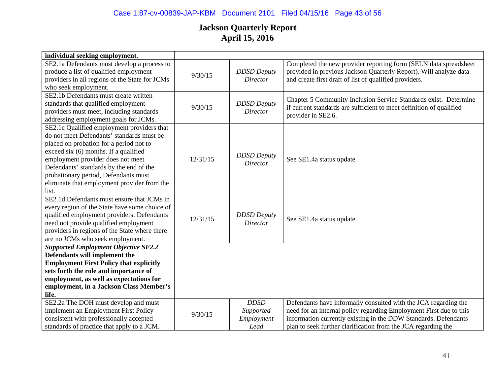# Case 1:87-cv-00839-JAP-KBM Document 2101 Filed 04/15/16 Page 43 of 56

| individual seeking employment.                 |          |                    |                                                                     |
|------------------------------------------------|----------|--------------------|---------------------------------------------------------------------|
| SE2.1a Defendants must develop a process to    |          |                    | Completed the new provider reporting form (SELN data spreadsheet    |
| produce a list of qualified employment         | 9/30/15  | <b>DDSD</b> Deputy | provided in previous Jackson Quarterly Report). Will analyze data   |
| providers in all regions of the State for JCMs |          | <b>Director</b>    | and create first draft of list of qualified providers.              |
| who seek employment.                           |          |                    |                                                                     |
| SE2.1b Defendants must create written          |          |                    | Chapter 5 Community Inclusion Service Standards exist. Determine    |
| standards that qualified employment            | 9/30/15  | <b>DDSD</b> Deputy | if current standards are sufficient to meet definition of qualified |
| providers must meet, including standards       |          | Director           | provider in SE2.6.                                                  |
| addressing employment goals for JCMs.          |          |                    |                                                                     |
| SE2.1c Qualified employment providers that     |          |                    |                                                                     |
| do not meet Defendants' standards must be      |          |                    |                                                                     |
| placed on probation for a period not to        |          |                    |                                                                     |
| exceed six (6) months. If a qualified          |          | <b>DDSD</b> Deputy |                                                                     |
| employment provider does not meet              | 12/31/15 | Director           | See SE1.4a status update.                                           |
| Defendants' standards by the end of the        |          |                    |                                                                     |
| probationary period, Defendants must           |          |                    |                                                                     |
| eliminate that employment provider from the    |          |                    |                                                                     |
| list.                                          |          |                    |                                                                     |
| SE2.1d Defendants must ensure that JCMs in     |          |                    |                                                                     |
| every region of the State have some choice of  |          |                    |                                                                     |
| qualified employment providers. Defendants     | 12/31/15 | <b>DDSD</b> Deputy | See SE1.4a status update.                                           |
| need not provide qualified employment          |          | Director           |                                                                     |
| providers in regions of the State where there  |          |                    |                                                                     |
| are no JCMs who seek employment.               |          |                    |                                                                     |
| <b>Supported Employment Objective SE2.2</b>    |          |                    |                                                                     |
| Defendants will implement the                  |          |                    |                                                                     |
| <b>Employment First Policy that explicitly</b> |          |                    |                                                                     |
| sets forth the role and importance of          |          |                    |                                                                     |
| employment, as well as expectations for        |          |                    |                                                                     |
| employment, in a Jackson Class Member's        |          |                    |                                                                     |
| life.                                          |          |                    |                                                                     |
| SE2.2a The DOH must develop and must           |          | <b>DDSD</b>        | Defendants have informally consulted with the JCA regarding the     |
| implement an Employment First Policy           | 9/30/15  | Supported          | need for an internal policy regarding Employment First due to this  |
| consistent with professionally accepted        |          | Employment         | information currently existing in the DDW Standards. Defendants     |
| standards of practice that apply to a JCM.     |          | Lead               | plan to seek further clarification from the JCA regarding the       |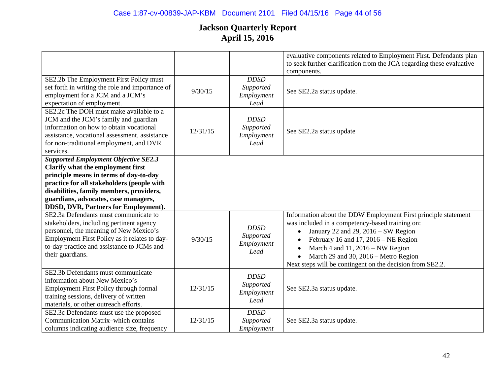|                                                                                                                                                                                                                                                                                                      |          |                                                | evaluative components related to Employment First. Defendants plan<br>to seek further clarification from the JCA regarding these evaluative<br>components.                                                                                                                                                                                                            |
|------------------------------------------------------------------------------------------------------------------------------------------------------------------------------------------------------------------------------------------------------------------------------------------------------|----------|------------------------------------------------|-----------------------------------------------------------------------------------------------------------------------------------------------------------------------------------------------------------------------------------------------------------------------------------------------------------------------------------------------------------------------|
| SE2.2b The Employment First Policy must<br>set forth in writing the role and importance of<br>employment for a JCM and a JCM's<br>expectation of employment.                                                                                                                                         | 9/30/15  | <b>DDSD</b><br>Supported<br>Employment<br>Lead | See SE2.2a status update.                                                                                                                                                                                                                                                                                                                                             |
| SE2.2c The DOH must make available to a<br>JCM and the JCM's family and guardian<br>information on how to obtain vocational<br>assistance, vocational assessment, assistance<br>for non-traditional employment, and DVR<br>services.                                                                 | 12/31/15 | <b>DDSD</b><br>Supported<br>Employment<br>Lead | See SE2.2a status update                                                                                                                                                                                                                                                                                                                                              |
| <b>Supported Employment Objective SE2.3</b><br>Clarify what the employment first<br>principle means in terms of day-to-day<br>practice for all stakeholders (people with<br>disabilities, family members, providers,<br>guardians, advocates, case managers,<br>DDSD, DVR, Partners for Employment). |          |                                                |                                                                                                                                                                                                                                                                                                                                                                       |
| SE2.3a Defendants must communicate to<br>stakeholders, including pertinent agency<br>personnel, the meaning of New Mexico's<br>Employment First Policy as it relates to day-<br>to-day practice and assistance to JCMs and<br>their guardians.                                                       | 9/30/15  | <b>DDSD</b><br>Supported<br>Employment<br>Lead | Information about the DDW Employment First principle statement<br>was included in a competency-based training on:<br>January 22 and 29, 2016 – SW Region<br>February 16 and 17, $2016 - NE$ Region<br>$\bullet$<br>March 4 and 11, 2016 - NW Region<br>$\bullet$<br>March 29 and 30, 2016 – Metro Region<br>Next steps will be contingent on the decision from SE2.2. |
| SE2.3b Defendants must communicate<br>information about New Mexico's<br>Employment First Policy through formal<br>training sessions, delivery of written<br>materials, or other outreach efforts.                                                                                                    | 12/31/15 | <b>DDSD</b><br>Supported<br>Employment<br>Lead | See SE2.3a status update.                                                                                                                                                                                                                                                                                                                                             |
| SE2.3c Defendants must use the proposed<br><b>Communication Matrix-which contains</b><br>columns indicating audience size, frequency                                                                                                                                                                 | 12/31/15 | <b>DDSD</b><br>Supported<br>Employment         | See SE2.3a status update.                                                                                                                                                                                                                                                                                                                                             |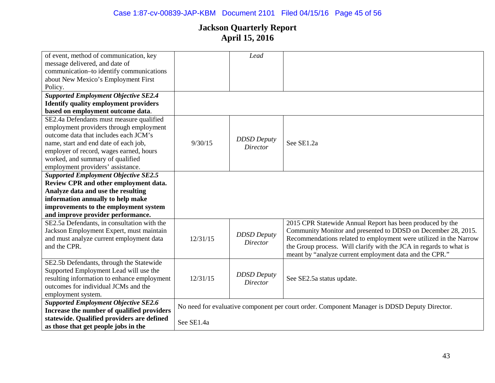| of event, method of communication, key       |            | Lead                                  |                                                                                              |
|----------------------------------------------|------------|---------------------------------------|----------------------------------------------------------------------------------------------|
| message delivered, and date of               |            |                                       |                                                                                              |
| communication-to identify communications     |            |                                       |                                                                                              |
| about New Mexico's Employment First          |            |                                       |                                                                                              |
| Policy.                                      |            |                                       |                                                                                              |
| <b>Supported Employment Objective SE2.4</b>  |            |                                       |                                                                                              |
| <b>Identify quality employment providers</b> |            |                                       |                                                                                              |
| based on employment outcome data.            |            |                                       |                                                                                              |
| SE2.4a Defendants must measure qualified     |            |                                       |                                                                                              |
| employment providers through employment      |            |                                       |                                                                                              |
| outcome data that includes each JCM's        |            |                                       |                                                                                              |
| name, start and end date of each job,        | 9/30/15    | <b>DDSD</b> Deputy<br><b>Director</b> | See SE1.2a                                                                                   |
| employer of record, wages earned, hours      |            |                                       |                                                                                              |
| worked, and summary of qualified             |            |                                       |                                                                                              |
| employment providers' assistance.            |            |                                       |                                                                                              |
| <b>Supported Employment Objective SE2.5</b>  |            |                                       |                                                                                              |
| Review CPR and other employment data.        |            |                                       |                                                                                              |
| Analyze data and use the resulting           |            |                                       |                                                                                              |
| information annually to help make            |            |                                       |                                                                                              |
| improvements to the employment system        |            |                                       |                                                                                              |
| and improve provider performance.            |            |                                       |                                                                                              |
| SE2.5a Defendants, in consultation with the  |            |                                       | 2015 CPR Statewide Annual Report has been produced by the                                    |
| Jackson Employment Expert, must maintain     |            |                                       | Community Monitor and presented to DDSD on December 28, 2015.                                |
| and must analyze current employment data     | 12/31/15   | <b>DDSD</b> Deputy<br><i>Director</i> | Recommendations related to employment were utilized in the Narrow                            |
| and the CPR.                                 |            |                                       | the Group process. Will clarify with the JCA in regards to what is                           |
|                                              |            |                                       | meant by "analyze current employment data and the CPR."                                      |
| SE2.5b Defendants, through the Statewide     |            |                                       |                                                                                              |
| Supported Employment Lead will use the       |            |                                       |                                                                                              |
| resulting information to enhance employment  | 12/31/15   | <b>DDSD</b> Deputy<br><b>Director</b> | See SE2.5a status update.                                                                    |
| outcomes for individual JCMs and the         |            |                                       |                                                                                              |
| employment system.                           |            |                                       |                                                                                              |
| <b>Supported Employment Objective SE2.6</b>  |            |                                       |                                                                                              |
| Increase the number of qualified providers   |            |                                       | No need for evaluative component per court order. Component Manager is DDSD Deputy Director. |
| statewide. Qualified providers are defined   | See SE1.4a |                                       |                                                                                              |
| as those that get people jobs in the         |            |                                       |                                                                                              |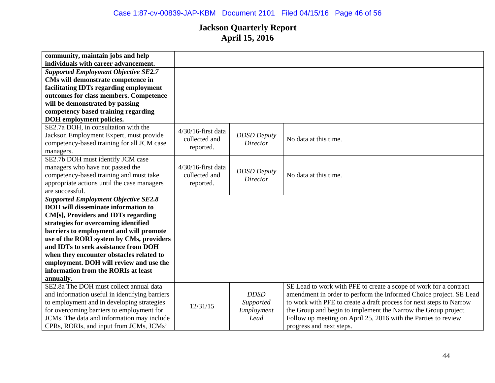| community, maintain jobs and help              |                       |                    |                                                                     |
|------------------------------------------------|-----------------------|--------------------|---------------------------------------------------------------------|
| individuals with career advancement.           |                       |                    |                                                                     |
| <b>Supported Employment Objective SE2.7</b>    |                       |                    |                                                                     |
| CMs will demonstrate competence in             |                       |                    |                                                                     |
| facilitating IDTs regarding employment         |                       |                    |                                                                     |
| outcomes for class members. Competence         |                       |                    |                                                                     |
| will be demonstrated by passing                |                       |                    |                                                                     |
| competency based training regarding            |                       |                    |                                                                     |
| DOH employment policies.                       |                       |                    |                                                                     |
| SE2.7a DOH, in consultation with the           | $4/30/16$ -first data |                    |                                                                     |
| Jackson Employment Expert, must provide        | collected and         | <b>DDSD</b> Deputy | No data at this time.                                               |
| competency-based training for all JCM case     |                       | Director           |                                                                     |
| managers.                                      | reported.             |                    |                                                                     |
| SE2.7b DOH must identify JCM case              |                       |                    |                                                                     |
| managers who have not passed the               | $4/30/16$ -first data |                    |                                                                     |
| competency-based training and must take        | collected and         | <b>DDSD</b> Deputy | No data at this time.                                               |
| appropriate actions until the case managers    | reported.             | Director           |                                                                     |
| are successful.                                |                       |                    |                                                                     |
| <b>Supported Employment Objective SE2.8</b>    |                       |                    |                                                                     |
| <b>DOH</b> will disseminate information to     |                       |                    |                                                                     |
| CM[s], Providers and IDTs regarding            |                       |                    |                                                                     |
| strategies for overcoming identified           |                       |                    |                                                                     |
| barriers to employment and will promote        |                       |                    |                                                                     |
| use of the RORI system by CMs, providers       |                       |                    |                                                                     |
| and IDTs to seek assistance from DOH           |                       |                    |                                                                     |
| when they encounter obstacles related to       |                       |                    |                                                                     |
| employment. DOH will review and use the        |                       |                    |                                                                     |
| information from the RORIs at least            |                       |                    |                                                                     |
| annually.                                      |                       |                    |                                                                     |
| SE2.8a The DOH must collect annual data        |                       |                    | SE Lead to work with PFE to create a scope of work for a contract   |
| and information useful in identifying barriers |                       | <b>DDSD</b>        | amendment in order to perform the Informed Choice project. SE Lead  |
| to employment and in developing strategies     |                       | Supported          | to work with PFE to create a draft process for next steps to Narrow |
| for overcoming barriers to employment for      | 12/31/15              | Employment         | the Group and begin to implement the Narrow the Group project.      |
| JCMs. The data and information may include     |                       | Lead               | Follow up meeting on April 25, 2016 with the Parties to review      |
| CPRs, RORIs, and input from JCMs, JCMs'        |                       |                    | progress and next steps.                                            |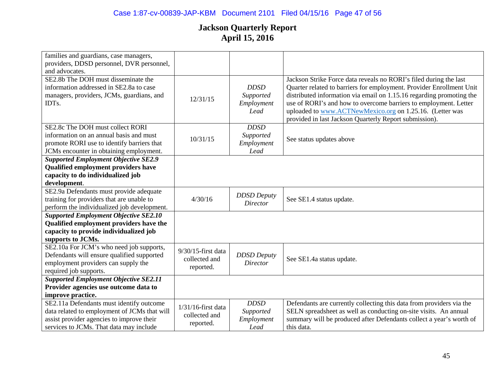| families and guardians, case managers,       |                       |                    |                                                                      |
|----------------------------------------------|-----------------------|--------------------|----------------------------------------------------------------------|
| providers, DDSD personnel, DVR personnel,    |                       |                    |                                                                      |
| and advocates.                               |                       |                    |                                                                      |
| SE2.8b The DOH must disseminate the          |                       |                    | Jackson Strike Force data reveals no RORI's filed during the last    |
| information addressed in SE2.8a to case      |                       | <b>DDSD</b>        | Quarter related to barriers for employment. Provider Enrollment Unit |
| managers, providers, JCMs, guardians, and    | 12/31/15              | Supported          | distributed information via email on 1.15.16 regarding promoting the |
| IDTs.                                        |                       | Employment         | use of RORI's and how to overcome barriers to employment. Letter     |
|                                              |                       | Lead               | uploaded to www.ACTNewMexico.org on 1.25.16. (Letter was             |
|                                              |                       |                    | provided in last Jackson Quarterly Report submission).               |
| SE2.8c The DOH must collect RORI             |                       | <b>DDSD</b>        |                                                                      |
| information on an annual basis and must      | 10/31/15              | Supported          | See status updates above                                             |
| promote RORI use to identify barriers that   |                       | Employment         |                                                                      |
| JCMs encounter in obtaining employment.      |                       | Lead               |                                                                      |
| <b>Supported Employment Objective SE2.9</b>  |                       |                    |                                                                      |
| <b>Qualified employment providers have</b>   |                       |                    |                                                                      |
| capacity to do individualized job            |                       |                    |                                                                      |
| development.                                 |                       |                    |                                                                      |
| SE2.9a Defendants must provide adequate      |                       | <b>DDSD</b> Deputy |                                                                      |
| training for providers that are unable to    | 4/30/16               | Director           | See SE1.4 status update.                                             |
| perform the individualized job development.  |                       |                    |                                                                      |
| <b>Supported Employment Objective SE2.10</b> |                       |                    |                                                                      |
| Qualified employment providers have the      |                       |                    |                                                                      |
| capacity to provide individualized job       |                       |                    |                                                                      |
| supports to JCMs.                            |                       |                    |                                                                      |
| SE2.10a For JCM's who need job supports,     | $9/30/15$ -first data |                    |                                                                      |
| Defendants will ensure qualified supported   | collected and         | <b>DDSD</b> Deputy | See SE1.4a status update.                                            |
| employment providers can supply the          | reported.             | <b>Director</b>    |                                                                      |
| required job supports.                       |                       |                    |                                                                      |
| <b>Supported Employment Objective SE2.11</b> |                       |                    |                                                                      |
| Provider agencies use outcome data to        |                       |                    |                                                                      |
| improve practice.                            |                       |                    |                                                                      |
| SE2.11a Defendants must identify outcome     | $1/31/16$ -first data | <b>DDSD</b>        | Defendants are currently collecting this data from providers via the |
| data related to employment of JCMs that will | collected and         | Supported          | SELN spreadsheet as well as conducting on-site visits. An annual     |
| assist provider agencies to improve their    | reported.             | Employment         | summary will be produced after Defendants collect a year's worth of  |
| services to JCMs. That data may include      |                       | Lead               | this data.                                                           |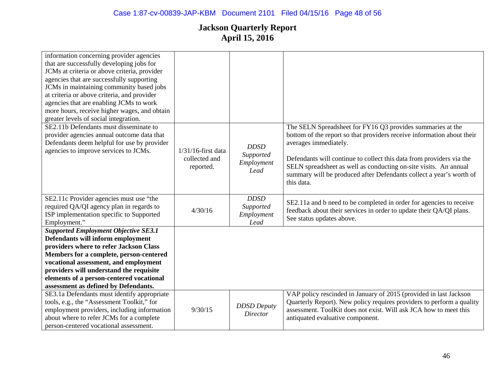| information concerning provider agencies<br>that are successfully developing jobs for<br>JCMs at criteria or above criteria, provider<br>agencies that are successfully supporting<br>JCMs in maintaining community based jobs<br>at criteria or above criteria, and provider<br>agencies that are enabling JCMs to work<br>more hours, receive higher wages, and obtain<br>greater levels of social integration. |                                                     |                                                |                                                                                                                                                                                                                                                                                                                                                                                                |
|-------------------------------------------------------------------------------------------------------------------------------------------------------------------------------------------------------------------------------------------------------------------------------------------------------------------------------------------------------------------------------------------------------------------|-----------------------------------------------------|------------------------------------------------|------------------------------------------------------------------------------------------------------------------------------------------------------------------------------------------------------------------------------------------------------------------------------------------------------------------------------------------------------------------------------------------------|
| SE2.11b Defendants must disseminate to<br>provider agencies annual outcome data that<br>Defendants deem helpful for use by provider<br>agencies to improve services to JCMs.                                                                                                                                                                                                                                      | $1/31/16$ -first data<br>collected and<br>reported. | <b>DDSD</b><br>Supported<br>Employment<br>Lead | The SELN Spreadsheet for FY16 Q3 provides summaries at the<br>bottom of the report so that providers receive information about their<br>averages immediately.<br>Defendants will continue to collect this data from providers via the<br>SELN spreadsheet as well as conducting on-site visits. An annual<br>summary will be produced after Defendants collect a year's worth of<br>this data. |
| SE2.11c Provider agencies must use "the<br>required QA/QI agency plan in regards to<br>ISP implementation specific to Supported<br>Employment."                                                                                                                                                                                                                                                                   | 4/30/16                                             | <b>DDSD</b><br>Supported<br>Employment<br>Lead | SE2.11a and b need to be completed in order for agencies to receive<br>feedback about their services in order to update their QA/QI plans.<br>See status updates above.                                                                                                                                                                                                                        |
| <b>Supported Employment Objective SE3.1</b><br>Defendants will inform employment<br>providers where to refer Jackson Class<br>Members for a complete, person-centered<br>vocational assessment, and employment<br>providers will understand the requisite<br>elements of a person-centered vocational<br>assessment as defined by Defendants.<br>SE3.1a Defendants must identify appropriate                      |                                                     |                                                | VAP policy rescinded in January of 2015 (provided in last Jackson                                                                                                                                                                                                                                                                                                                              |
| tools, e.g., the "Assessment Toolkit," for<br>employment providers, including information<br>about where to refer JCMs for a complete<br>person-centered vocational assessment.                                                                                                                                                                                                                                   | 9/30/15                                             | <b>DDSD</b> Deputy<br><b>Director</b>          | Quarterly Report). New policy requires providers to perform a quality<br>assessment. ToolKit does not exist. Will ask JCA how to meet this<br>antiquated evaluative component.                                                                                                                                                                                                                 |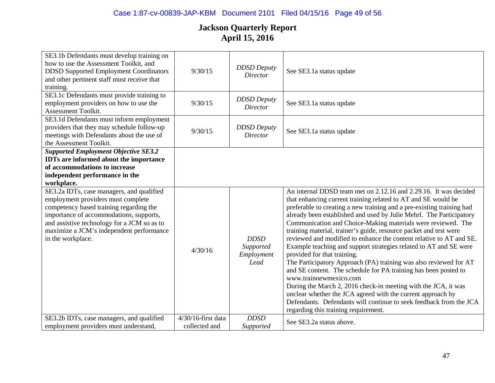| SE3.1b Defendants must develop training on<br>how to use the Assessment Toolkit, and<br><b>DDSD Supported Employment Coordinators</b><br>and other pertinent staff must receive that<br>training.                                                                                     | 9/30/15                             | <b>DDSD</b> Deputy<br><b>Director</b>          | See SE3.1a status update                                                                                                                                                                                                                                                                                                                                                                                                                                                                                                                                                                                                                                                                                                                                                                                                                                                                                                                                                                                           |
|---------------------------------------------------------------------------------------------------------------------------------------------------------------------------------------------------------------------------------------------------------------------------------------|-------------------------------------|------------------------------------------------|--------------------------------------------------------------------------------------------------------------------------------------------------------------------------------------------------------------------------------------------------------------------------------------------------------------------------------------------------------------------------------------------------------------------------------------------------------------------------------------------------------------------------------------------------------------------------------------------------------------------------------------------------------------------------------------------------------------------------------------------------------------------------------------------------------------------------------------------------------------------------------------------------------------------------------------------------------------------------------------------------------------------|
| SE3.1c Defendants must provide training to<br>employment providers on how to use the<br>Assessment Toolkit.                                                                                                                                                                           | 9/30/15                             | <b>DDSD</b> Deputy<br><b>Director</b>          | See SE3.1a status update                                                                                                                                                                                                                                                                                                                                                                                                                                                                                                                                                                                                                                                                                                                                                                                                                                                                                                                                                                                           |
| SE3.1d Defendants must inform employment<br>providers that they may schedule follow-up<br>meetings with Defendants about the use of<br>the Assessment Toolkit.                                                                                                                        | 9/30/15                             | <b>DDSD</b> Deputy<br><b>Director</b>          | See SE3.1a status update                                                                                                                                                                                                                                                                                                                                                                                                                                                                                                                                                                                                                                                                                                                                                                                                                                                                                                                                                                                           |
| <b>Supported Employment Objective SE3.2</b><br><b>IDTs</b> are informed about the importance<br>of accommodations to increase<br>independent performance in the<br>workplace.                                                                                                         |                                     |                                                |                                                                                                                                                                                                                                                                                                                                                                                                                                                                                                                                                                                                                                                                                                                                                                                                                                                                                                                                                                                                                    |
| SE3.2a IDTs, case managers, and qualified<br>employment providers must complete<br>competency based training regarding the<br>importance of accommodations, supports,<br>and assistive technology for a JCM so as to<br>maximize a JCM's independent performance<br>in the workplace. | 4/30/16                             | <b>DDSD</b><br>Supported<br>Employment<br>Lead | An internal DDSD team met on 2.12.16 and 2.29.16. It was decided<br>that enhancing current training related to AT and SE would be<br>preferable to creating a new training and a pre-existing training had<br>already been established and used by Julie Mehrl. The Participatory<br>Communication and Choice-Making materials were reviewed. The<br>training material, trainer's guide, resource packet and test were<br>reviewed and modified to enhance the content relative to AT and SE.<br>Example teaching and support strategies related to AT and SE were<br>provided for that training.<br>The Participatory Approach (PA) training was also reviewed for AT<br>and SE content. The schedule for PA training has been posted to<br>www.trainnewmexico.com<br>During the March 2, 2016 check-in meeting with the JCA, it was<br>unclear whether the JCA agreed with the current approach by<br>Defendants. Defendants will continue to seek feedback from the JCA<br>regarding this training requirement. |
| SE3.2b IDTs, case managers, and qualified<br>employment providers must understand,                                                                                                                                                                                                    | 4/30/16-first data<br>collected and | <b>DDSD</b><br>Supported                       | See SE3.2a status above.                                                                                                                                                                                                                                                                                                                                                                                                                                                                                                                                                                                                                                                                                                                                                                                                                                                                                                                                                                                           |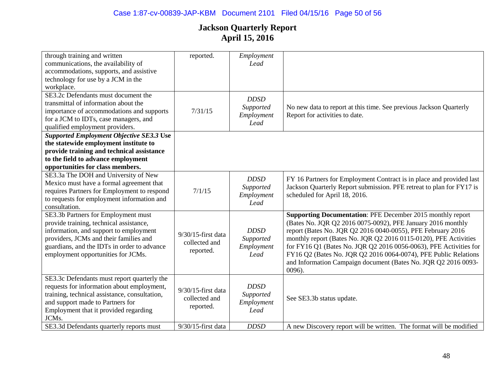| through training and written<br>communications, the availability of                       | reported.             | Employment<br>Lead      |                                                                                                      |
|-------------------------------------------------------------------------------------------|-----------------------|-------------------------|------------------------------------------------------------------------------------------------------|
| accommodations, supports, and assistive                                                   |                       |                         |                                                                                                      |
| technology for use by a JCM in the                                                        |                       |                         |                                                                                                      |
| workplace.                                                                                |                       |                         |                                                                                                      |
| SE3.2c Defendants must document the                                                       |                       | <b>DDSD</b>             |                                                                                                      |
| transmittal of information about the                                                      |                       | Supported               |                                                                                                      |
| importance of accommodations and supports                                                 | 7/31/15               | Employment              | No new data to report at this time. See previous Jackson Quarterly<br>Report for activities to date. |
| for a JCM to IDTs, case managers, and                                                     |                       | Lead                    |                                                                                                      |
| qualified employment providers.                                                           |                       |                         |                                                                                                      |
| <b>Supported Employment Objective SE3.3 Use</b>                                           |                       |                         |                                                                                                      |
| the statewide employment institute to                                                     |                       |                         |                                                                                                      |
| provide training and technical assistance                                                 |                       |                         |                                                                                                      |
| to the field to advance employment                                                        |                       |                         |                                                                                                      |
| opportunities for class members.                                                          |                       |                         |                                                                                                      |
| SE3.3a The DOH and University of New                                                      |                       | <b>DDSD</b>             | FY 16 Partners for Employment Contract is in place and provided last                                 |
| Mexico must have a formal agreement that                                                  |                       | Supported               | Jackson Quarterly Report submission. PFE retreat to plan for FY17 is                                 |
| requires Partners for Employment to respond                                               | 7/1/15                | Employment              | scheduled for April 18, 2016.                                                                        |
| to requests for employment information and                                                |                       | Lead                    |                                                                                                      |
| consultation.                                                                             |                       |                         |                                                                                                      |
| SE3.3b Partners for Employment must                                                       |                       |                         | <b>Supporting Documentation: PFE December 2015 monthly report</b>                                    |
| provide training, technical assistance,                                                   |                       |                         | (Bates No. JQR Q2 2016 0075-0092), PFE January 2016 monthly                                          |
| information, and support to employment                                                    | $9/30/15$ -first data | <b>DDSD</b>             | report (Bates No. JQR Q2 2016 0040-0055), PFE February 2016                                          |
| providers, JCMs and their families and                                                    | collected and         | Supported               | monthly report (Bates No. JQR Q2 2016 0115-0120), PFE Activities                                     |
| guardians, and the IDTs in order to advance                                               | reported.             | Employment              | for FY16 Q1 (Bates No. JQR Q2 2016 0056-0063), PFE Activities for                                    |
| employment opportunities for JCMs.                                                        |                       | Lead                    | FY16 Q2 (Bates No. JQR Q2 2016 0064-0074), PFE Public Relations                                      |
|                                                                                           |                       |                         | and Information Campaign document (Bates No. JQR Q2 2016 0093-                                       |
|                                                                                           |                       |                         | $0096$ ).                                                                                            |
| SE3.3c Defendants must report quarterly the<br>requests for information about employment, |                       | <b>DDSD</b>             |                                                                                                      |
| training, technical assistance, consultation,                                             | 9/30/15-first data    |                         |                                                                                                      |
| and support made to Partners for                                                          | collected and         | Supported<br>Employment | See SE3.3b status update.                                                                            |
| Employment that it provided regarding                                                     | reported.             | Lead                    |                                                                                                      |
| JCMs.                                                                                     |                       |                         |                                                                                                      |
| SE3.3d Defendants quarterly reports must                                                  | 9/30/15-first data    | <b>DDSD</b>             | A new Discovery report will be written. The format will be modified                                  |
|                                                                                           |                       |                         |                                                                                                      |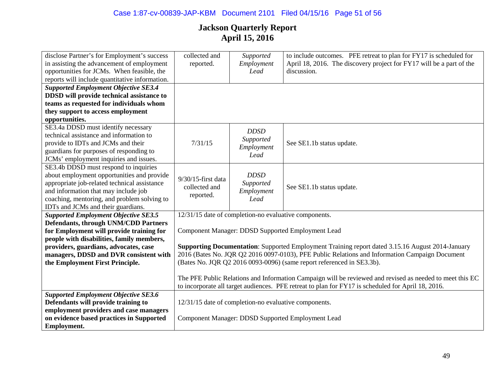| disclose Partner's for Employment's success<br>in assisting the advancement of employment<br>opportunities for JCMs. When feasible, the                                                                                                                          | collected and<br>reported.                                                                     | Supported<br>Employment<br>Lead                       | to include outcomes. PFE retreat to plan for FY17 is scheduled for<br>April 18, 2016. The discovery project for FY17 will be a part of the<br>discussion.                                                      |
|------------------------------------------------------------------------------------------------------------------------------------------------------------------------------------------------------------------------------------------------------------------|------------------------------------------------------------------------------------------------|-------------------------------------------------------|----------------------------------------------------------------------------------------------------------------------------------------------------------------------------------------------------------------|
| reports will include quantitative information.                                                                                                                                                                                                                   |                                                                                                |                                                       |                                                                                                                                                                                                                |
| <b>Supported Employment Objective SE3.4</b><br>DDSD will provide technical assistance to<br>teams as requested for individuals whom<br>they support to access employment<br>opportunities.                                                                       |                                                                                                |                                                       |                                                                                                                                                                                                                |
| SE3.4a DDSD must identify necessary<br>technical assistance and information to<br>provide to IDTs and JCMs and their<br>guardians for purposes of responding to<br>JCMs' employment inquiries and issues.                                                        | 7/31/15                                                                                        | <b>DDSD</b><br>Supported<br>Employment<br>Lead        | See SE1.1b status update.                                                                                                                                                                                      |
| SE3.4b DDSD must respond to inquiries<br>about employment opportunities and provide<br>appropriate job-related technical assistance<br>and information that may include job<br>coaching, mentoring, and problem solving to<br>IDTs and JCMs and their guardians. | $9/30/15$ -first data<br>collected and<br>reported.                                            | <b>DDSD</b><br>Supported<br>Employment<br>Lead        | See SE1.1b status update.                                                                                                                                                                                      |
| <b>Supported Employment Objective SE3.5</b>                                                                                                                                                                                                                      |                                                                                                | 12/31/15 date of completion-no evaluative components. |                                                                                                                                                                                                                |
| <b>Defendants, through UNM/CDD Partners</b><br>for Employment will provide training for                                                                                                                                                                          |                                                                                                |                                                       | Component Manager: DDSD Supported Employment Lead                                                                                                                                                              |
| people with disabilities, family members,                                                                                                                                                                                                                        |                                                                                                |                                                       |                                                                                                                                                                                                                |
| providers, guardians, advocates, case                                                                                                                                                                                                                            |                                                                                                |                                                       | <b>Supporting Documentation:</b> Supported Employment Training report dated 3.15.16 August 2014-January                                                                                                        |
| managers, DDSD and DVR consistent with                                                                                                                                                                                                                           | 2016 (Bates No. JQR Q2 2016 0097-0103), PFE Public Relations and Information Campaign Document |                                                       |                                                                                                                                                                                                                |
| the Employment First Principle.                                                                                                                                                                                                                                  |                                                                                                |                                                       | (Bates No. JQR Q2 2016 0093-0096) (same report referenced in SE3.3b).                                                                                                                                          |
|                                                                                                                                                                                                                                                                  |                                                                                                |                                                       | The PFE Public Relations and Information Campaign will be reviewed and revised as needed to meet this EC<br>to incorporate all target audiences. PFE retreat to plan for FY17 is scheduled for April 18, 2016. |
| <b>Supported Employment Objective SE3.6</b>                                                                                                                                                                                                                      |                                                                                                |                                                       |                                                                                                                                                                                                                |
| Defendants will provide training to                                                                                                                                                                                                                              |                                                                                                | 12/31/15 date of completion-no evaluative components. |                                                                                                                                                                                                                |
| employment providers and case managers<br>on evidence based practices in Supported                                                                                                                                                                               |                                                                                                |                                                       | Component Manager: DDSD Supported Employment Lead                                                                                                                                                              |
| Employment.                                                                                                                                                                                                                                                      |                                                                                                |                                                       |                                                                                                                                                                                                                |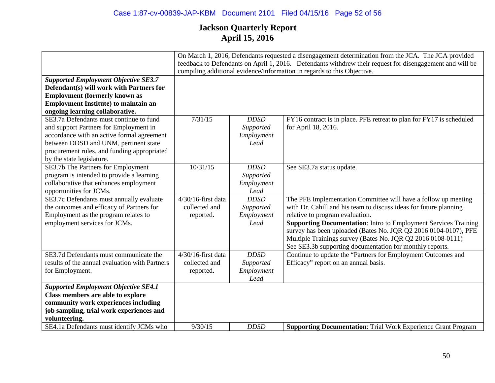|                                                                                                                                                                                                                                                      |                                                     |                                                | On March 1, 2016, Defendants requested a disengagement determination from the JCA. The JCA provided<br>feedback to Defendants on April 1, 2016. Defendants withdrew their request for disengagement and will be<br>compiling additional evidence/information in regards to this Objective.                                                                                                                                                     |
|------------------------------------------------------------------------------------------------------------------------------------------------------------------------------------------------------------------------------------------------------|-----------------------------------------------------|------------------------------------------------|------------------------------------------------------------------------------------------------------------------------------------------------------------------------------------------------------------------------------------------------------------------------------------------------------------------------------------------------------------------------------------------------------------------------------------------------|
| <b>Supported Employment Objective SE3.7</b><br>Defendant(s) will work with Partners for<br><b>Employment (formerly known as</b><br><b>Employment Institute) to maintain an</b><br>ongoing learning collaborative.                                    |                                                     |                                                |                                                                                                                                                                                                                                                                                                                                                                                                                                                |
| SE3.7a Defendants must continue to fund<br>and support Partners for Employment in<br>accordance with an active formal agreement<br>between DDSD and UNM, pertinent state<br>procurement rules, and funding appropriated<br>by the state legislature. | 7/31/15                                             | <b>DDSD</b><br>Supported<br>Employment<br>Lead | FY16 contract is in place. PFE retreat to plan for FY17 is scheduled<br>for April 18, 2016.                                                                                                                                                                                                                                                                                                                                                    |
| SE3.7b The Partners for Employment<br>program is intended to provide a learning<br>collaborative that enhances employment<br>opportunities for JCMs.                                                                                                 | 10/31/15                                            | <b>DDSD</b><br>Supported<br>Employment<br>Lead | See SE3.7a status update.                                                                                                                                                                                                                                                                                                                                                                                                                      |
| SE3.7c Defendants must annually evaluate<br>the outcomes and efficacy of Partners for<br>Employment as the program relates to<br>employment services for JCMs.                                                                                       | 4/30/16-first data<br>collected and<br>reported.    | <b>DDSD</b><br>Supported<br>Employment<br>Lead | The PFE Implementation Committee will have a follow up meeting<br>with Dr. Cahill and his team to discuss ideas for future planning<br>relative to program evaluation.<br><b>Supporting Documentation:</b> Intro to Employment Services Training<br>survey has been uploaded (Bates No. JQR Q2 2016 0104-0107), PFE<br>Multiple Trainings survey (Bates No. JQR Q2 2016 0108-0111)<br>See SE3.3b supporting documentation for monthly reports. |
| SE3.7d Defendants must communicate the<br>results of the annual evaluation with Partners<br>for Employment.                                                                                                                                          | $4/30/16$ -first data<br>collected and<br>reported. | <b>DDSD</b><br>Supported<br>Employment<br>Lead | Continue to update the "Partners for Employment Outcomes and<br>Efficacy" report on an annual basis.                                                                                                                                                                                                                                                                                                                                           |
| <b>Supported Employment Objective SE4.1</b><br>Class members are able to explore<br>community work experiences including<br>job sampling, trial work experiences and<br>volunteering.<br>SE4.1a Defendants must identify JCMs who                    | 9/30/15                                             | <b>DDSD</b>                                    | <b>Supporting Documentation:</b> Trial Work Experience Grant Program                                                                                                                                                                                                                                                                                                                                                                           |
|                                                                                                                                                                                                                                                      |                                                     |                                                |                                                                                                                                                                                                                                                                                                                                                                                                                                                |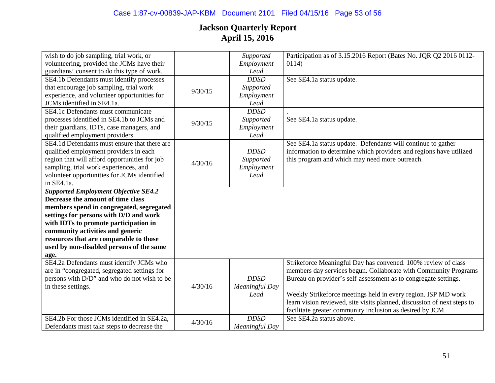| wish to do job sampling, trial work, or       |         | Supported      | Participation as of 3.15.2016 Report (Bates No. JQR Q2 2016 0112-       |
|-----------------------------------------------|---------|----------------|-------------------------------------------------------------------------|
| volunteering, provided the JCMs have their    |         | Employment     | 0114)                                                                   |
| guardians' consent to do this type of work.   |         | Lead           |                                                                         |
| SE4.1b Defendants must identify processes     |         | <b>DDSD</b>    | See SE4.1a status update.                                               |
| that encourage job sampling, trial work       | 9/30/15 | Supported      |                                                                         |
| experience, and volunteer opportunities for   |         | Employment     |                                                                         |
| JCMs identified in SE4.1a.                    |         | Lead           |                                                                         |
| SE4.1c Defendants must communicate            |         | <b>DDSD</b>    |                                                                         |
| processes identified in SE4.1b to JCMs and    | 9/30/15 | Supported      | See SE4.1a status update.                                               |
| their guardians, IDTs, case managers, and     |         | Employment     |                                                                         |
| qualified employment providers.               |         | Lead           |                                                                         |
| SE4.1d Defendants must ensure that there are  |         |                | See SE4.1a status update. Defendants will continue to gather            |
| qualified employment providers in each        |         | <b>DDSD</b>    | information to determine which providers and regions have utilized      |
| region that will afford opportunities for job |         | Supported      | this program and which may need more outreach.                          |
| sampling, trial work experiences, and         | 4/30/16 | Employment     |                                                                         |
| volunteer opportunities for JCMs identified   |         | Lead           |                                                                         |
| in SE4.1a.                                    |         |                |                                                                         |
| <b>Supported Employment Objective SE4.2</b>   |         |                |                                                                         |
| Decrease the amount of time class             |         |                |                                                                         |
| members spend in congregated, segregated      |         |                |                                                                         |
| settings for persons with D/D and work        |         |                |                                                                         |
| with IDTs to promote participation in         |         |                |                                                                         |
| community activities and generic              |         |                |                                                                         |
| resources that are comparable to those        |         |                |                                                                         |
| used by non-disabled persons of the same      |         |                |                                                                         |
| age.                                          |         |                |                                                                         |
| SE4.2a Defendants must identify JCMs who      |         |                | Strikeforce Meaningful Day has convened. 100% review of class           |
| are in "congregated, segregated settings for  |         |                | members day services begun. Collaborate with Community Programs         |
| persons with D/D" and who do not wish to be   |         | <b>DDSD</b>    | Bureau on provider's self-assessment as to congregate settings.         |
| in these settings.                            | 4/30/16 | Meaningful Day |                                                                         |
|                                               |         | Lead           | Weekly Strikeforce meetings held in every region. ISP MD work           |
|                                               |         |                | learn vision reviewed, site visits planned, discussion of next steps to |
|                                               |         |                | facilitate greater community inclusion as desired by JCM.               |
| SE4.2b For those JCMs identified in SE4.2a,   | 4/30/16 | <b>DDSD</b>    | See SE4.2a status above.                                                |
| Defendants must take steps to decrease the    |         | Meaningful Day |                                                                         |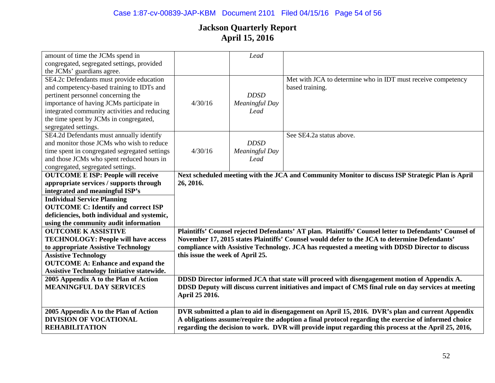| amount of time the JCMs spend in                       |                                  | Lead                  |                                                                                                                                                                                                              |
|--------------------------------------------------------|----------------------------------|-----------------------|--------------------------------------------------------------------------------------------------------------------------------------------------------------------------------------------------------------|
| congregated, segregated settings, provided             |                                  |                       |                                                                                                                                                                                                              |
| the JCMs' guardians agree.                             |                                  |                       |                                                                                                                                                                                                              |
| SE4.2c Defendants must provide education               |                                  |                       | Met with JCA to determine who in IDT must receive competency                                                                                                                                                 |
| and competency-based training to IDTs and              |                                  |                       | based training.                                                                                                                                                                                              |
| pertinent personnel concerning the                     |                                  | <b>DDSD</b>           |                                                                                                                                                                                                              |
|                                                        | 4/30/16                          |                       |                                                                                                                                                                                                              |
| importance of having JCMs participate in               |                                  | Meaningful Day        |                                                                                                                                                                                                              |
| integrated community activities and reducing           |                                  | Lead                  |                                                                                                                                                                                                              |
| the time spent by JCMs in congregated,                 |                                  |                       |                                                                                                                                                                                                              |
| segregated settings.                                   |                                  |                       |                                                                                                                                                                                                              |
| SE4.2d Defendants must annually identify               |                                  |                       | See SE4.2a status above.                                                                                                                                                                                     |
| and monitor those JCMs who wish to reduce              |                                  | <b>DDSD</b>           |                                                                                                                                                                                                              |
| time spent in congregated segregated settings          | 4/30/16                          | <b>Meaningful Day</b> |                                                                                                                                                                                                              |
| and those JCMs who spent reduced hours in              |                                  | Lead                  |                                                                                                                                                                                                              |
| congregated, segregated settings.                      |                                  |                       |                                                                                                                                                                                                              |
| <b>OUTCOME E ISP: People will receive</b>              |                                  |                       | Next scheduled meeting with the JCA and Community Monitor to discuss ISP Strategic Plan is April                                                                                                             |
| appropriate services / supports through                | 26, 2016.                        |                       |                                                                                                                                                                                                              |
| integrated and meaningful ISP's                        |                                  |                       |                                                                                                                                                                                                              |
| <b>Individual Service Planning</b>                     |                                  |                       |                                                                                                                                                                                                              |
| <b>OUTCOME C: Identify and correct ISP</b>             |                                  |                       |                                                                                                                                                                                                              |
| deficiencies, both individual and systemic,            |                                  |                       |                                                                                                                                                                                                              |
| using the community audit information                  |                                  |                       |                                                                                                                                                                                                              |
| <b>OUTCOME K ASSISTIVE</b>                             |                                  |                       | Plaintiffs' Counsel rejected Defendants' AT plan. Plaintiffs' Counsel letter to Defendants' Counsel of                                                                                                       |
| <b>TECHNOLOGY: People will have access</b>             |                                  |                       | November 17, 2015 states Plaintiffs' Counsel would defer to the JCA to determine Defendants'                                                                                                                 |
| to appropriate Assistive Technology                    |                                  |                       | compliance with Assistive Technology. JCA has requested a meeting with DDSD Director to discuss                                                                                                              |
| <b>Assistive Technology</b>                            | this issue the week of April 25. |                       |                                                                                                                                                                                                              |
| <b>OUTCOME A: Enhance and expand the</b>               |                                  |                       |                                                                                                                                                                                                              |
| <b>Assistive Technology Initiative statewide.</b>      |                                  |                       |                                                                                                                                                                                                              |
| 2005 Appendix A to the Plan of Action                  |                                  |                       | DDSD Director informed JCA that state will proceed with disengagement motion of Appendix A.                                                                                                                  |
| <b>MEANINGFUL DAY SERVICES</b>                         |                                  |                       |                                                                                                                                                                                                              |
|                                                        |                                  |                       |                                                                                                                                                                                                              |
|                                                        |                                  |                       | DDSD Deputy will discuss current initiatives and impact of CMS final rule on day services at meeting                                                                                                         |
|                                                        | April 25 2016.                   |                       |                                                                                                                                                                                                              |
|                                                        |                                  |                       |                                                                                                                                                                                                              |
| 2005 Appendix A to the Plan of Action                  |                                  |                       | DVR submitted a plan to aid in disengagement on April 15, 2016. DVR's plan and current Appendix                                                                                                              |
| <b>DIVISION OF VOCATIONAL</b><br><b>REHABILITATION</b> |                                  |                       | A obligations assume/require the adoption a final protocol regarding the exercise of informed choice<br>regarding the decision to work. DVR will provide input regarding this process at the April 25, 2016, |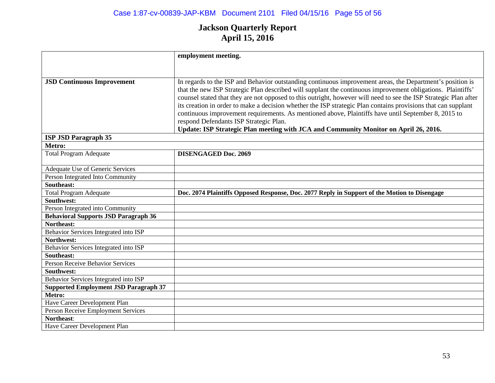|                                              | employment meeting.                                                                                                                           |
|----------------------------------------------|-----------------------------------------------------------------------------------------------------------------------------------------------|
|                                              |                                                                                                                                               |
|                                              |                                                                                                                                               |
| <b>JSD Continuous Improvement</b>            | In regards to the ISP and Behavior outstanding continuous improvement areas, the Department's position is                                     |
|                                              | that the new ISP Strategic Plan described will supplant the continuous improvement obligations. Plaintiffs'                                   |
|                                              | counsel stated that they are not opposed to this outright, however will need to see the ISP Strategic Plan after                              |
|                                              | its creation in order to make a decision whether the ISP strategic Plan contains provisions that can supplant                                 |
|                                              | continuous improvement requirements. As mentioned above, Plaintiffs have until September 8, 2015 to<br>respond Defendants ISP Strategic Plan. |
|                                              | Update: ISP Strategic Plan meeting with JCA and Community Monitor on April 26, 2016.                                                          |
| <b>ISP JSD Paragraph 35</b>                  |                                                                                                                                               |
| Metro:                                       |                                                                                                                                               |
| <b>Total Program Adequate</b>                | <b>DISENGAGED Doc. 2069</b>                                                                                                                   |
|                                              |                                                                                                                                               |
| Adequate Use of Generic Services             |                                                                                                                                               |
| Person Integrated Into Community             |                                                                                                                                               |
| Southeast:                                   |                                                                                                                                               |
| <b>Total Program Adequate</b>                | Doc. 2074 Plaintiffs Opposed Response, Doc. 2077 Reply in Support of the Motion to Disengage                                                  |
| Southwest:                                   |                                                                                                                                               |
| Person Integrated into Community             |                                                                                                                                               |
| <b>Behavioral Supports JSD Paragraph 36</b>  |                                                                                                                                               |
| Northeast:                                   |                                                                                                                                               |
| Behavior Services Integrated into ISP        |                                                                                                                                               |
| Northwest:                                   |                                                                                                                                               |
| Behavior Services Integrated into ISP        |                                                                                                                                               |
| Southeast:                                   |                                                                                                                                               |
| <b>Person Receive Behavior Services</b>      |                                                                                                                                               |
| Southwest:                                   |                                                                                                                                               |
| Behavior Services Integrated into ISP        |                                                                                                                                               |
| <b>Supported Employment JSD Paragraph 37</b> |                                                                                                                                               |
| Metro:                                       |                                                                                                                                               |
| Have Career Development Plan                 |                                                                                                                                               |
| Person Receive Employment Services           |                                                                                                                                               |
| Northeast:                                   |                                                                                                                                               |
| Have Career Development Plan                 |                                                                                                                                               |